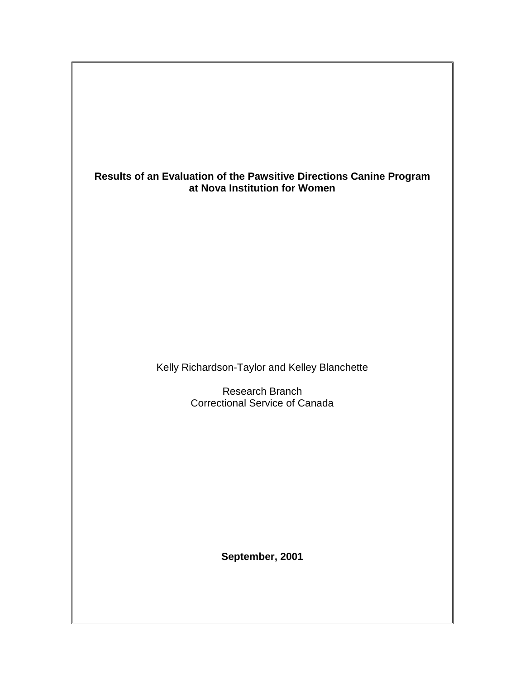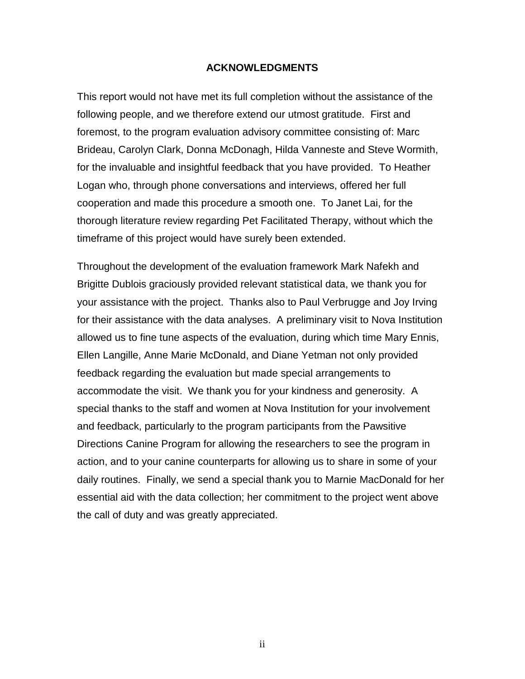#### **ACKNOWLEDGMENTS**

<span id="page-1-0"></span>This report would not have met its full completion without the assistance of the following people, and we therefore extend our utmost gratitude. First and foremost, to the program evaluation advisory committee consisting of: Marc Brideau, Carolyn Clark, Donna McDonagh, Hilda Vanneste and Steve Wormith, for the invaluable and insightful feedback that you have provided. To Heather Logan who, through phone conversations and interviews, offered her full cooperation and made this procedure a smooth one. To Janet Lai, for the thorough literature review regarding Pet Facilitated Therapy, without which the timeframe of this project would have surely been extended.

Throughout the development of the evaluation framework Mark Nafekh and Brigitte Dublois graciously provided relevant statistical data, we thank you for your assistance with the project. Thanks also to Paul Verbrugge and Joy Irving for their assistance with the data analyses. A preliminary visit to Nova Institution allowed us to fine tune aspects of the evaluation, during which time Mary Ennis, Ellen Langille, Anne Marie McDonald, and Diane Yetman not only provided feedback regarding the evaluation but made special arrangements to accommodate the visit. We thank you for your kindness and generosity. A special thanks to the staff and women at Nova Institution for your involvement and feedback, particularly to the program participants from the Pawsitive Directions Canine Program for allowing the researchers to see the program in action, and to your canine counterparts for allowing us to share in some of your daily routines. Finally, we send a special thank you to Marnie MacDonald for her essential aid with the data collection; her commitment to the project went above the call of duty and was greatly appreciated.

ii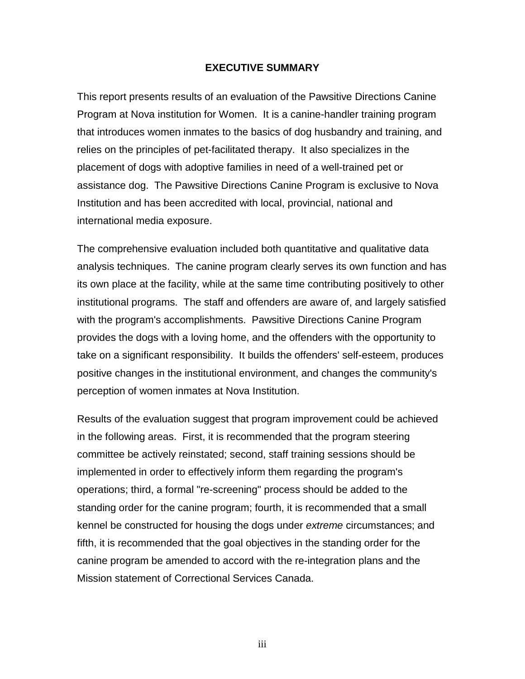#### **EXECUTIVE SUMMARY**

<span id="page-2-0"></span>This report presents results of an evaluation of the Pawsitive Directions Canine Program at Nova institution for Women. It is a canine-handler training program that introduces women inmates to the basics of dog husbandry and training, and relies on the principles of pet-facilitated therapy. It also specializes in the placement of dogs with adoptive families in need of a well-trained pet or assistance dog. The Pawsitive Directions Canine Program is exclusive to Nova Institution and has been accredited with local, provincial, national and international media exposure.

The comprehensive evaluation included both quantitative and qualitative data analysis techniques. The canine program clearly serves its own function and has its own place at the facility, while at the same time contributing positively to other institutional programs. The staff and offenders are aware of, and largely satisfied with the program's accomplishments. Pawsitive Directions Canine Program provides the dogs with a loving home, and the offenders with the opportunity to take on a significant responsibility. It builds the offenders' self-esteem, produces positive changes in the institutional environment, and changes the community's perception of women inmates at Nova Institution.

Results of the evaluation suggest that program improvement could be achieved in the following areas. First, it is recommended that the program steering committee be actively reinstated; second, staff training sessions should be implemented in order to effectively inform them regarding the program's operations; third, a formal "re-screening" process should be added to the standing order for the canine program; fourth, it is recommended that a small kennel be constructed for housing the dogs under *extreme* circumstances; and fifth, it is recommended that the goal objectives in the standing order for the canine program be amended to accord with the re-integration plans and the Mission statement of Correctional Services Canada.

iii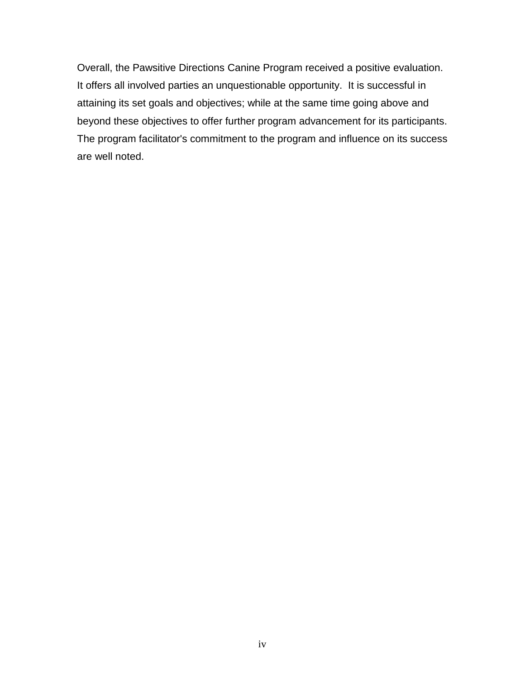Overall, the Pawsitive Directions Canine Program received a positive evaluation. It offers all involved parties an unquestionable opportunity. It is successful in attaining its set goals and objectives; while at the same time going above and beyond these objectives to offer further program advancement for its participants. The program facilitator's commitment to the program and influence on its success are well noted.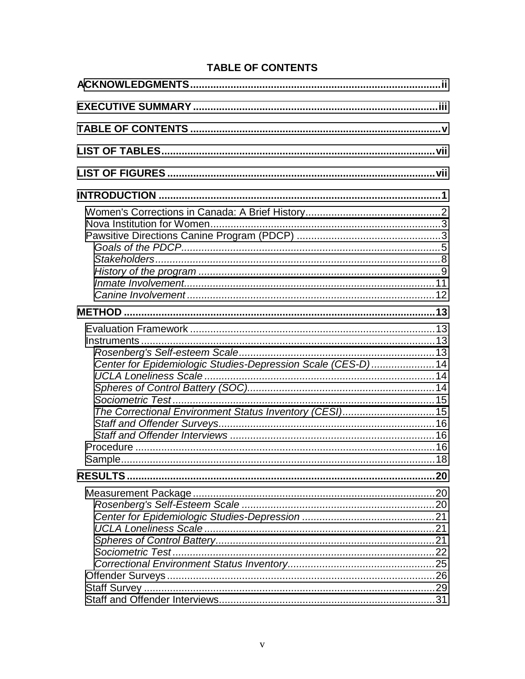# **TABLE OF CONTENTS**

| Center for Epidemiologic Studies-Depression Scale (CES-D)14<br>The Correctional Environment Status Inventory (CESI)15 |  |
|-----------------------------------------------------------------------------------------------------------------------|--|
|                                                                                                                       |  |
|                                                                                                                       |  |
|                                                                                                                       |  |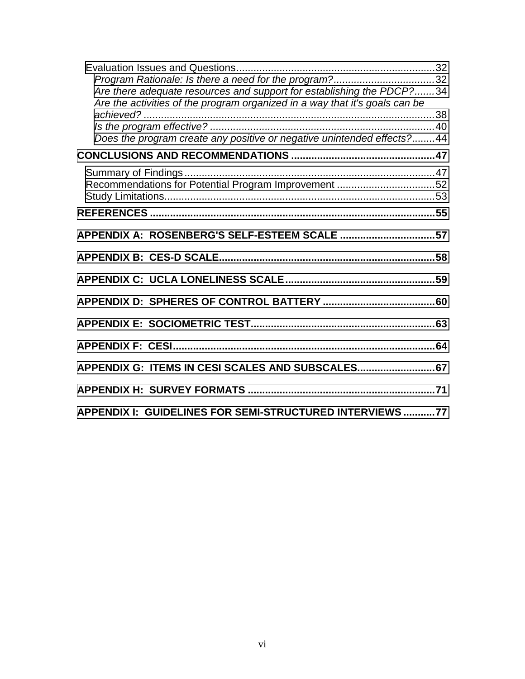| Program Rationale: Is there a need for the program?32<br>Are there adequate resources and support for establishing the PDCP?34<br>Are the activities of the program organized in a way that it's goals can be |  |
|---------------------------------------------------------------------------------------------------------------------------------------------------------------------------------------------------------------|--|
| Does the program create any positive or negative unintended effects?44                                                                                                                                        |  |
|                                                                                                                                                                                                               |  |
|                                                                                                                                                                                                               |  |
|                                                                                                                                                                                                               |  |
|                                                                                                                                                                                                               |  |
|                                                                                                                                                                                                               |  |
|                                                                                                                                                                                                               |  |
|                                                                                                                                                                                                               |  |
|                                                                                                                                                                                                               |  |
|                                                                                                                                                                                                               |  |
|                                                                                                                                                                                                               |  |
| APPENDIX G: ITEMS IN CESI SCALES AND SUBSCALES 67                                                                                                                                                             |  |
|                                                                                                                                                                                                               |  |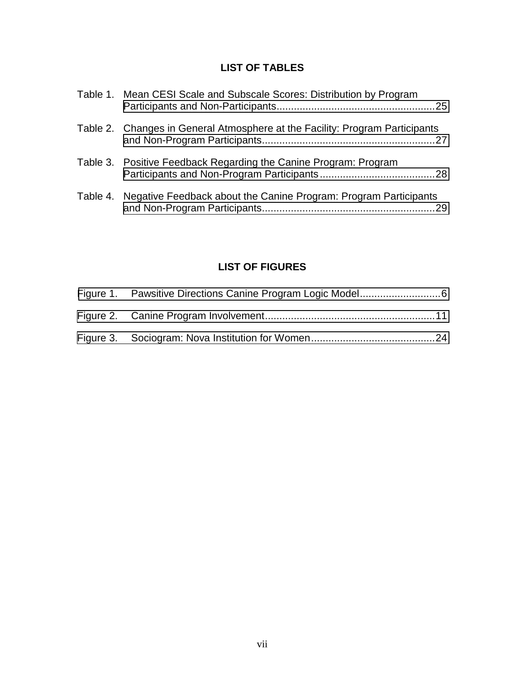# **LIST OF TABLES**

<span id="page-6-0"></span>

| Table 1. Mean CESI Scale and Subscale Scores: Distribution by Program           |
|---------------------------------------------------------------------------------|
| Table 2. Changes in General Atmosphere at the Facility: Program Participants    |
| Table 3. Positive Feedback Regarding the Canine Program: Program                |
| Table 4. Negative Feedback about the Canine Program: Program Participants<br>29 |

# **LIST OF FIGURES**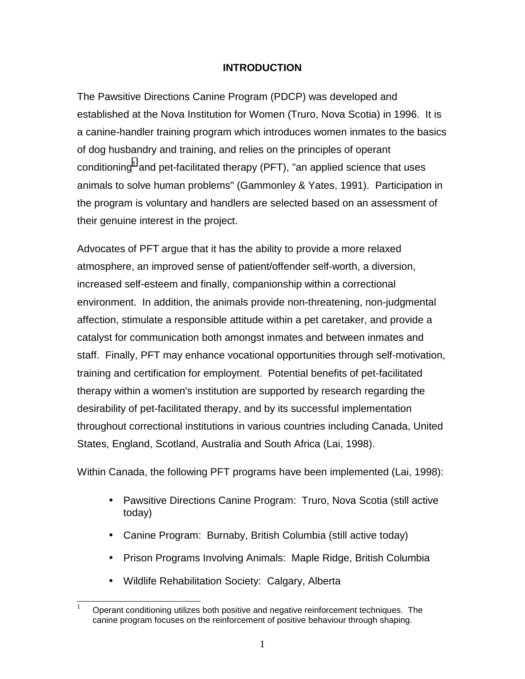### **INTRODUCTION**

<span id="page-7-0"></span>The Pawsitive Directions Canine Program (PDCP) was developed and established at the Nova Institution for Women (Truro, Nova Scotia) in 1996. It is a canine-handler training program which introduces women inmates to the basics of dog husbandry and training, and relies on the principles of operant conditioning<sup>1</sup> and pet-facilitated therapy (PFT), "an applied science that uses animals to solve human problems" (Gammonley & Yates, 1991). Participation in the program is voluntary and handlers are selected based on an assessment of their genuine interest in the project.

Advocates of PFT argue that it has the ability to provide a more relaxed atmosphere, an improved sense of patient/offender self-worth, a diversion, increased self-esteem and finally, companionship within a correctional environment. In addition, the animals provide non-threatening, non-judgmental affection, stimulate a responsible attitude within a pet caretaker, and provide a catalyst for communication both amongst inmates and between inmates and staff. Finally, PFT may enhance vocational opportunities through self-motivation, training and certification for employment. Potential benefits of pet-facilitated therapy within a women's institution are supported by research regarding the desirability of pet-facilitated therapy, and by its successful implementation throughout correctional institutions in various countries including Canada, United States, England, Scotland, Australia and South Africa (Lai, 1998).

Within Canada, the following PFT programs have been implemented (Lai, 1998):

- Pawsitive Directions Canine Program: Truro, Nova Scotia (still active today)
- Canine Program: Burnaby, British Columbia (still active today)
- Prison Programs Involving Animals: Maple Ridge, British Columbia
- Wildlife Rehabilitation Society: Calgary, Alberta

 $\overline{a}$ 1 Operant conditioning utilizes both positive and negative reinforcement techniques. The canine program focuses on the reinforcement of positive behaviour through shaping.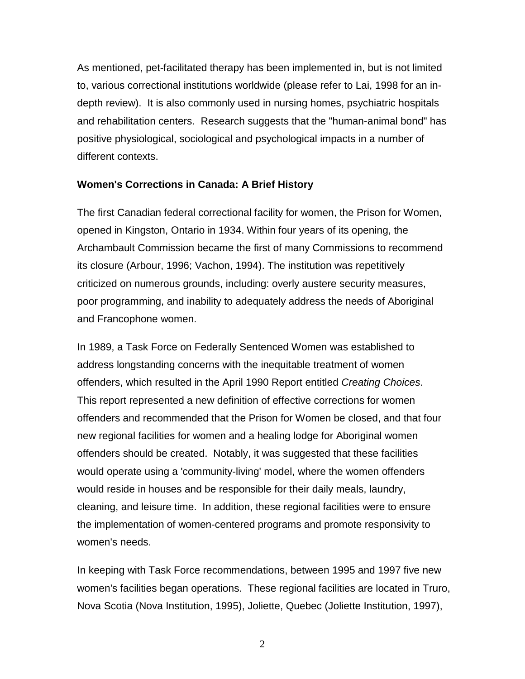<span id="page-8-0"></span>As mentioned, pet-facilitated therapy has been implemented in, but is not limited to, various correctional institutions worldwide (please refer to Lai, 1998 for an indepth review). It is also commonly used in nursing homes, psychiatric hospitals and rehabilitation centers. Research suggests that the "human-animal bond" has positive physiological, sociological and psychological impacts in a number of different contexts.

### **Women's Corrections in Canada: A Brief History**

The first Canadian federal correctional facility for women, the Prison for Women, opened in Kingston, Ontario in 1934. Within four years of its opening, the Archambault Commission became the first of many Commissions to recommend its closure (Arbour, 1996; Vachon, 1994). The institution was repetitively criticized on numerous grounds, including: overly austere security measures, poor programming, and inability to adequately address the needs of Aboriginal and Francophone women.

In 1989, a Task Force on Federally Sentenced Women was established to address longstanding concerns with the inequitable treatment of women offenders, which resulted in the April 1990 Report entitled *Creating Choices*. This report represented a new definition of effective corrections for women offenders and recommended that the Prison for Women be closed, and that four new regional facilities for women and a healing lodge for Aboriginal women offenders should be created. Notably, it was suggested that these facilities would operate using a 'community-living' model, where the women offenders would reside in houses and be responsible for their daily meals, laundry, cleaning, and leisure time. In addition, these regional facilities were to ensure the implementation of women-centered programs and promote responsivity to women's needs.

In keeping with Task Force recommendations, between 1995 and 1997 five new women's facilities began operations. These regional facilities are located in Truro, Nova Scotia (Nova Institution, 1995), Joliette, Quebec (Joliette Institution, 1997),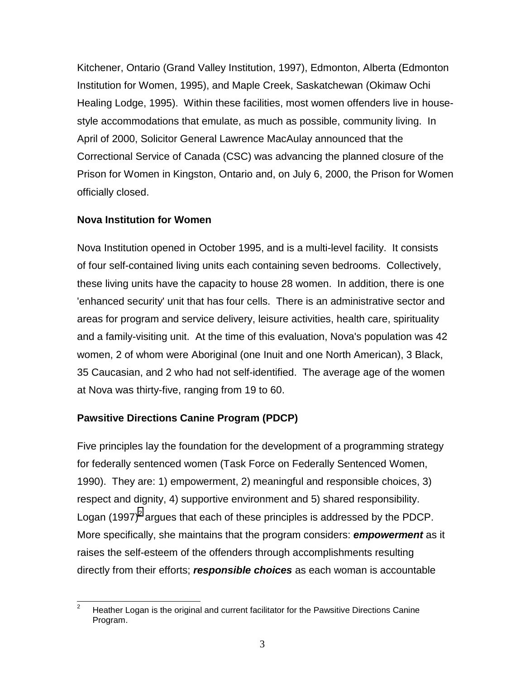<span id="page-9-0"></span>Kitchener, Ontario (Grand Valley Institution, 1997), Edmonton, Alberta (Edmonton Institution for Women, 1995), and Maple Creek, Saskatchewan (Okimaw Ochi Healing Lodge, 1995). Within these facilities, most women offenders live in housestyle accommodations that emulate, as much as possible, community living. In April of 2000, Solicitor General Lawrence MacAulay announced that the Correctional Service of Canada (CSC) was advancing the planned closure of the Prison for Women in Kingston, Ontario and, on July 6, 2000, the Prison for Women officially closed.

### **Nova Institution for Women**

Nova Institution opened in October 1995, and is a multi-level facility. It consists of four self-contained living units each containing seven bedrooms. Collectively, these living units have the capacity to house 28 women. In addition, there is one 'enhanced security' unit that has four cells. There is an administrative sector and areas for program and service delivery, leisure activities, health care, spirituality and a family-visiting unit. At the time of this evaluation, Nova's population was 42 women, 2 of whom were Aboriginal (one Inuit and one North American), 3 Black, 35 Caucasian, and 2 who had not self-identified. The average age of the women at Nova was thirty-five, ranging from 19 to 60.

## **Pawsitive Directions Canine Program (PDCP)**

Five principles lay the foundation for the development of a programming strategy for federally sentenced women (Task Force on Federally Sentenced Women, 1990). They are: 1) empowerment, 2) meaningful and responsible choices, 3) respect and dignity, 4) supportive environment and 5) shared responsibility. Logan (1997)<sup>2</sup> argues that each of these principles is addressed by the PDCP. More specifically, she maintains that the program considers: *empowerment* as it raises the self-esteem of the offenders through accomplishments resulting directly from their efforts; *responsible choices* as each woman is accountable

<sup>-&</sup>lt;br>2 Heather Logan is the original and current facilitator for the Pawsitive Directions Canine Program.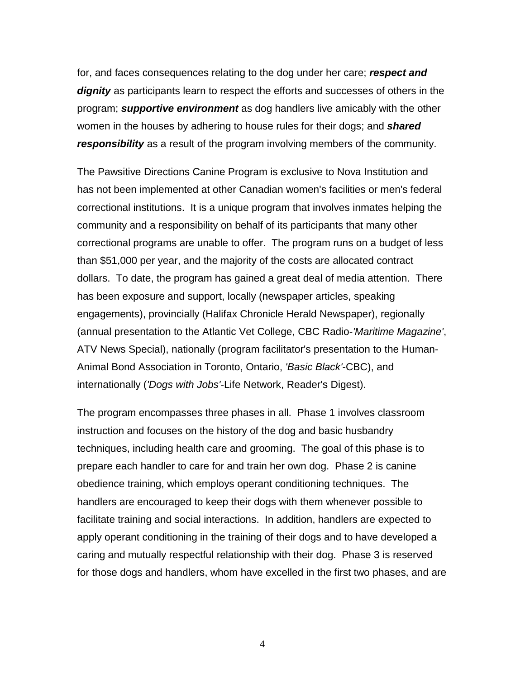for, and faces consequences relating to the dog under her care; *respect and dignity* as participants learn to respect the efforts and successes of others in the program; *supportive environment* as dog handlers live amicably with the other women in the houses by adhering to house rules for their dogs; and *shared responsibility* as a result of the program involving members of the community.

The Pawsitive Directions Canine Program is exclusive to Nova Institution and has not been implemented at other Canadian women's facilities or men's federal correctional institutions. It is a unique program that involves inmates helping the community and a responsibility on behalf of its participants that many other correctional programs are unable to offer. The program runs on a budget of less than \$51,000 per year, and the majority of the costs are allocated contract dollars. To date, the program has gained a great deal of media attention. There has been exposure and support, locally (newspaper articles, speaking engagements), provincially (Halifax Chronicle Herald Newspaper), regionally (annual presentation to the Atlantic Vet College, CBC Radio-*'Maritime Magazine'*, ATV News Special), nationally (program facilitator's presentation to the Human-Animal Bond Association in Toronto, Ontario, *'Basic Black'*-CBC), and internationally (*'Dogs with Jobs'*-Life Network, Reader's Digest).

The program encompasses three phases in all. Phase 1 involves classroom instruction and focuses on the history of the dog and basic husbandry techniques, including health care and grooming. The goal of this phase is to prepare each handler to care for and train her own dog. Phase 2 is canine obedience training, which employs operant conditioning techniques. The handlers are encouraged to keep their dogs with them whenever possible to facilitate training and social interactions. In addition, handlers are expected to apply operant conditioning in the training of their dogs and to have developed a caring and mutually respectful relationship with their dog. Phase 3 is reserved for those dogs and handlers, whom have excelled in the first two phases, and are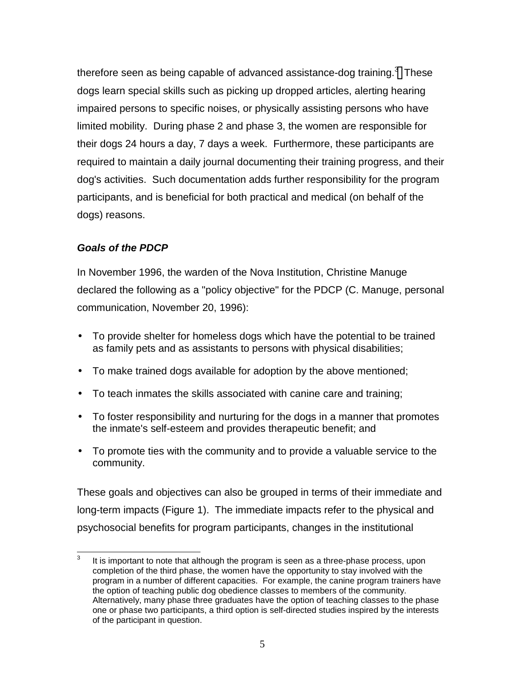<span id="page-11-0"></span>therefore seen as being capable of advanced assistance-dog training. $^3$  These dogs learn special skills such as picking up dropped articles, alerting hearing impaired persons to specific noises, or physically assisting persons who have limited mobility. During phase 2 and phase 3, the women are responsible for their dogs 24 hours a day, 7 days a week. Furthermore, these participants are required to maintain a daily journal documenting their training progress, and their dog's activities. Such documentation adds further responsibility for the program participants, and is beneficial for both practical and medical (on behalf of the dogs) reasons.

## *Goals of the PDCP*

In November 1996, the warden of the Nova Institution, Christine Manuge declared the following as a "policy objective" for the PDCP (C. Manuge, personal communication, November 20, 1996):

- To provide shelter for homeless dogs which have the potential to be trained as family pets and as assistants to persons with physical disabilities;
- To make trained dogs available for adoption by the above mentioned;
- To teach inmates the skills associated with canine care and training;
- To foster responsibility and nurturing for the dogs in a manner that promotes the inmate's self-esteem and provides therapeutic benefit; and
- To promote ties with the community and to provide a valuable service to the community.

These goals and objectives can also be grouped in terms of their immediate and long-term impacts (Figure 1). The immediate impacts refer to the physical and psychosocial benefits for program participants, changes in the institutional

<sup>—&</sup>lt;br>3 It is important to note that although the program is seen as a three-phase process, upon completion of the third phase, the women have the opportunity to stay involved with the program in a number of different capacities. For example, the canine program trainers have the option of teaching public dog obedience classes to members of the community. Alternatively, many phase three graduates have the option of teaching classes to the phase one or phase two participants, a third option is self-directed studies inspired by the interests of the participant in question.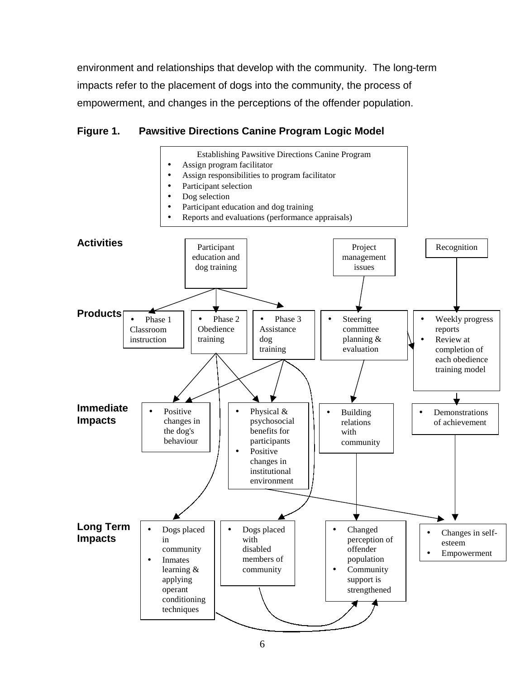<span id="page-12-0"></span>environment and relationships that develop with the community. The long-term impacts refer to the placement of dogs into the community, the process of empowerment, and changes in the perceptions of the offender population.

## **Figure 1. Pawsitive Directions Canine Program Logic Model**

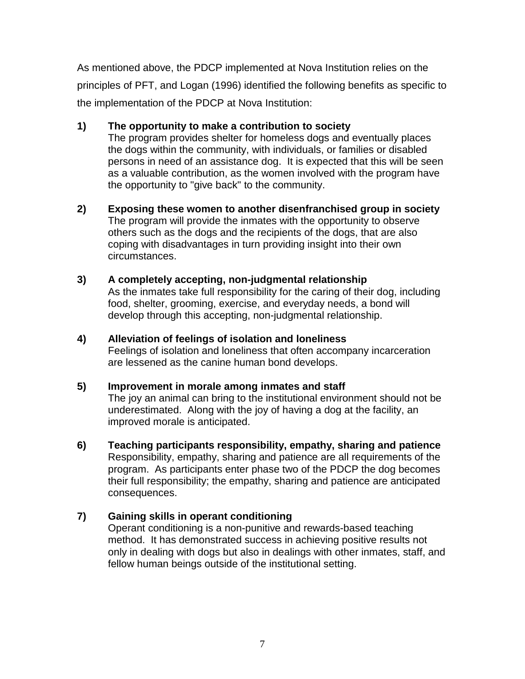As mentioned above, the PDCP implemented at Nova Institution relies on the principles of PFT, and Logan (1996) identified the following benefits as specific to the implementation of the PDCP at Nova Institution:

### **1) The opportunity to make a contribution to society**

The program provides shelter for homeless dogs and eventually places the dogs within the community, with individuals, or families or disabled persons in need of an assistance dog. It is expected that this will be seen as a valuable contribution, as the women involved with the program have the opportunity to "give back" to the community.

**2) Exposing these women to another disenfranchised group in society** The program will provide the inmates with the opportunity to observe others such as the dogs and the recipients of the dogs, that are also coping with disadvantages in turn providing insight into their own circumstances.

### **3) A completely accepting, non-judgmental relationship**

As the inmates take full responsibility for the caring of their dog, including food, shelter, grooming, exercise, and everyday needs, a bond will develop through this accepting, non-judgmental relationship.

## **4) Alleviation of feelings of isolation and loneliness** Feelings of isolation and loneliness that often accompany incarceration are lessened as the canine human bond develops.

## **5) Improvement in morale among inmates and staff**

The joy an animal can bring to the institutional environment should not be underestimated. Along with the joy of having a dog at the facility, an improved morale is anticipated.

**6) Teaching participants responsibility, empathy, sharing and patience** Responsibility, empathy, sharing and patience are all requirements of the program. As participants enter phase two of the PDCP the dog becomes their full responsibility; the empathy, sharing and patience are anticipated consequences.

## **7) Gaining skills in operant conditioning**

Operant conditioning is a non-punitive and rewards-based teaching method. It has demonstrated success in achieving positive results not only in dealing with dogs but also in dealings with other inmates, staff, and fellow human beings outside of the institutional setting.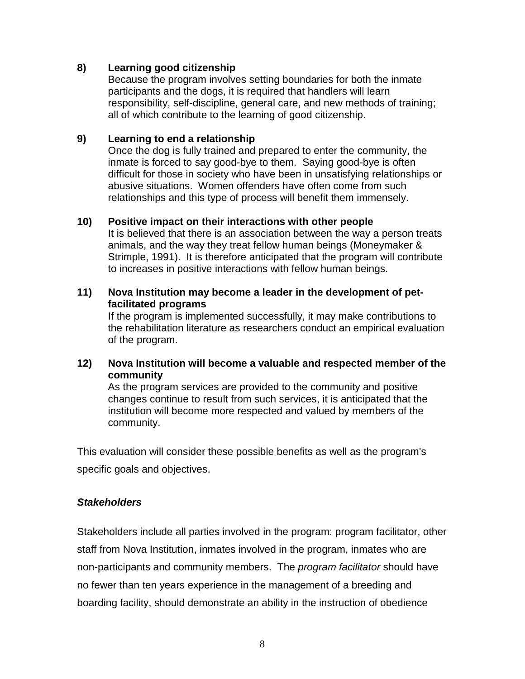### <span id="page-14-0"></span>**8) Learning good citizenship**

Because the program involves setting boundaries for both the inmate participants and the dogs, it is required that handlers will learn responsibility, self-discipline, general care, and new methods of training; all of which contribute to the learning of good citizenship.

### **9) Learning to end a relationship**

Once the dog is fully trained and prepared to enter the community, the inmate is forced to say good-bye to them. Saying good-bye is often difficult for those in society who have been in unsatisfying relationships or abusive situations. Women offenders have often come from such relationships and this type of process will benefit them immensely.

### **10) Positive impact on their interactions with other people**

It is believed that there is an association between the way a person treats animals, and the way they treat fellow human beings (Moneymaker & Strimple, 1991). It is therefore anticipated that the program will contribute to increases in positive interactions with fellow human beings.

### **11) Nova Institution may become a leader in the development of petfacilitated programs**

If the program is implemented successfully, it may make contributions to the rehabilitation literature as researchers conduct an empirical evaluation of the program.

### **12) Nova Institution will become a valuable and respected member of the community**

As the program services are provided to the community and positive changes continue to result from such services, it is anticipated that the institution will become more respected and valued by members of the community.

This evaluation will consider these possible benefits as well as the program's specific goals and objectives.

## *Stakeholders*

Stakeholders include all parties involved in the program: program facilitator, other staff from Nova Institution, inmates involved in the program, inmates who are non-participants and community members. The *program facilitator* should have no fewer than ten years experience in the management of a breeding and boarding facility, should demonstrate an ability in the instruction of obedience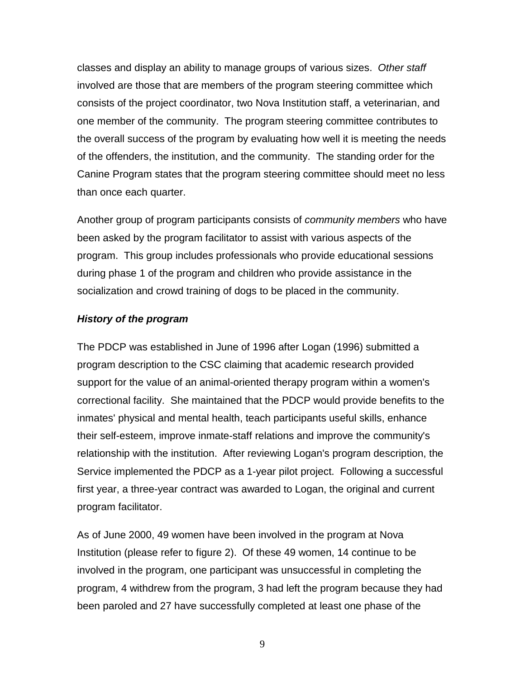<span id="page-15-0"></span>classes and display an ability to manage groups of various sizes. *Other staff* involved are those that are members of the program steering committee which consists of the project coordinator, two Nova Institution staff, a veterinarian, and one member of the community. The program steering committee contributes to the overall success of the program by evaluating how well it is meeting the needs of the offenders, the institution, and the community. The standing order for the Canine Program states that the program steering committee should meet no less than once each quarter.

Another group of program participants consists of *community members* who have been asked by the program facilitator to assist with various aspects of the program. This group includes professionals who provide educational sessions during phase 1 of the program and children who provide assistance in the socialization and crowd training of dogs to be placed in the community.

### *History of the program*

The PDCP was established in June of 1996 after Logan (1996) submitted a program description to the CSC claiming that academic research provided support for the value of an animal-oriented therapy program within a women's correctional facility. She maintained that the PDCP would provide benefits to the inmates' physical and mental health, teach participants useful skills, enhance their self-esteem, improve inmate-staff relations and improve the community's relationship with the institution. After reviewing Logan's program description, the Service implemented the PDCP as a 1-year pilot project. Following a successful first year, a three-year contract was awarded to Logan, the original and current program facilitator.

As of June 2000, 49 women have been involved in the program at Nova Institution (please refer to figure 2). Of these 49 women, 14 continue to be involved in the program, one participant was unsuccessful in completing the program, 4 withdrew from the program, 3 had left the program because they had been paroled and 27 have successfully completed at least one phase of the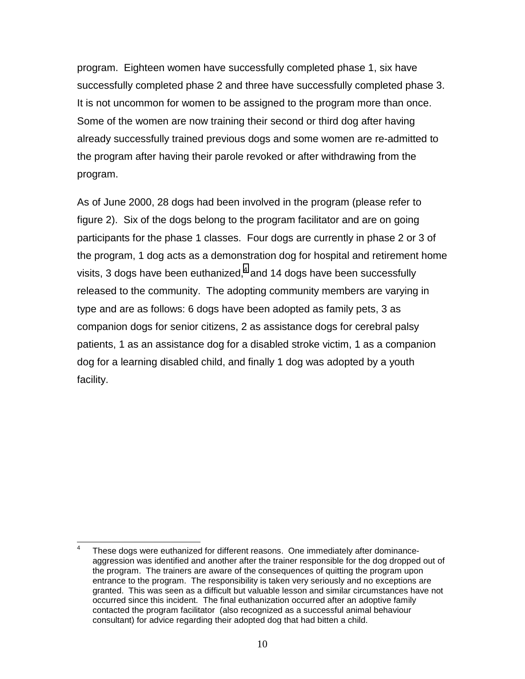program. Eighteen women have successfully completed phase 1, six have successfully completed phase 2 and three have successfully completed phase 3. It is not uncommon for women to be assigned to the program more than once. Some of the women are now training their second or third dog after having already successfully trained previous dogs and some women are re-admitted to the program after having their parole revoked or after withdrawing from the program.

As of June 2000, 28 dogs had been involved in the program (please refer to figure 2). Six of the dogs belong to the program facilitator and are on going participants for the phase 1 classes. Four dogs are currently in phase 2 or 3 of the program, 1 dog acts as a demonstration dog for hospital and retirement home visits, 3 dogs have been euthanized, $^4$  and 14 dogs have been successfully released to the community. The adopting community members are varying in type and are as follows: 6 dogs have been adopted as family pets, 3 as companion dogs for senior citizens, 2 as assistance dogs for cerebral palsy patients, 1 as an assistance dog for a disabled stroke victim, 1 as a companion dog for a learning disabled child, and finally 1 dog was adopted by a youth facility.

 $\overline{a}$ 4 These dogs were euthanized for different reasons. One immediately after dominanceaggression was identified and another after the trainer responsible for the dog dropped out of the program. The trainers are aware of the consequences of quitting the program upon entrance to the program. The responsibility is taken very seriously and no exceptions are granted. This was seen as a difficult but valuable lesson and similar circumstances have not occurred since this incident. The final euthanization occurred after an adoptive family contacted the program facilitator (also recognized as a successful animal behaviour consultant) for advice regarding their adopted dog that had bitten a child.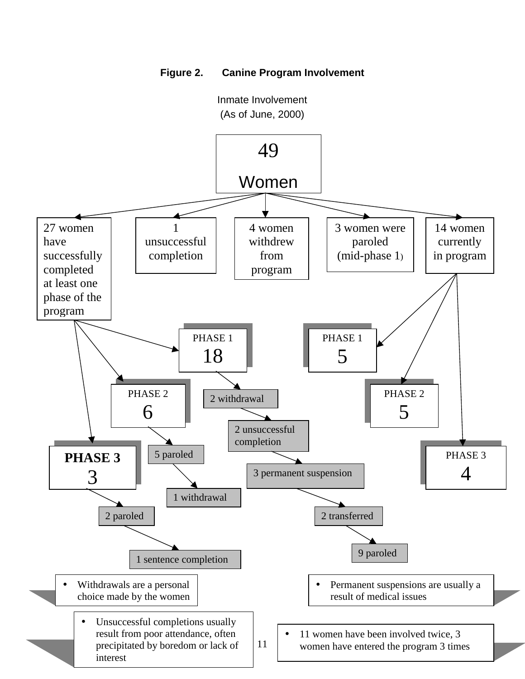

<span id="page-17-0"></span>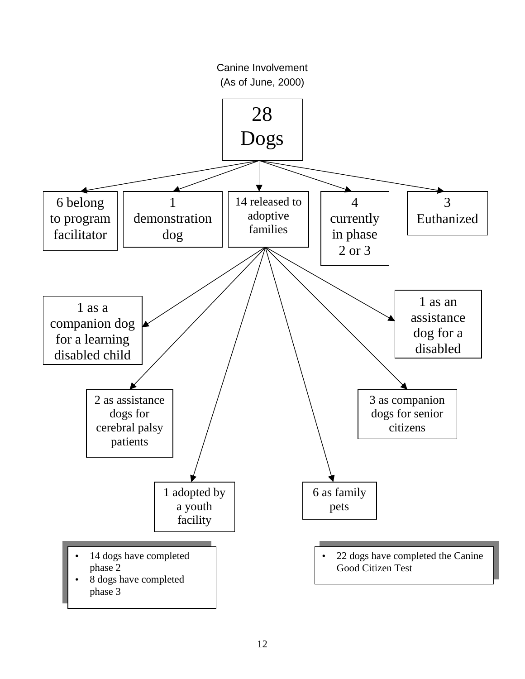<span id="page-18-0"></span>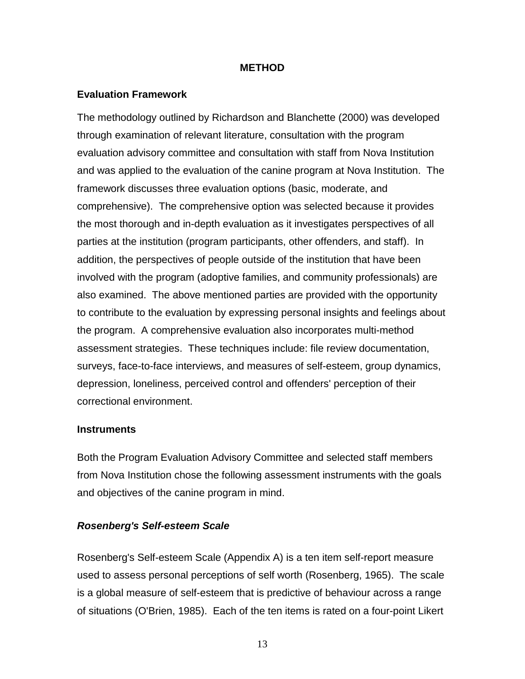#### **METHOD**

### <span id="page-19-0"></span>**Evaluation Framework**

The methodology outlined by Richardson and Blanchette (2000) was developed through examination of relevant literature, consultation with the program evaluation advisory committee and consultation with staff from Nova Institution and was applied to the evaluation of the canine program at Nova Institution. The framework discusses three evaluation options (basic, moderate, and comprehensive). The comprehensive option was selected because it provides the most thorough and in-depth evaluation as it investigates perspectives of all parties at the institution (program participants, other offenders, and staff). In addition, the perspectives of people outside of the institution that have been involved with the program (adoptive families, and community professionals) are also examined. The above mentioned parties are provided with the opportunity to contribute to the evaluation by expressing personal insights and feelings about the program. A comprehensive evaluation also incorporates multi-method assessment strategies. These techniques include: file review documentation, surveys, face-to-face interviews, and measures of self-esteem, group dynamics, depression, loneliness, perceived control and offenders' perception of their correctional environment.

#### **Instruments**

Both the Program Evaluation Advisory Committee and selected staff members from Nova Institution chose the following assessment instruments with the goals and objectives of the canine program in mind.

#### *Rosenberg's Self-esteem Scale*

Rosenberg's Self-esteem Scale (Appendix A) is a ten item self-report measure used to assess personal perceptions of self worth (Rosenberg, 1965). The scale is a global measure of self-esteem that is predictive of behaviour across a range of situations (O'Brien, 1985). Each of the ten items is rated on a four-point Likert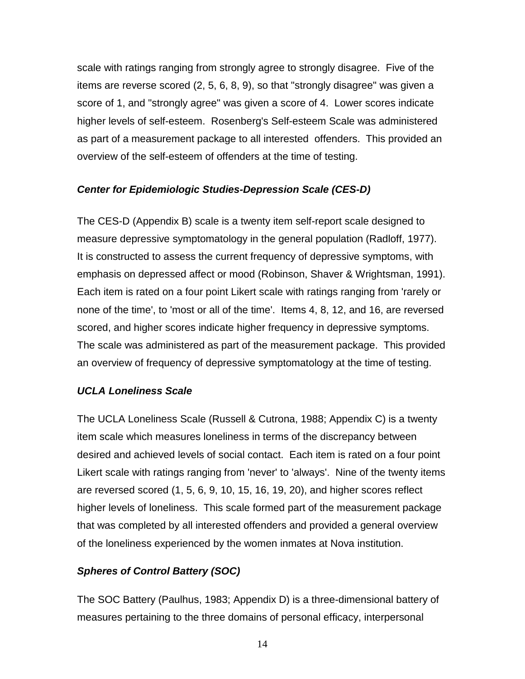<span id="page-20-0"></span>scale with ratings ranging from strongly agree to strongly disagree. Five of the items are reverse scored (2, 5, 6, 8, 9), so that "strongly disagree" was given a score of 1, and "strongly agree" was given a score of 4. Lower scores indicate higher levels of self-esteem. Rosenberg's Self-esteem Scale was administered as part of a measurement package to all interested offenders. This provided an overview of the self-esteem of offenders at the time of testing.

### *Center for Epidemiologic Studies-Depression Scale (CES-D)*

The CES-D (Appendix B) scale is a twenty item self-report scale designed to measure depressive symptomatology in the general population (Radloff, 1977). It is constructed to assess the current frequency of depressive symptoms, with emphasis on depressed affect or mood (Robinson, Shaver & Wrightsman, 1991). Each item is rated on a four point Likert scale with ratings ranging from 'rarely or none of the time', to 'most or all of the time'. Items 4, 8, 12, and 16, are reversed scored, and higher scores indicate higher frequency in depressive symptoms. The scale was administered as part of the measurement package. This provided an overview of frequency of depressive symptomatology at the time of testing.

### *UCLA Loneliness Scale*

The UCLA Loneliness Scale (Russell & Cutrona, 1988; Appendix C) is a twenty item scale which measures loneliness in terms of the discrepancy between desired and achieved levels of social contact. Each item is rated on a four point Likert scale with ratings ranging from 'never' to 'always'. Nine of the twenty items are reversed scored (1, 5, 6, 9, 10, 15, 16, 19, 20), and higher scores reflect higher levels of loneliness. This scale formed part of the measurement package that was completed by all interested offenders and provided a general overview of the loneliness experienced by the women inmates at Nova institution.

## *Spheres of Control Battery (SOC)*

The SOC Battery (Paulhus, 1983; Appendix D) is a three-dimensional battery of measures pertaining to the three domains of personal efficacy, interpersonal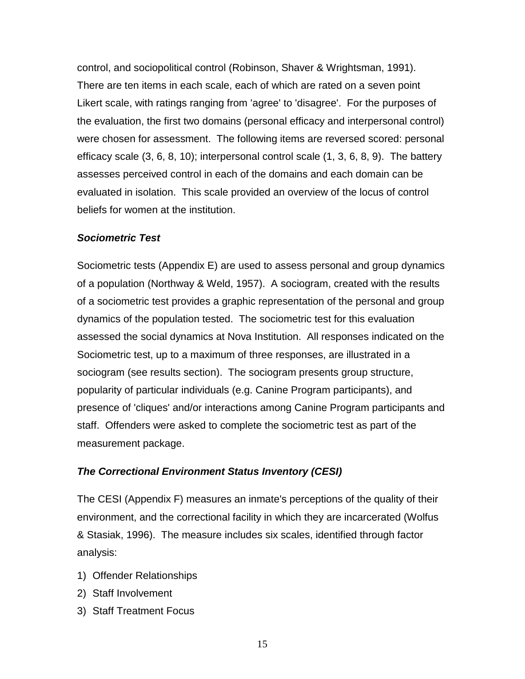<span id="page-21-0"></span>control, and sociopolitical control (Robinson, Shaver & Wrightsman, 1991). There are ten items in each scale, each of which are rated on a seven point Likert scale, with ratings ranging from 'agree' to 'disagree'. For the purposes of the evaluation, the first two domains (personal efficacy and interpersonal control) were chosen for assessment. The following items are reversed scored: personal efficacy scale (3, 6, 8, 10); interpersonal control scale (1, 3, 6, 8, 9). The battery assesses perceived control in each of the domains and each domain can be evaluated in isolation. This scale provided an overview of the locus of control beliefs for women at the institution.

### *Sociometric Test*

Sociometric tests (Appendix E) are used to assess personal and group dynamics of a population (Northway & Weld, 1957). A sociogram, created with the results of a sociometric test provides a graphic representation of the personal and group dynamics of the population tested. The sociometric test for this evaluation assessed the social dynamics at Nova Institution. All responses indicated on the Sociometric test, up to a maximum of three responses, are illustrated in a sociogram (see results section). The sociogram presents group structure, popularity of particular individuals (e.g. Canine Program participants), and presence of 'cliques' and/or interactions among Canine Program participants and staff. Offenders were asked to complete the sociometric test as part of the measurement package.

### *The Correctional Environment Status Inventory (CESI)*

The CESI (Appendix F) measures an inmate's perceptions of the quality of their environment, and the correctional facility in which they are incarcerated (Wolfus & Stasiak, 1996). The measure includes six scales, identified through factor analysis:

- 1) Offender Relationships
- 2) Staff Involvement
- 3) Staff Treatment Focus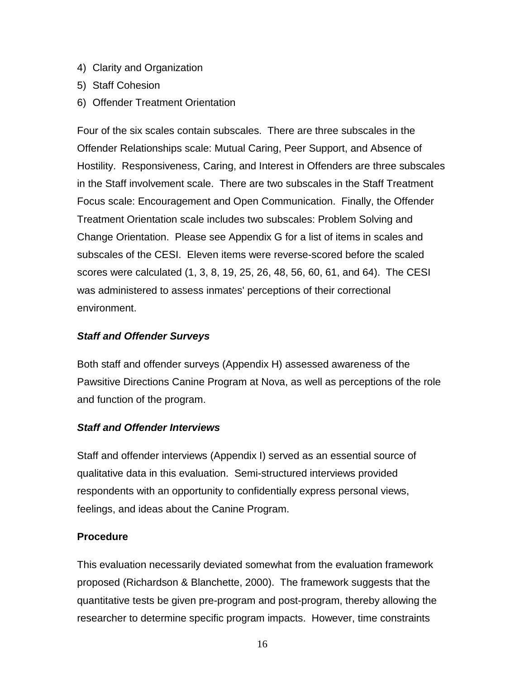- <span id="page-22-0"></span>4) Clarity and Organization
- 5) Staff Cohesion
- 6) Offender Treatment Orientation

Four of the six scales contain subscales. There are three subscales in the Offender Relationships scale: Mutual Caring, Peer Support, and Absence of Hostility. Responsiveness, Caring, and Interest in Offenders are three subscales in the Staff involvement scale. There are two subscales in the Staff Treatment Focus scale: Encouragement and Open Communication. Finally, the Offender Treatment Orientation scale includes two subscales: Problem Solving and Change Orientation. Please see Appendix G for a list of items in scales and subscales of the CESI. Eleven items were reverse-scored before the scaled scores were calculated (1, 3, 8, 19, 25, 26, 48, 56, 60, 61, and 64). The CESI was administered to assess inmates' perceptions of their correctional environment.

### *Staff and Offender Surveys*

Both staff and offender surveys (Appendix H) assessed awareness of the Pawsitive Directions Canine Program at Nova, as well as perceptions of the role and function of the program.

### *Staff and Offender Interviews*

Staff and offender interviews (Appendix I) served as an essential source of qualitative data in this evaluation. Semi-structured interviews provided respondents with an opportunity to confidentially express personal views, feelings, and ideas about the Canine Program.

## **Procedure**

This evaluation necessarily deviated somewhat from the evaluation framework proposed (Richardson & Blanchette, 2000). The framework suggests that the quantitative tests be given pre-program and post-program, thereby allowing the researcher to determine specific program impacts. However, time constraints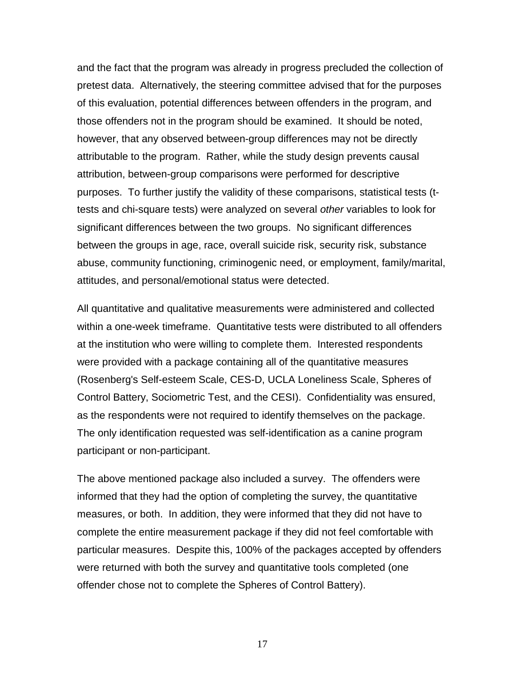and the fact that the program was already in progress precluded the collection of pretest data. Alternatively, the steering committee advised that for the purposes of this evaluation, potential differences between offenders in the program, and those offenders not in the program should be examined. It should be noted, however, that any observed between-group differences may not be directly attributable to the program. Rather, while the study design prevents causal attribution, between-group comparisons were performed for descriptive purposes. To further justify the validity of these comparisons, statistical tests (ttests and chi-square tests) were analyzed on several *other* variables to look for significant differences between the two groups. No significant differences between the groups in age, race, overall suicide risk, security risk, substance abuse, community functioning, criminogenic need, or employment, family/marital, attitudes, and personal/emotional status were detected.

All quantitative and qualitative measurements were administered and collected within a one-week timeframe. Quantitative tests were distributed to all offenders at the institution who were willing to complete them. Interested respondents were provided with a package containing all of the quantitative measures (Rosenberg's Self-esteem Scale, CES-D, UCLA Loneliness Scale, Spheres of Control Battery, Sociometric Test, and the CESI). Confidentiality was ensured, as the respondents were not required to identify themselves on the package. The only identification requested was self-identification as a canine program participant or non-participant.

The above mentioned package also included a survey. The offenders were informed that they had the option of completing the survey, the quantitative measures, or both. In addition, they were informed that they did not have to complete the entire measurement package if they did not feel comfortable with particular measures. Despite this, 100% of the packages accepted by offenders were returned with both the survey and quantitative tools completed (one offender chose not to complete the Spheres of Control Battery).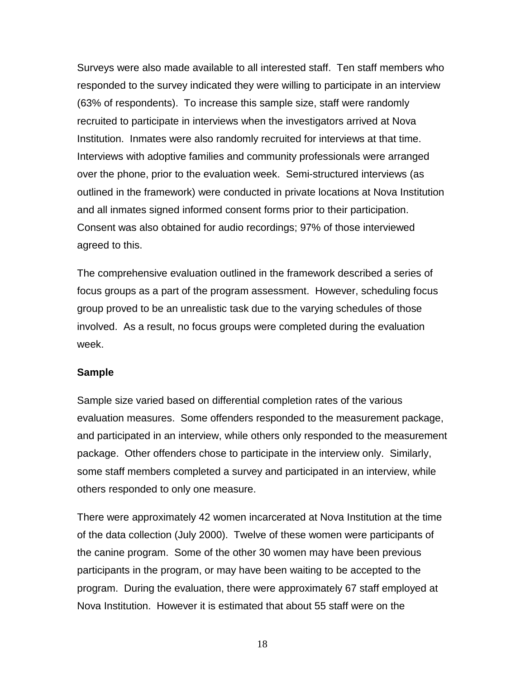<span id="page-24-0"></span>Surveys were also made available to all interested staff. Ten staff members who responded to the survey indicated they were willing to participate in an interview (63% of respondents). To increase this sample size, staff were randomly recruited to participate in interviews when the investigators arrived at Nova Institution. Inmates were also randomly recruited for interviews at that time. Interviews with adoptive families and community professionals were arranged over the phone, prior to the evaluation week. Semi-structured interviews (as outlined in the framework) were conducted in private locations at Nova Institution and all inmates signed informed consent forms prior to their participation. Consent was also obtained for audio recordings; 97% of those interviewed agreed to this.

The comprehensive evaluation outlined in the framework described a series of focus groups as a part of the program assessment. However, scheduling focus group proved to be an unrealistic task due to the varying schedules of those involved. As a result, no focus groups were completed during the evaluation week.

#### **Sample**

Sample size varied based on differential completion rates of the various evaluation measures. Some offenders responded to the measurement package, and participated in an interview, while others only responded to the measurement package. Other offenders chose to participate in the interview only. Similarly, some staff members completed a survey and participated in an interview, while others responded to only one measure.

There were approximately 42 women incarcerated at Nova Institution at the time of the data collection (July 2000). Twelve of these women were participants of the canine program. Some of the other 30 women may have been previous participants in the program, or may have been waiting to be accepted to the program. During the evaluation, there were approximately 67 staff employed at Nova Institution. However it is estimated that about 55 staff were on the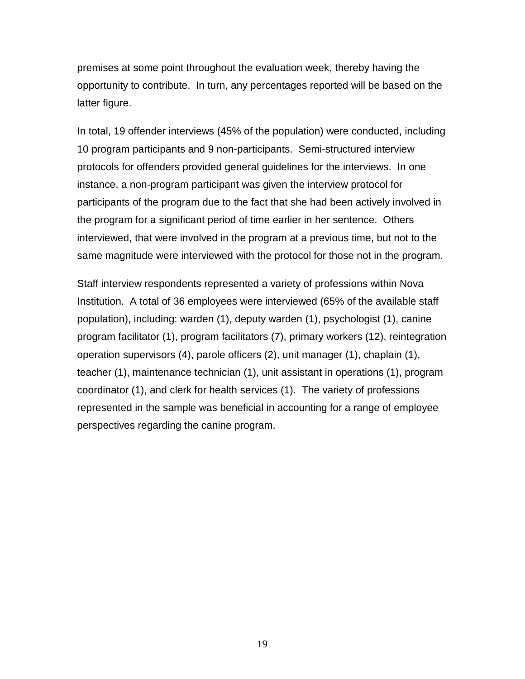premises at some point throughout the evaluation week, thereby having the opportunity to contribute. In turn, any percentages reported will be based on the latter figure.

In total, 19 offender interviews (45% of the population) were conducted, including 10 program participants and 9 non-participants. Semi-structured interview protocols for offenders provided general guidelines for the interviews. In one instance, a non-program participant was given the interview protocol for participants of the program due to the fact that she had been actively involved in the program for a significant period of time earlier in her sentence. Others interviewed, that were involved in the program at a previous time, but not to the same magnitude were interviewed with the protocol for those not in the program.

Staff interview respondents represented a variety of professions within Nova Institution. A total of 36 employees were interviewed (65% of the available staff population), including: warden (1), deputy warden (1), psychologist (1), canine program facilitator (1), program facilitators (7), primary workers (12), reintegration operation supervisors (4), parole officers (2), unit manager (1), chaplain (1), teacher (1), maintenance technician (1), unit assistant in operations (1), program coordinator (1), and clerk for health services (1). The variety of professions represented in the sample was beneficial in accounting for a range of employee perspectives regarding the canine program.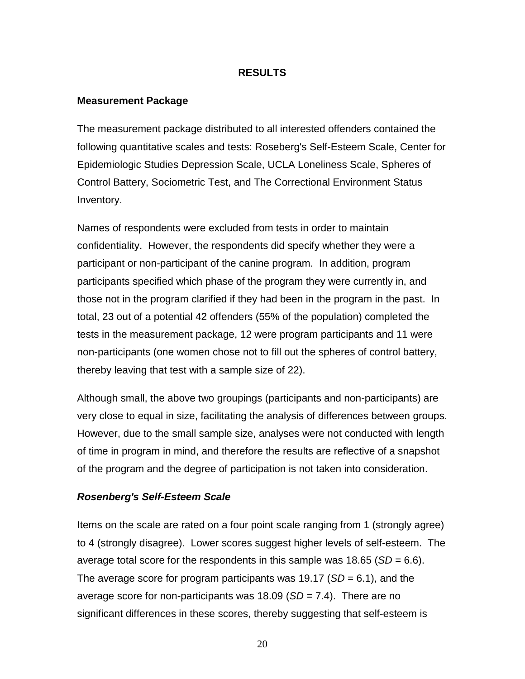#### **RESULTS**

#### <span id="page-26-0"></span>**Measurement Package**

The measurement package distributed to all interested offenders contained the following quantitative scales and tests: Roseberg's Self-Esteem Scale, Center for Epidemiologic Studies Depression Scale, UCLA Loneliness Scale, Spheres of Control Battery, Sociometric Test, and The Correctional Environment Status Inventory.

Names of respondents were excluded from tests in order to maintain confidentiality. However, the respondents did specify whether they were a participant or non-participant of the canine program. In addition, program participants specified which phase of the program they were currently in, and those not in the program clarified if they had been in the program in the past. In total, 23 out of a potential 42 offenders (55% of the population) completed the tests in the measurement package, 12 were program participants and 11 were non-participants (one women chose not to fill out the spheres of control battery, thereby leaving that test with a sample size of 22).

Although small, the above two groupings (participants and non-participants) are very close to equal in size, facilitating the analysis of differences between groups. However, due to the small sample size, analyses were not conducted with length of time in program in mind, and therefore the results are reflective of a snapshot of the program and the degree of participation is not taken into consideration.

#### *Rosenberg's Self-Esteem Scale*

Items on the scale are rated on a four point scale ranging from 1 (strongly agree) to 4 (strongly disagree). Lower scores suggest higher levels of self-esteem. The average total score for the respondents in this sample was 18.65 (*SD* = 6.6). The average score for program participants was 19.17 (*SD* = 6.1), and the average score for non-participants was 18.09 (*SD* = 7.4). There are no significant differences in these scores, thereby suggesting that self-esteem is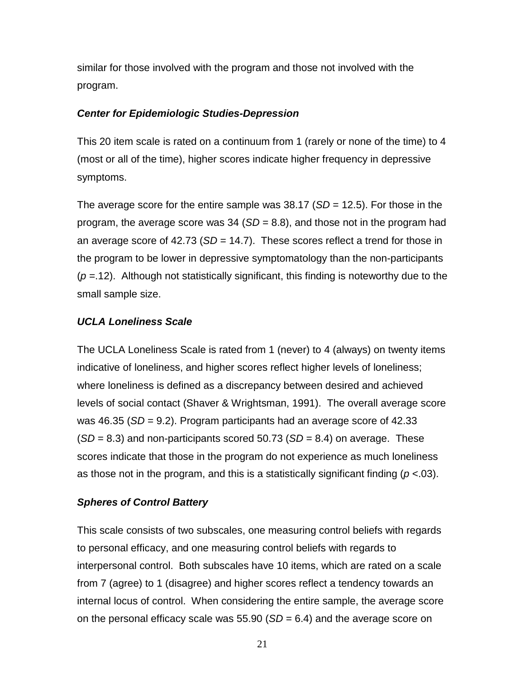<span id="page-27-0"></span>similar for those involved with the program and those not involved with the program.

### *Center for Epidemiologic Studies-Depression*

This 20 item scale is rated on a continuum from 1 (rarely or none of the time) to 4 (most or all of the time), higher scores indicate higher frequency in depressive symptoms.

The average score for the entire sample was 38.17 (*SD* = 12.5). For those in the program, the average score was 34 (*SD* = 8.8), and those not in the program had an average score of 42.73 (*SD* = 14.7). These scores reflect a trend for those in the program to be lower in depressive symptomatology than the non-participants (*p* =.12). Although not statistically significant, this finding is noteworthy due to the small sample size.

### *UCLA Loneliness Scale*

The UCLA Loneliness Scale is rated from 1 (never) to 4 (always) on twenty items indicative of loneliness, and higher scores reflect higher levels of loneliness; where loneliness is defined as a discrepancy between desired and achieved levels of social contact (Shaver & Wrightsman, 1991). The overall average score was 46.35 (*SD* = 9.2). Program participants had an average score of 42.33 (*SD* = 8.3) and non-participants scored 50.73 (*SD* = 8.4) on average. These scores indicate that those in the program do not experience as much loneliness as those not in the program, and this is a statistically significant finding (*p* <.03).

### *Spheres of Control Battery*

This scale consists of two subscales, one measuring control beliefs with regards to personal efficacy, and one measuring control beliefs with regards to interpersonal control. Both subscales have 10 items, which are rated on a scale from 7 (agree) to 1 (disagree) and higher scores reflect a tendency towards an internal locus of control. When considering the entire sample, the average score on the personal efficacy scale was 55.90 (*SD* = 6.4) and the average score on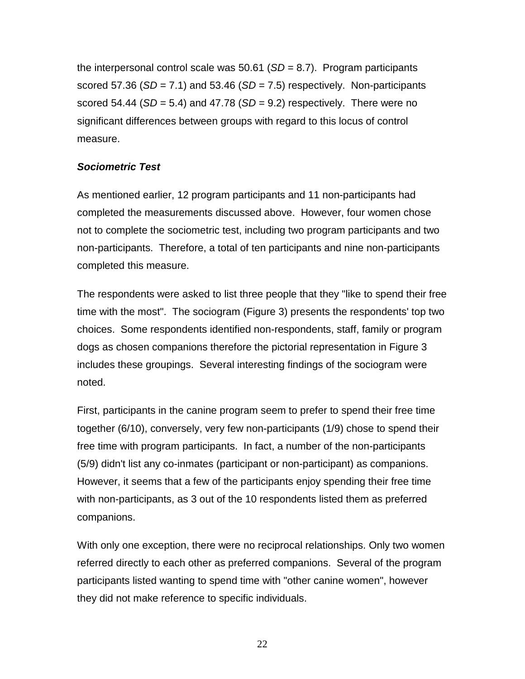<span id="page-28-0"></span>the interpersonal control scale was 50.61 (*SD* = 8.7). Program participants scored 57.36 (*SD* = 7.1) and 53.46 (*SD* = 7.5) respectively. Non-participants scored 54.44 (*SD* = 5.4) and 47.78 (*SD* = 9.2) respectively. There were no significant differences between groups with regard to this locus of control measure.

## *Sociometric Test*

As mentioned earlier, 12 program participants and 11 non-participants had completed the measurements discussed above. However, four women chose not to complete the sociometric test, including two program participants and two non-participants. Therefore, a total of ten participants and nine non-participants completed this measure.

The respondents were asked to list three people that they "like to spend their free time with the most". The sociogram (Figure 3) presents the respondents' top two choices. Some respondents identified non-respondents, staff, family or program dogs as chosen companions therefore the pictorial representation in Figure 3 includes these groupings. Several interesting findings of the sociogram were noted.

First, participants in the canine program seem to prefer to spend their free time together (6/10), conversely, very few non-participants (1/9) chose to spend their free time with program participants. In fact, a number of the non-participants (5/9) didn't list any co-inmates (participant or non-participant) as companions. However, it seems that a few of the participants enjoy spending their free time with non-participants, as 3 out of the 10 respondents listed them as preferred companions.

With only one exception, there were no reciprocal relationships. Only two women referred directly to each other as preferred companions. Several of the program participants listed wanting to spend time with "other canine women", however they did not make reference to specific individuals.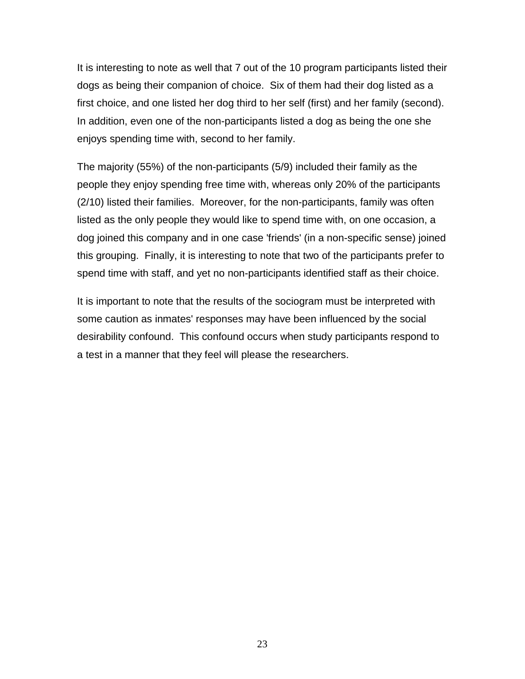It is interesting to note as well that 7 out of the 10 program participants listed their dogs as being their companion of choice. Six of them had their dog listed as a first choice, and one listed her dog third to her self (first) and her family (second). In addition, even one of the non-participants listed a dog as being the one she enjoys spending time with, second to her family.

The majority (55%) of the non-participants (5/9) included their family as the people they enjoy spending free time with, whereas only 20% of the participants (2/10) listed their families. Moreover, for the non-participants, family was often listed as the only people they would like to spend time with, on one occasion, a dog joined this company and in one case 'friends' (in a non-specific sense) joined this grouping. Finally, it is interesting to note that two of the participants prefer to spend time with staff, and yet no non-participants identified staff as their choice.

It is important to note that the results of the sociogram must be interpreted with some caution as inmates' responses may have been influenced by the social desirability confound. This confound occurs when study participants respond to a test in a manner that they feel will please the researchers.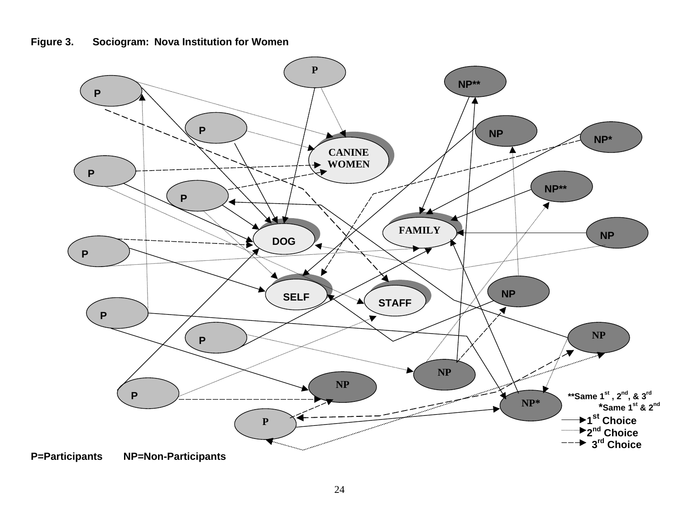<span id="page-30-0"></span>

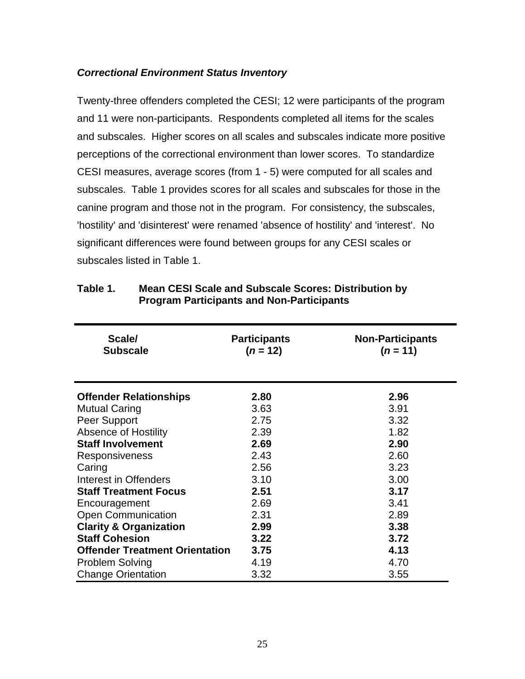### <span id="page-31-0"></span>*Correctional Environment Status Inventory*

Twenty-three offenders completed the CESI; 12 were participants of the program and 11 were non-participants. Respondents completed all items for the scales and subscales. Higher scores on all scales and subscales indicate more positive perceptions of the correctional environment than lower scores. To standardize CESI measures, average scores (from 1 - 5) were computed for all scales and subscales. Table 1 provides scores for all scales and subscales for those in the canine program and those not in the program. For consistency, the subscales, 'hostility' and 'disinterest' were renamed 'absence of hostility' and 'interest'. No significant differences were found between groups for any CESI scales or subscales listed in Table 1.

| Scale/<br><b>Subscale</b>             | <b>Participants</b><br>$(n = 12)$ | <b>Non-Participants</b><br>$(n = 11)$ |
|---------------------------------------|-----------------------------------|---------------------------------------|
| <b>Offender Relationships</b>         | 2.80                              | 2.96                                  |
| <b>Mutual Caring</b>                  | 3.63                              | 3.91                                  |
| Peer Support                          | 2.75                              | 3.32                                  |
| <b>Absence of Hostility</b>           | 2.39                              | 1.82                                  |
| <b>Staff Involvement</b>              | 2.69                              | 2.90                                  |
| <b>Responsiveness</b>                 | 2.43                              | 2.60                                  |
| Caring                                | 2.56                              | 3.23                                  |
| Interest in Offenders                 | 3.10                              | 3.00                                  |
| <b>Staff Treatment Focus</b>          | 2.51                              | 3.17                                  |
| Encouragement                         | 2.69                              | 3.41                                  |
| <b>Open Communication</b>             | 2.31                              | 2.89                                  |
| <b>Clarity &amp; Organization</b>     | 2.99                              | 3.38                                  |
| <b>Staff Cohesion</b>                 | 3.22                              | 3.72                                  |
| <b>Offender Treatment Orientation</b> | 3.75                              | 4.13                                  |
| <b>Problem Solving</b>                | 4.19                              | 4.70                                  |
| <b>Change Orientation</b>             | 3.32                              | 3.55                                  |

### **Table 1. Mean CESI Scale and Subscale Scores: Distribution by Program Participants and Non-Participants**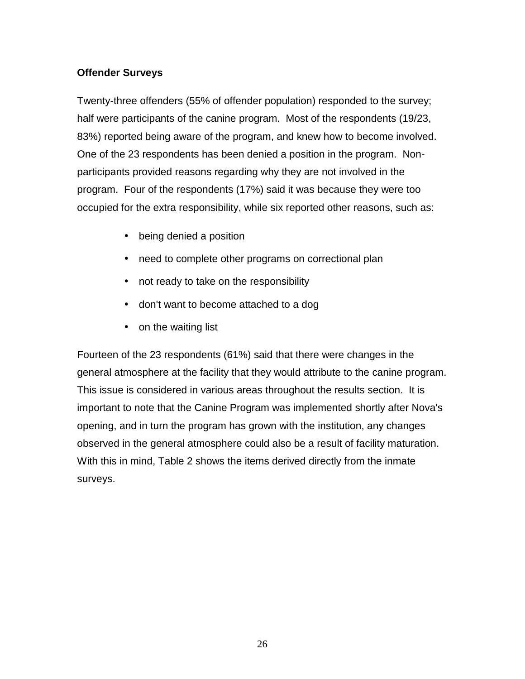## <span id="page-32-0"></span>**Offender Surveys**

Twenty-three offenders (55% of offender population) responded to the survey; half were participants of the canine program. Most of the respondents (19/23, 83%) reported being aware of the program, and knew how to become involved. One of the 23 respondents has been denied a position in the program. Nonparticipants provided reasons regarding why they are not involved in the program. Four of the respondents (17%) said it was because they were too occupied for the extra responsibility, while six reported other reasons, such as:

- being denied a position
- need to complete other programs on correctional plan
- not ready to take on the responsibility
- don't want to become attached to a dog
- on the waiting list

Fourteen of the 23 respondents (61%) said that there were changes in the general atmosphere at the facility that they would attribute to the canine program. This issue is considered in various areas throughout the results section. It is important to note that the Canine Program was implemented shortly after Nova's opening, and in turn the program has grown with the institution, any changes observed in the general atmosphere could also be a result of facility maturation. With this in mind, Table 2 shows the items derived directly from the inmate surveys.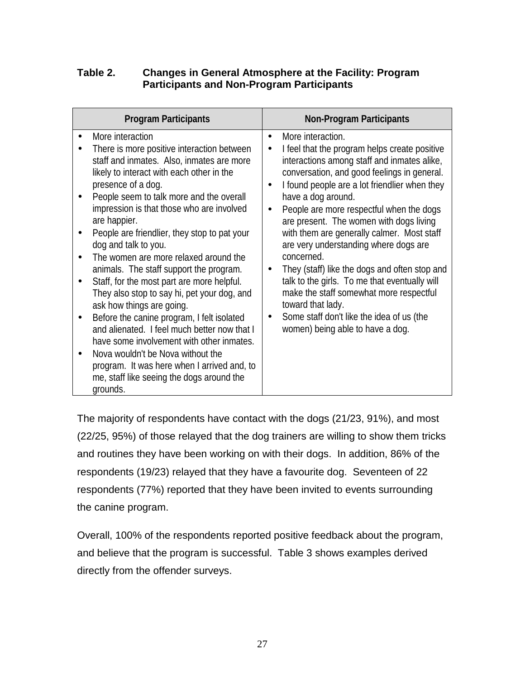## <span id="page-33-0"></span>**Table 2. Changes in General Atmosphere at the Facility: Program Participants and Non-Program Participants**

| <b>Program Participants</b>                                                                                                                                                                                                                                                                                                                                                                                                                                                                                                                                                                                                                                                                                                                                                                                                                                           | <b>Non-Program Participants</b>                                                                                                                                                                                                                                                                                                                                                                                                                                                                                                                                                                                                                                                                                               |
|-----------------------------------------------------------------------------------------------------------------------------------------------------------------------------------------------------------------------------------------------------------------------------------------------------------------------------------------------------------------------------------------------------------------------------------------------------------------------------------------------------------------------------------------------------------------------------------------------------------------------------------------------------------------------------------------------------------------------------------------------------------------------------------------------------------------------------------------------------------------------|-------------------------------------------------------------------------------------------------------------------------------------------------------------------------------------------------------------------------------------------------------------------------------------------------------------------------------------------------------------------------------------------------------------------------------------------------------------------------------------------------------------------------------------------------------------------------------------------------------------------------------------------------------------------------------------------------------------------------------|
| More interaction<br>There is more positive interaction between<br>staff and inmates. Also, inmates are more<br>likely to interact with each other in the<br>presence of a dog.<br>People seem to talk more and the overall<br>impression is that those who are involved<br>are happier.<br>People are friendlier, they stop to pat your<br>dog and talk to you.<br>The women are more relaxed around the<br>animals. The staff support the program.<br>Staff, for the most part are more helpful.<br>They also stop to say hi, pet your dog, and<br>ask how things are going.<br>Before the canine program, I felt isolated<br>and alienated. I feel much better now that I<br>have some involvement with other inmates.<br>Nova wouldn't be Nova without the<br>program. It was here when I arrived and, to<br>me, staff like seeing the dogs around the<br>grounds. | More interaction.<br>$\bullet$<br>I feel that the program helps create positive<br>$\bullet$<br>interactions among staff and inmates alike,<br>conversation, and good feelings in general.<br>I found people are a lot friendlier when they<br>have a dog around.<br>People are more respectful when the dogs<br>$\bullet$<br>are present. The women with dogs living<br>with them are generally calmer. Most staff<br>are very understanding where dogs are<br>concerned.<br>They (staff) like the dogs and often stop and<br>talk to the girls. To me that eventually will<br>make the staff somewhat more respectful<br>toward that lady.<br>Some staff don't like the idea of us (the<br>women) being able to have a dog. |

The majority of respondents have contact with the dogs (21/23, 91%), and most (22/25, 95%) of those relayed that the dog trainers are willing to show them tricks and routines they have been working on with their dogs. In addition, 86% of the respondents (19/23) relayed that they have a favourite dog. Seventeen of 22 respondents (77%) reported that they have been invited to events surrounding the canine program.

Overall, 100% of the respondents reported positive feedback about the program, and believe that the program is successful. Table 3 shows examples derived directly from the offender surveys.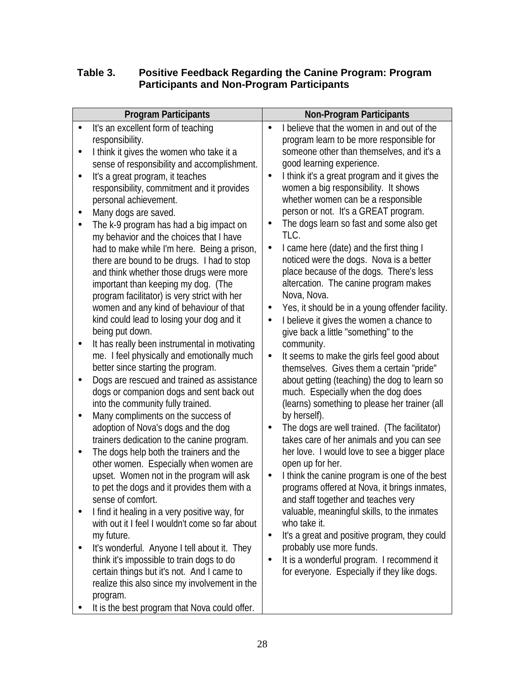## <span id="page-34-0"></span>**Table 3. Positive Feedback Regarding the Canine Program: Program Participants and Non-Program Participants**

| <b>Program Participants</b>                                                                                                                                                                                                                                                                                                                                                                                                                                                                                                                                                                                                                                                                                                                                                                                                                                                                                                                                                                                                                                                                                                                                                                                                                                                                                                                                                                                                                                                                                                                                                                                                                                                                                                                                      | <b>Non-Program Participants</b>                                                                                                                                                                                                                                                                                                                                                                                                                                                                                                                                                                                                                                                                                                                                                                                                                                                                                                                                                                                                                                                                                                                                                                                                                                                                                                                                                                                                                                                                                                                                                                                                          |
|------------------------------------------------------------------------------------------------------------------------------------------------------------------------------------------------------------------------------------------------------------------------------------------------------------------------------------------------------------------------------------------------------------------------------------------------------------------------------------------------------------------------------------------------------------------------------------------------------------------------------------------------------------------------------------------------------------------------------------------------------------------------------------------------------------------------------------------------------------------------------------------------------------------------------------------------------------------------------------------------------------------------------------------------------------------------------------------------------------------------------------------------------------------------------------------------------------------------------------------------------------------------------------------------------------------------------------------------------------------------------------------------------------------------------------------------------------------------------------------------------------------------------------------------------------------------------------------------------------------------------------------------------------------------------------------------------------------------------------------------------------------|------------------------------------------------------------------------------------------------------------------------------------------------------------------------------------------------------------------------------------------------------------------------------------------------------------------------------------------------------------------------------------------------------------------------------------------------------------------------------------------------------------------------------------------------------------------------------------------------------------------------------------------------------------------------------------------------------------------------------------------------------------------------------------------------------------------------------------------------------------------------------------------------------------------------------------------------------------------------------------------------------------------------------------------------------------------------------------------------------------------------------------------------------------------------------------------------------------------------------------------------------------------------------------------------------------------------------------------------------------------------------------------------------------------------------------------------------------------------------------------------------------------------------------------------------------------------------------------------------------------------------------------|
| It's an excellent form of teaching<br>$\bullet$<br>responsibility.<br>I think it gives the women who take it a<br>٠<br>sense of responsibility and accomplishment.<br>It's a great program, it teaches<br>٠<br>responsibility, commitment and it provides<br>personal achievement.<br>Many dogs are saved.<br>The k-9 program has had a big impact on<br>$\bullet$<br>my behavior and the choices that I have<br>had to make while I'm here. Being a prison,<br>there are bound to be drugs. I had to stop<br>and think whether those drugs were more<br>important than keeping my dog. (The<br>program facilitator) is very strict with her<br>women and any kind of behaviour of that<br>kind could lead to losing your dog and it<br>being put down.<br>It has really been instrumental in motivating<br>me. I feel physically and emotionally much<br>better since starting the program.<br>Dogs are rescued and trained as assistance<br>$\bullet$<br>dogs or companion dogs and sent back out<br>into the community fully trained.<br>Many compliments on the success of<br>adoption of Nova's dogs and the dog<br>trainers dedication to the canine program.<br>The dogs help both the trainers and the<br>$\bullet$<br>other women. Especially when women are<br>upset. Women not in the program will ask<br>to pet the dogs and it provides them with a<br>sense of comfort.<br>I find it healing in a very positive way, for<br>with out it I feel I wouldn't come so far about<br>my future.<br>It's wonderful. Anyone I tell about it. They<br>think it's impossible to train dogs to do<br>certain things but it's not. And I came to<br>realize this also since my involvement in the<br>program.<br>It is the best program that Nova could offer. | I believe that the women in and out of the<br>program learn to be more responsible for<br>someone other than themselves, and it's a<br>good learning experience.<br>I think it's a great program and it gives the<br>$\bullet$<br>women a big responsibility. It shows<br>whether women can be a responsible<br>person or not. It's a GREAT program.<br>The dogs learn so fast and some also get<br>TLC.<br>I came here (date) and the first thing I<br>$\bullet$<br>noticed were the dogs. Nova is a better<br>place because of the dogs. There's less<br>altercation. The canine program makes<br>Nova, Nova.<br>Yes, it should be in a young offender facility.<br>$\bullet$<br>I believe it gives the women a chance to<br>$\bullet$<br>give back a little "something" to the<br>community.<br>It seems to make the girls feel good about<br>$\bullet$<br>themselves. Gives them a certain "pride"<br>about getting (teaching) the dog to learn so<br>much. Especially when the dog does<br>(learns) something to please her trainer (all<br>by herself).<br>The dogs are well trained. (The facilitator)<br>takes care of her animals and you can see<br>her love. I would love to see a bigger place<br>open up for her.<br>I think the canine program is one of the best<br>programs offered at Nova, it brings inmates,<br>and staff together and teaches very<br>valuable, meaningful skills, to the inmates<br>who take it.<br>It's a great and positive program, they could<br>$\bullet$<br>probably use more funds.<br>It is a wonderful program. I recommend it<br>$\bullet$<br>for everyone. Especially if they like dogs. |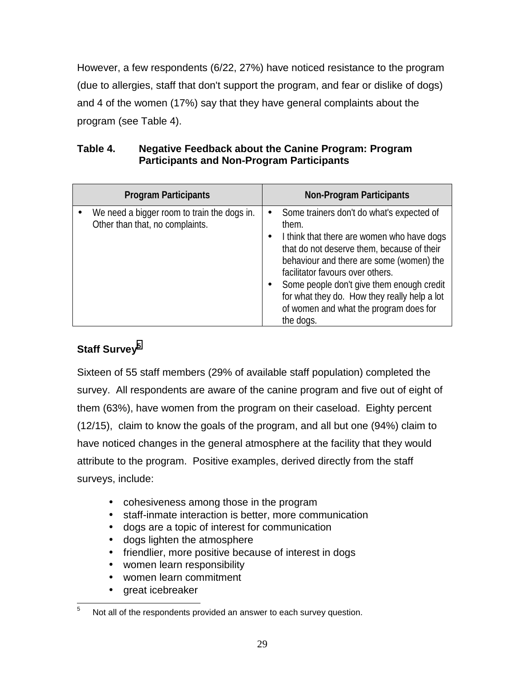<span id="page-35-0"></span>However, a few respondents (6/22, 27%) have noticed resistance to the program (due to allergies, staff that don't support the program, and fear or dislike of dogs) and 4 of the women (17%) say that they have general complaints about the program (see Table 4).

| Table 4. | <b>Negative Feedback about the Canine Program: Program</b> |
|----------|------------------------------------------------------------|
|          | <b>Participants and Non-Program Participants</b>           |

| <b>Program Participants</b>                                                    | <b>Non-Program Participants</b>                                                                                                                                                                                                                                                                                                                                                                 |
|--------------------------------------------------------------------------------|-------------------------------------------------------------------------------------------------------------------------------------------------------------------------------------------------------------------------------------------------------------------------------------------------------------------------------------------------------------------------------------------------|
| We need a bigger room to train the dogs in.<br>Other than that, no complaints. | Some trainers don't do what's expected of<br>$\bullet$<br>them.<br>I think that there are women who have dogs<br>that do not deserve them, because of their<br>behaviour and there are some (women) the<br>facilitator favours over others.<br>Some people don't give them enough credit<br>for what they do. How they really help a lot<br>of women and what the program does for<br>the dogs. |

# Staff Survey<sup>5</sup>

Sixteen of 55 staff members (29% of available staff population) completed the survey. All respondents are aware of the canine program and five out of eight of them (63%), have women from the program on their caseload. Eighty percent (12/15), claim to know the goals of the program, and all but one (94%) claim to have noticed changes in the general atmosphere at the facility that they would attribute to the program. Positive examples, derived directly from the staff surveys, include:

- cohesiveness among those in the program
- staff-inmate interaction is better, more communication
- dogs are a topic of interest for communication
- dogs lighten the atmosphere
- friendlier, more positive because of interest in dogs
- women learn responsibility
- women learn commitment
- great icebreaker

 5 Not all of the respondents provided an answer to each survey question.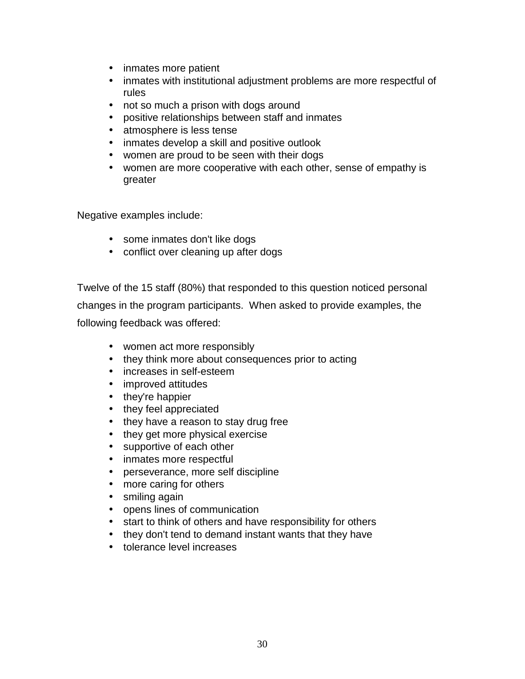- inmates more patient
- inmates with institutional adjustment problems are more respectful of rules
- not so much a prison with dogs around
- positive relationships between staff and inmates
- atmosphere is less tense
- inmates develop a skill and positive outlook
- women are proud to be seen with their dogs
- women are more cooperative with each other, sense of empathy is greater

Negative examples include:

- some inmates don't like dogs
- conflict over cleaning up after dogs

Twelve of the 15 staff (80%) that responded to this question noticed personal changes in the program participants. When asked to provide examples, the following feedback was offered:

- women act more responsibly
- they think more about consequences prior to acting
- increases in self-esteem
- improved attitudes
- they're happier
- they feel appreciated
- they have a reason to stay drug free
- they get more physical exercise
- supportive of each other
- inmates more respectful
- perseverance, more self discipline
- more caring for others
- smiling again
- opens lines of communication
- start to think of others and have responsibility for others
- they don't tend to demand instant wants that they have
- tolerance level increases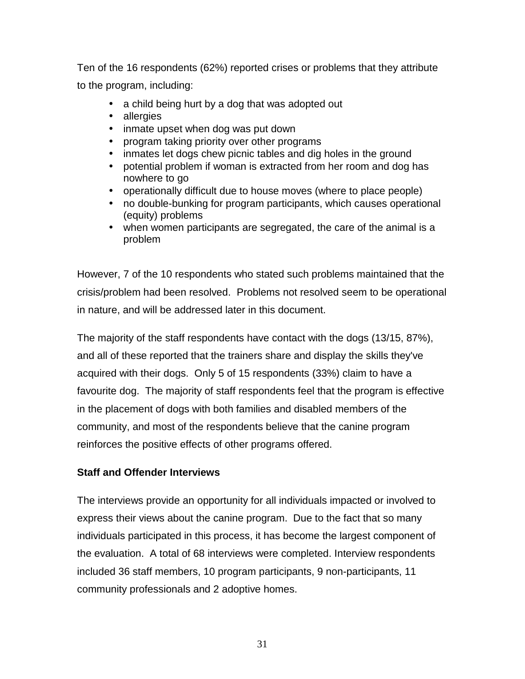Ten of the 16 respondents (62%) reported crises or problems that they attribute to the program, including:

- a child being hurt by a dog that was adopted out
- allergies
- inmate upset when dog was put down
- program taking priority over other programs
- inmates let dogs chew picnic tables and dig holes in the ground
- potential problem if woman is extracted from her room and dog has nowhere to go
- operationally difficult due to house moves (where to place people)
- no double-bunking for program participants, which causes operational (equity) problems
- when women participants are segregated, the care of the animal is a problem

However, 7 of the 10 respondents who stated such problems maintained that the crisis/problem had been resolved. Problems not resolved seem to be operational in nature, and will be addressed later in this document.

The majority of the staff respondents have contact with the dogs (13/15, 87%), and all of these reported that the trainers share and display the skills they've acquired with their dogs. Only 5 of 15 respondents (33%) claim to have a favourite dog. The majority of staff respondents feel that the program is effective in the placement of dogs with both families and disabled members of the community, and most of the respondents believe that the canine program reinforces the positive effects of other programs offered.

# **Staff and Offender Interviews**

The interviews provide an opportunity for all individuals impacted or involved to express their views about the canine program. Due to the fact that so many individuals participated in this process, it has become the largest component of the evaluation. A total of 68 interviews were completed. Interview respondents included 36 staff members, 10 program participants, 9 non-participants, 11 community professionals and 2 adoptive homes.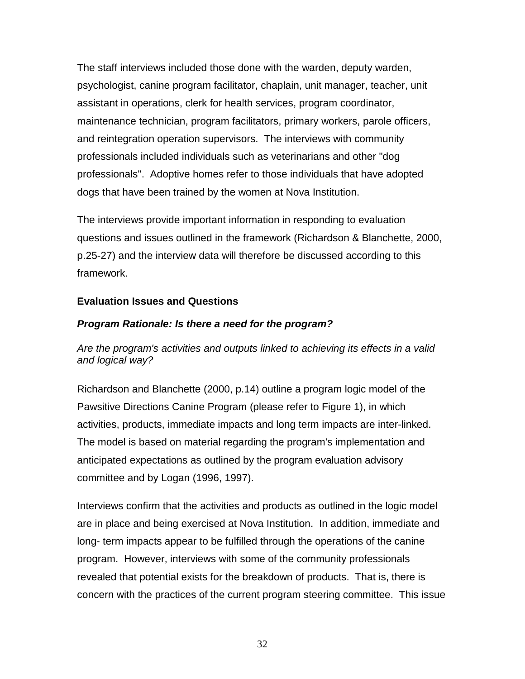The staff interviews included those done with the warden, deputy warden, psychologist, canine program facilitator, chaplain, unit manager, teacher, unit assistant in operations, clerk for health services, program coordinator, maintenance technician, program facilitators, primary workers, parole officers, and reintegration operation supervisors. The interviews with community professionals included individuals such as veterinarians and other "dog professionals". Adoptive homes refer to those individuals that have adopted dogs that have been trained by the women at Nova Institution.

The interviews provide important information in responding to evaluation questions and issues outlined in the framework (Richardson & Blanchette, 2000, p.25-27) and the interview data will therefore be discussed according to this framework.

### **Evaluation Issues and Questions**

### *Program Rationale: Is there a need for the program?*

*Are the program's activities and outputs linked to achieving its effects in a valid and logical way?*

Richardson and Blanchette (2000, p.14) outline a program logic model of the Pawsitive Directions Canine Program (please refer to Figure 1), in which activities, products, immediate impacts and long term impacts are inter-linked. The model is based on material regarding the program's implementation and anticipated expectations as outlined by the program evaluation advisory committee and by Logan (1996, 1997).

Interviews confirm that the activities and products as outlined in the logic model are in place and being exercised at Nova Institution. In addition, immediate and long- term impacts appear to be fulfilled through the operations of the canine program. However, interviews with some of the community professionals revealed that potential exists for the breakdown of products. That is, there is concern with the practices of the current program steering committee. This issue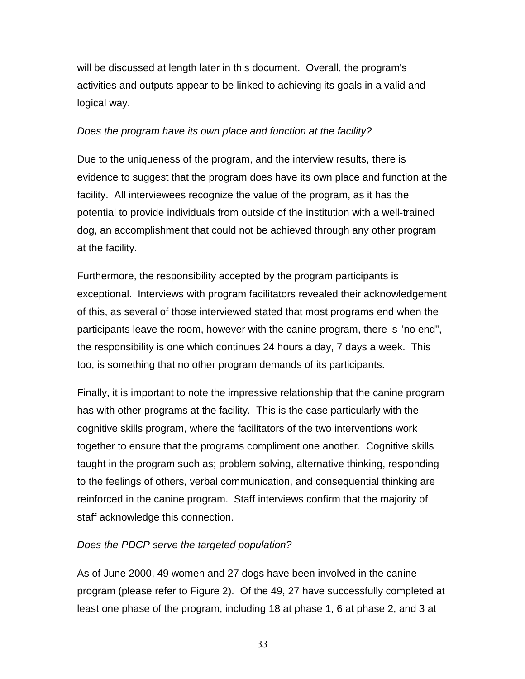will be discussed at length later in this document. Overall, the program's activities and outputs appear to be linked to achieving its goals in a valid and logical way.

#### *Does the program have its own place and function at the facility?*

Due to the uniqueness of the program, and the interview results, there is evidence to suggest that the program does have its own place and function at the facility. All interviewees recognize the value of the program, as it has the potential to provide individuals from outside of the institution with a well-trained dog, an accomplishment that could not be achieved through any other program at the facility.

Furthermore, the responsibility accepted by the program participants is exceptional. Interviews with program facilitators revealed their acknowledgement of this, as several of those interviewed stated that most programs end when the participants leave the room, however with the canine program, there is "no end", the responsibility is one which continues 24 hours a day, 7 days a week. This too, is something that no other program demands of its participants.

Finally, it is important to note the impressive relationship that the canine program has with other programs at the facility. This is the case particularly with the cognitive skills program, where the facilitators of the two interventions work together to ensure that the programs compliment one another. Cognitive skills taught in the program such as; problem solving, alternative thinking, responding to the feelings of others, verbal communication, and consequential thinking are reinforced in the canine program. Staff interviews confirm that the majority of staff acknowledge this connection.

### *Does the PDCP serve the targeted population?*

As of June 2000, 49 women and 27 dogs have been involved in the canine program (please refer to Figure 2). Of the 49, 27 have successfully completed at least one phase of the program, including 18 at phase 1, 6 at phase 2, and 3 at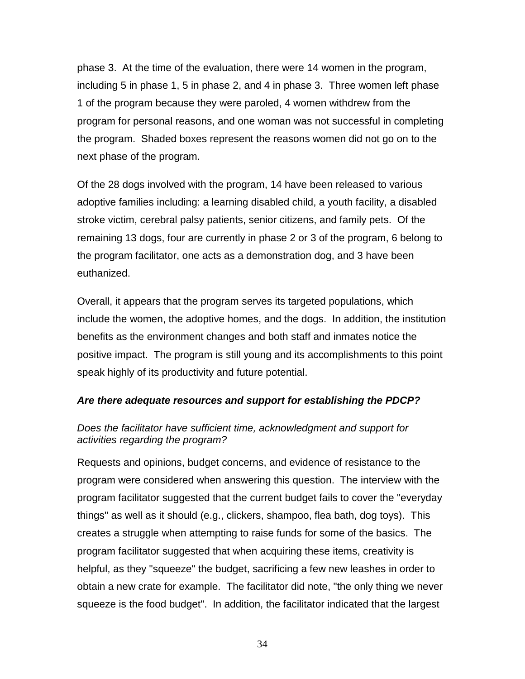phase 3. At the time of the evaluation, there were 14 women in the program, including 5 in phase 1, 5 in phase 2, and 4 in phase 3. Three women left phase 1 of the program because they were paroled, 4 women withdrew from the program for personal reasons, and one woman was not successful in completing the program. Shaded boxes represent the reasons women did not go on to the next phase of the program.

Of the 28 dogs involved with the program, 14 have been released to various adoptive families including: a learning disabled child, a youth facility, a disabled stroke victim, cerebral palsy patients, senior citizens, and family pets. Of the remaining 13 dogs, four are currently in phase 2 or 3 of the program, 6 belong to the program facilitator, one acts as a demonstration dog, and 3 have been euthanized.

Overall, it appears that the program serves its targeted populations, which include the women, the adoptive homes, and the dogs. In addition, the institution benefits as the environment changes and both staff and inmates notice the positive impact. The program is still young and its accomplishments to this point speak highly of its productivity and future potential.

### *Are there adequate resources and support for establishing the PDCP?*

# *Does the facilitator have sufficient time, acknowledgment and support for activities regarding the program?*

Requests and opinions, budget concerns, and evidence of resistance to the program were considered when answering this question. The interview with the program facilitator suggested that the current budget fails to cover the "everyday things" as well as it should (e.g., clickers, shampoo, flea bath, dog toys). This creates a struggle when attempting to raise funds for some of the basics. The program facilitator suggested that when acquiring these items, creativity is helpful, as they "squeeze" the budget, sacrificing a few new leashes in order to obtain a new crate for example. The facilitator did note, "the only thing we never squeeze is the food budget". In addition, the facilitator indicated that the largest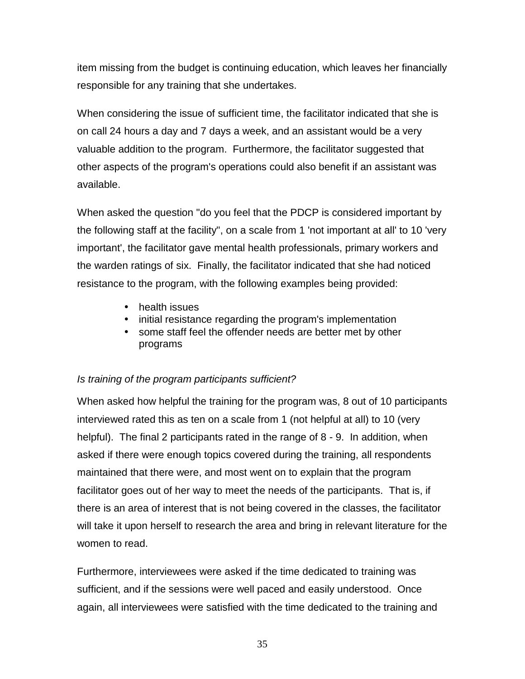item missing from the budget is continuing education, which leaves her financially responsible for any training that she undertakes.

When considering the issue of sufficient time, the facilitator indicated that she is on call 24 hours a day and 7 days a week, and an assistant would be a very valuable addition to the program. Furthermore, the facilitator suggested that other aspects of the program's operations could also benefit if an assistant was available.

When asked the question "do you feel that the PDCP is considered important by the following staff at the facility", on a scale from 1 'not important at all' to 10 'very important', the facilitator gave mental health professionals, primary workers and the warden ratings of six. Finally, the facilitator indicated that she had noticed resistance to the program, with the following examples being provided:

- health issues
- initial resistance regarding the program's implementation
- some staff feel the offender needs are better met by other programs

# *Is training of the program participants sufficient?*

When asked how helpful the training for the program was, 8 out of 10 participants interviewed rated this as ten on a scale from 1 (not helpful at all) to 10 (very helpful). The final 2 participants rated in the range of 8 - 9. In addition, when asked if there were enough topics covered during the training, all respondents maintained that there were, and most went on to explain that the program facilitator goes out of her way to meet the needs of the participants. That is, if there is an area of interest that is not being covered in the classes, the facilitator will take it upon herself to research the area and bring in relevant literature for the women to read.

Furthermore, interviewees were asked if the time dedicated to training was sufficient, and if the sessions were well paced and easily understood. Once again, all interviewees were satisfied with the time dedicated to the training and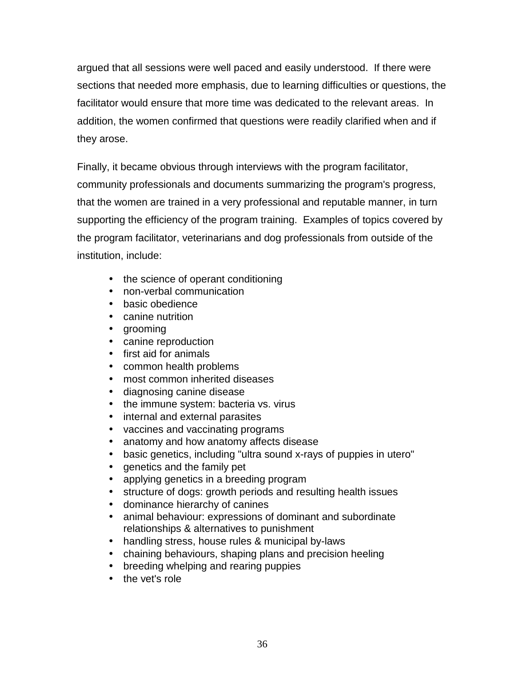argued that all sessions were well paced and easily understood. If there were sections that needed more emphasis, due to learning difficulties or questions, the facilitator would ensure that more time was dedicated to the relevant areas. In addition, the women confirmed that questions were readily clarified when and if they arose.

Finally, it became obvious through interviews with the program facilitator, community professionals and documents summarizing the program's progress, that the women are trained in a very professional and reputable manner, in turn supporting the efficiency of the program training. Examples of topics covered by the program facilitator, veterinarians and dog professionals from outside of the institution, include:

- the science of operant conditioning
- non-verbal communication
- basic obedience
- canine nutrition
- grooming
- canine reproduction
- first aid for animals
- common health problems
- most common inherited diseases
- diagnosing canine disease
- the immune system: bacteria vs. virus
- internal and external parasites
- vaccines and vaccinating programs
- anatomy and how anatomy affects disease
- basic genetics, including "ultra sound x-rays of puppies in utero"
- genetics and the family pet
- applying genetics in a breeding program
- structure of dogs: growth periods and resulting health issues
- dominance hierarchy of canines
- animal behaviour: expressions of dominant and subordinate relationships & alternatives to punishment
- handling stress, house rules & municipal by-laws
- chaining behaviours, shaping plans and precision heeling
- breeding whelping and rearing puppies
- the vet's role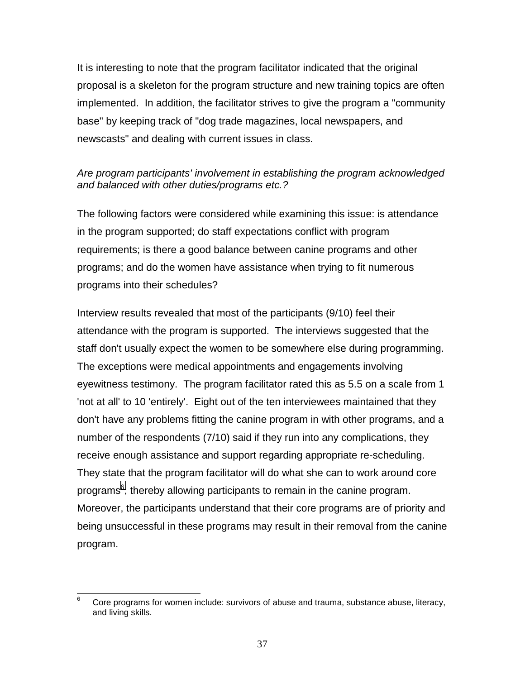It is interesting to note that the program facilitator indicated that the original proposal is a skeleton for the program structure and new training topics are often implemented. In addition, the facilitator strives to give the program a "community base" by keeping track of "dog trade magazines, local newspapers, and newscasts" and dealing with current issues in class.

# *Are program participants' involvement in establishing the program acknowledged and balanced with other duties/programs etc.?*

The following factors were considered while examining this issue: is attendance in the program supported; do staff expectations conflict with program requirements; is there a good balance between canine programs and other programs; and do the women have assistance when trying to fit numerous programs into their schedules?

Interview results revealed that most of the participants (9/10) feel their attendance with the program is supported. The interviews suggested that the staff don't usually expect the women to be somewhere else during programming. The exceptions were medical appointments and engagements involving eyewitness testimony. The program facilitator rated this as 5.5 on a scale from 1 'not at all' to 10 'entirely'. Eight out of the ten interviewees maintained that they don't have any problems fitting the canine program in with other programs, and a number of the respondents (7/10) said if they run into any complications, they receive enough assistance and support regarding appropriate re-scheduling. They state that the program facilitator will do what she can to work around core programs<sup>6</sup>, thereby allowing participants to remain in the canine program. Moreover, the participants understand that their core programs are of priority and being unsuccessful in these programs may result in their removal from the canine program.

<sup>—&</sup>lt;br>6 Core programs for women include: survivors of abuse and trauma, substance abuse, literacy, and living skills.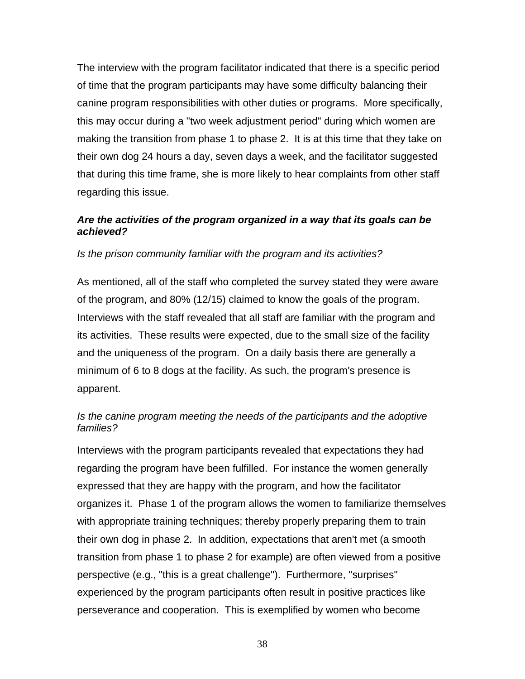The interview with the program facilitator indicated that there is a specific period of time that the program participants may have some difficulty balancing their canine program responsibilities with other duties or programs. More specifically, this may occur during a "two week adjustment period" during which women are making the transition from phase 1 to phase 2. It is at this time that they take on their own dog 24 hours a day, seven days a week, and the facilitator suggested that during this time frame, she is more likely to hear complaints from other staff regarding this issue.

### *Are the activities of the program organized in a way that its goals can be achieved?*

*Is the prison community familiar with the program and its activities?*

As mentioned, all of the staff who completed the survey stated they were aware of the program, and 80% (12/15) claimed to know the goals of the program. Interviews with the staff revealed that all staff are familiar with the program and its activities. These results were expected, due to the small size of the facility and the uniqueness of the program. On a daily basis there are generally a minimum of 6 to 8 dogs at the facility. As such, the program's presence is apparent.

### *Is the canine program meeting the needs of the participants and the adoptive families?*

Interviews with the program participants revealed that expectations they had regarding the program have been fulfilled. For instance the women generally expressed that they are happy with the program, and how the facilitator organizes it. Phase 1 of the program allows the women to familiarize themselves with appropriate training techniques; thereby properly preparing them to train their own dog in phase 2. In addition, expectations that aren't met (a smooth transition from phase 1 to phase 2 for example) are often viewed from a positive perspective (e.g., "this is a great challenge"). Furthermore, "surprises" experienced by the program participants often result in positive practices like perseverance and cooperation. This is exemplified by women who become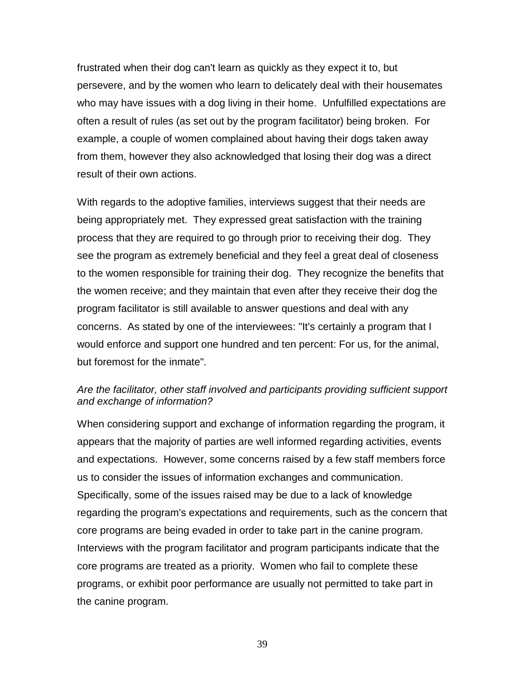frustrated when their dog can't learn as quickly as they expect it to, but persevere, and by the women who learn to delicately deal with their housemates who may have issues with a dog living in their home. Unfulfilled expectations are often a result of rules (as set out by the program facilitator) being broken. For example, a couple of women complained about having their dogs taken away from them, however they also acknowledged that losing their dog was a direct result of their own actions.

With regards to the adoptive families, interviews suggest that their needs are being appropriately met. They expressed great satisfaction with the training process that they are required to go through prior to receiving their dog. They see the program as extremely beneficial and they feel a great deal of closeness to the women responsible for training their dog. They recognize the benefits that the women receive; and they maintain that even after they receive their dog the program facilitator is still available to answer questions and deal with any concerns. As stated by one of the interviewees: "It's certainly a program that I would enforce and support one hundred and ten percent: For us, for the animal, but foremost for the inmate".

### *Are the facilitator, other staff involved and participants providing sufficient support and exchange of information?*

When considering support and exchange of information regarding the program, it appears that the majority of parties are well informed regarding activities, events and expectations. However, some concerns raised by a few staff members force us to consider the issues of information exchanges and communication. Specifically, some of the issues raised may be due to a lack of knowledge regarding the program's expectations and requirements, such as the concern that core programs are being evaded in order to take part in the canine program. Interviews with the program facilitator and program participants indicate that the core programs are treated as a priority. Women who fail to complete these programs, or exhibit poor performance are usually not permitted to take part in the canine program.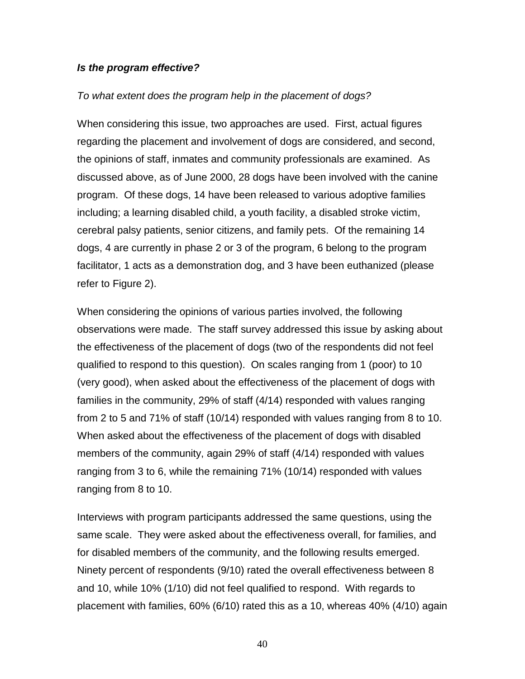#### *Is the program effective?*

#### *To what extent does the program help in the placement of dogs?*

When considering this issue, two approaches are used. First, actual figures regarding the placement and involvement of dogs are considered, and second, the opinions of staff, inmates and community professionals are examined. As discussed above, as of June 2000, 28 dogs have been involved with the canine program. Of these dogs, 14 have been released to various adoptive families including; a learning disabled child, a youth facility, a disabled stroke victim, cerebral palsy patients, senior citizens, and family pets. Of the remaining 14 dogs, 4 are currently in phase 2 or 3 of the program, 6 belong to the program facilitator, 1 acts as a demonstration dog, and 3 have been euthanized (please refer to Figure 2).

When considering the opinions of various parties involved, the following observations were made. The staff survey addressed this issue by asking about the effectiveness of the placement of dogs (two of the respondents did not feel qualified to respond to this question). On scales ranging from 1 (poor) to 10 (very good), when asked about the effectiveness of the placement of dogs with families in the community, 29% of staff (4/14) responded with values ranging from 2 to 5 and 71% of staff (10/14) responded with values ranging from 8 to 10. When asked about the effectiveness of the placement of dogs with disabled members of the community, again 29% of staff (4/14) responded with values ranging from 3 to 6, while the remaining 71% (10/14) responded with values ranging from 8 to 10.

Interviews with program participants addressed the same questions, using the same scale. They were asked about the effectiveness overall, for families, and for disabled members of the community, and the following results emerged. Ninety percent of respondents (9/10) rated the overall effectiveness between 8 and 10, while 10% (1/10) did not feel qualified to respond. With regards to placement with families, 60% (6/10) rated this as a 10, whereas 40% (4/10) again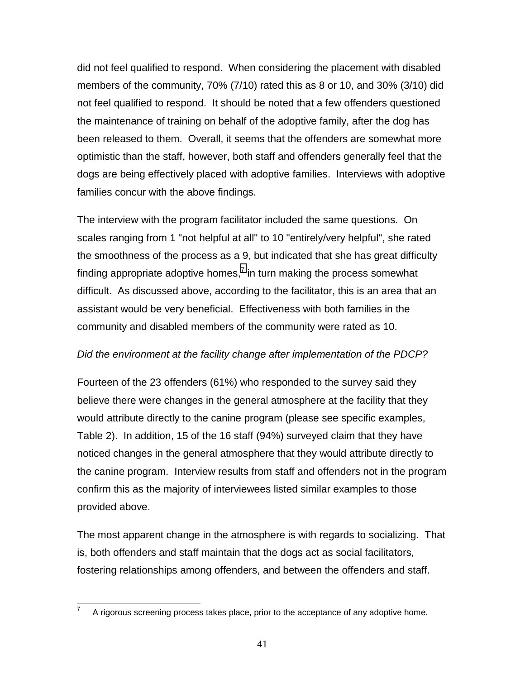did not feel qualified to respond. When considering the placement with disabled members of the community, 70% (7/10) rated this as 8 or 10, and 30% (3/10) did not feel qualified to respond. It should be noted that a few offenders questioned the maintenance of training on behalf of the adoptive family, after the dog has been released to them. Overall, it seems that the offenders are somewhat more optimistic than the staff, however, both staff and offenders generally feel that the dogs are being effectively placed with adoptive families. Interviews with adoptive families concur with the above findings.

The interview with the program facilitator included the same questions. On scales ranging from 1 "not helpful at all" to 10 "entirely/very helpful", she rated the smoothness of the process as a 9, but indicated that she has great difficulty finding appropriate adoptive homes, $^7$  in turn making the process somewhat difficult. As discussed above, according to the facilitator, this is an area that an assistant would be very beneficial. Effectiveness with both families in the community and disabled members of the community were rated as 10.

### *Did the environment at the facility change after implementation of the PDCP?*

Fourteen of the 23 offenders (61%) who responded to the survey said they believe there were changes in the general atmosphere at the facility that they would attribute directly to the canine program (please see specific examples, Table 2). In addition, 15 of the 16 staff (94%) surveyed claim that they have noticed changes in the general atmosphere that they would attribute directly to the canine program. Interview results from staff and offenders not in the program confirm this as the majority of interviewees listed similar examples to those provided above.

The most apparent change in the atmosphere is with regards to socializing. That is, both offenders and staff maintain that the dogs act as social facilitators, fostering relationships among offenders, and between the offenders and staff.

 $\overline{a}$ 

<sup>7</sup> A rigorous screening process takes place, prior to the acceptance of any adoptive home.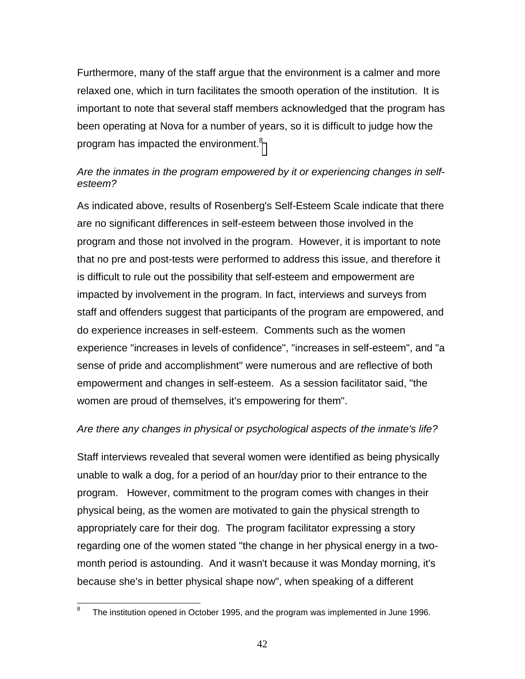Furthermore, many of the staff argue that the environment is a calmer and more relaxed one, which in turn facilitates the smooth operation of the institution. It is important to note that several staff members acknowledged that the program has been operating at Nova for a number of years, so it is difficult to judge how the program has impacted the environment.<sup>8</sup>

# *Are the inmates in the program empowered by it or experiencing changes in selfesteem?*

As indicated above, results of Rosenberg's Self-Esteem Scale indicate that there are no significant differences in self-esteem between those involved in the program and those not involved in the program. However, it is important to note that no pre and post-tests were performed to address this issue, and therefore it is difficult to rule out the possibility that self-esteem and empowerment are impacted by involvement in the program. In fact, interviews and surveys from staff and offenders suggest that participants of the program are empowered, and do experience increases in self-esteem. Comments such as the women experience "increases in levels of confidence", "increases in self-esteem", and "a sense of pride and accomplishment" were numerous and are reflective of both empowerment and changes in self-esteem. As a session facilitator said, "the women are proud of themselves, it's empowering for them".

# *Are there any changes in physical or psychological aspects of the inmate's life?*

Staff interviews revealed that several women were identified as being physically unable to walk a dog, for a period of an hour/day prior to their entrance to the program. However, commitment to the program comes with changes in their physical being, as the women are motivated to gain the physical strength to appropriately care for their dog. The program facilitator expressing a story regarding one of the women stated "the change in her physical energy in a twomonth period is astounding. And it wasn't because it was Monday morning, it's because she's in better physical shape now", when speaking of a different

 $\frac{1}{8}$ The institution opened in October 1995, and the program was implemented in June 1996.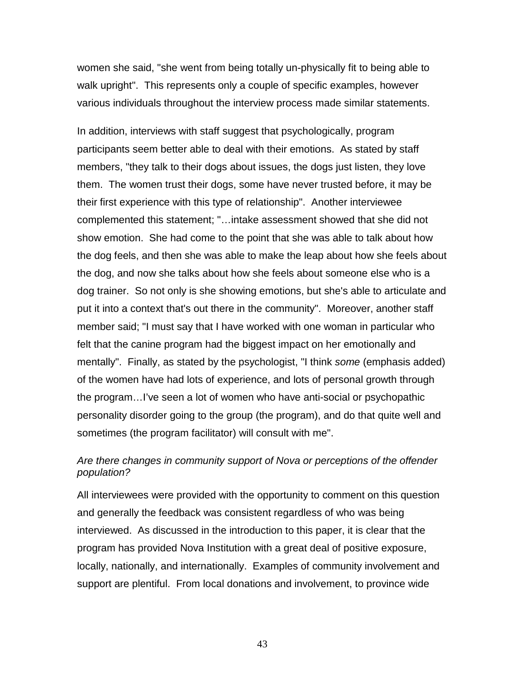women she said, "she went from being totally un-physically fit to being able to walk upright". This represents only a couple of specific examples, however various individuals throughout the interview process made similar statements.

In addition, interviews with staff suggest that psychologically, program participants seem better able to deal with their emotions. As stated by staff members, "they talk to their dogs about issues, the dogs just listen, they love them. The women trust their dogs, some have never trusted before, it may be their first experience with this type of relationship". Another interviewee complemented this statement; "…intake assessment showed that she did not show emotion. She had come to the point that she was able to talk about how the dog feels, and then she was able to make the leap about how she feels about the dog, and now she talks about how she feels about someone else who is a dog trainer. So not only is she showing emotions, but she's able to articulate and put it into a context that's out there in the community". Moreover, another staff member said; "I must say that I have worked with one woman in particular who felt that the canine program had the biggest impact on her emotionally and mentally". Finally, as stated by the psychologist, "I think *some* (emphasis added) of the women have had lots of experience, and lots of personal growth through the program…I've seen a lot of women who have anti-social or psychopathic personality disorder going to the group (the program), and do that quite well and sometimes (the program facilitator) will consult with me".

#### *Are there changes in community support of Nova or perceptions of the offender population?*

All interviewees were provided with the opportunity to comment on this question and generally the feedback was consistent regardless of who was being interviewed. As discussed in the introduction to this paper, it is clear that the program has provided Nova Institution with a great deal of positive exposure, locally, nationally, and internationally. Examples of community involvement and support are plentiful. From local donations and involvement, to province wide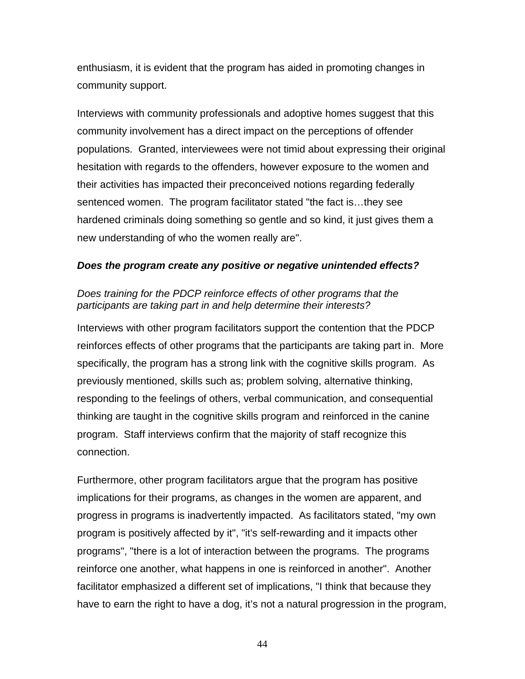enthusiasm, it is evident that the program has aided in promoting changes in community support.

Interviews with community professionals and adoptive homes suggest that this community involvement has a direct impact on the perceptions of offender populations. Granted, interviewees were not timid about expressing their original hesitation with regards to the offenders, however exposure to the women and their activities has impacted their preconceived notions regarding federally sentenced women. The program facilitator stated "the fact is…they see hardened criminals doing something so gentle and so kind, it just gives them a new understanding of who the women really are".

### *Does the program create any positive or negative unintended effects?*

### *Does training for the PDCP reinforce effects of other programs that the participants are taking part in and help determine their interests?*

Interviews with other program facilitators support the contention that the PDCP reinforces effects of other programs that the participants are taking part in. More specifically, the program has a strong link with the cognitive skills program. As previously mentioned, skills such as; problem solving, alternative thinking, responding to the feelings of others, verbal communication, and consequential thinking are taught in the cognitive skills program and reinforced in the canine program. Staff interviews confirm that the majority of staff recognize this connection.

Furthermore, other program facilitators argue that the program has positive implications for their programs, as changes in the women are apparent, and progress in programs is inadvertently impacted. As facilitators stated, "my own program is positively affected by it", "it's self-rewarding and it impacts other programs", "there is a lot of interaction between the programs. The programs reinforce one another, what happens in one is reinforced in another". Another facilitator emphasized a different set of implications, "I think that because they have to earn the right to have a dog, it's not a natural progression in the program,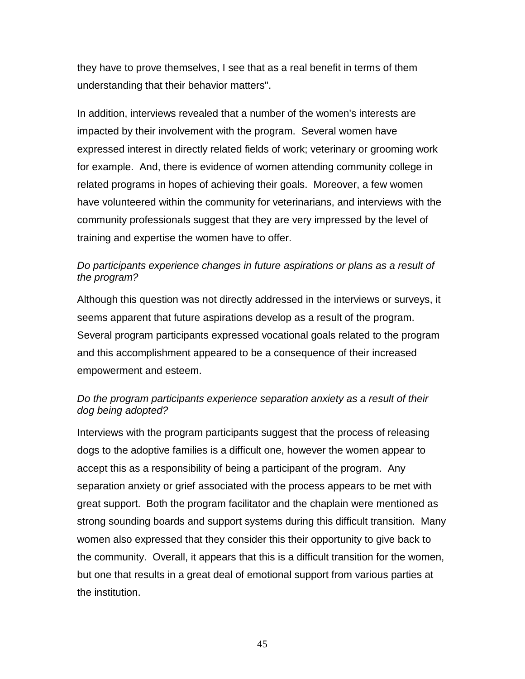they have to prove themselves, I see that as a real benefit in terms of them understanding that their behavior matters".

In addition, interviews revealed that a number of the women's interests are impacted by their involvement with the program. Several women have expressed interest in directly related fields of work; veterinary or grooming work for example. And, there is evidence of women attending community college in related programs in hopes of achieving their goals. Moreover, a few women have volunteered within the community for veterinarians, and interviews with the community professionals suggest that they are very impressed by the level of training and expertise the women have to offer.

### *Do participants experience changes in future aspirations or plans as a result of the program?*

Although this question was not directly addressed in the interviews or surveys, it seems apparent that future aspirations develop as a result of the program. Several program participants expressed vocational goals related to the program and this accomplishment appeared to be a consequence of their increased empowerment and esteem.

# *Do the program participants experience separation anxiety as a result of their dog being adopted?*

Interviews with the program participants suggest that the process of releasing dogs to the adoptive families is a difficult one, however the women appear to accept this as a responsibility of being a participant of the program. Any separation anxiety or grief associated with the process appears to be met with great support. Both the program facilitator and the chaplain were mentioned as strong sounding boards and support systems during this difficult transition. Many women also expressed that they consider this their opportunity to give back to the community. Overall, it appears that this is a difficult transition for the women, but one that results in a great deal of emotional support from various parties at the institution.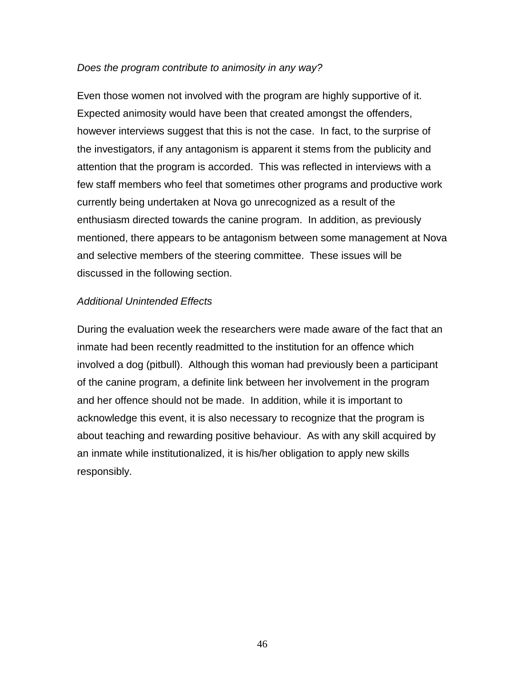#### *Does the program contribute to animosity in any way?*

Even those women not involved with the program are highly supportive of it. Expected animosity would have been that created amongst the offenders, however interviews suggest that this is not the case. In fact, to the surprise of the investigators, if any antagonism is apparent it stems from the publicity and attention that the program is accorded. This was reflected in interviews with a few staff members who feel that sometimes other programs and productive work currently being undertaken at Nova go unrecognized as a result of the enthusiasm directed towards the canine program. In addition, as previously mentioned, there appears to be antagonism between some management at Nova and selective members of the steering committee. These issues will be discussed in the following section.

#### *Additional Unintended Effects*

During the evaluation week the researchers were made aware of the fact that an inmate had been recently readmitted to the institution for an offence which involved a dog (pitbull). Although this woman had previously been a participant of the canine program, a definite link between her involvement in the program and her offence should not be made. In addition, while it is important to acknowledge this event, it is also necessary to recognize that the program is about teaching and rewarding positive behaviour. As with any skill acquired by an inmate while institutionalized, it is his/her obligation to apply new skills responsibly.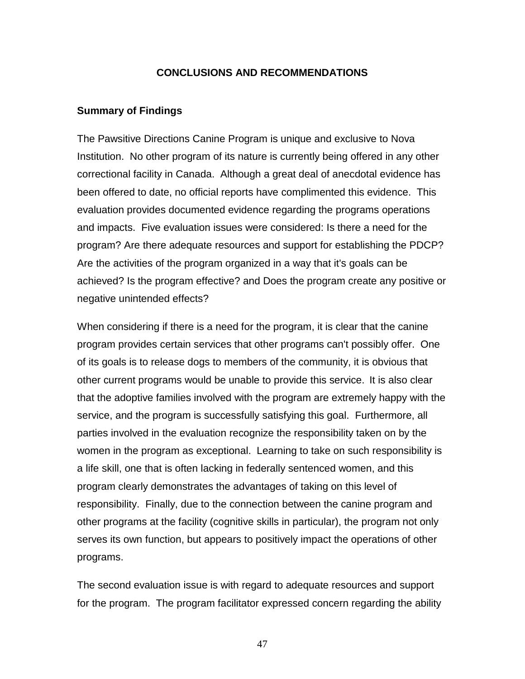#### **CONCLUSIONS AND RECOMMENDATIONS**

#### **Summary of Findings**

The Pawsitive Directions Canine Program is unique and exclusive to Nova Institution. No other program of its nature is currently being offered in any other correctional facility in Canada. Although a great deal of anecdotal evidence has been offered to date, no official reports have complimented this evidence. This evaluation provides documented evidence regarding the programs operations and impacts. Five evaluation issues were considered: Is there a need for the program? Are there adequate resources and support for establishing the PDCP? Are the activities of the program organized in a way that it's goals can be achieved? Is the program effective? and Does the program create any positive or negative unintended effects?

When considering if there is a need for the program, it is clear that the canine program provides certain services that other programs can't possibly offer. One of its goals is to release dogs to members of the community, it is obvious that other current programs would be unable to provide this service. It is also clear that the adoptive families involved with the program are extremely happy with the service, and the program is successfully satisfying this goal. Furthermore, all parties involved in the evaluation recognize the responsibility taken on by the women in the program as exceptional. Learning to take on such responsibility is a life skill, one that is often lacking in federally sentenced women, and this program clearly demonstrates the advantages of taking on this level of responsibility. Finally, due to the connection between the canine program and other programs at the facility (cognitive skills in particular), the program not only serves its own function, but appears to positively impact the operations of other programs.

The second evaluation issue is with regard to adequate resources and support for the program. The program facilitator expressed concern regarding the ability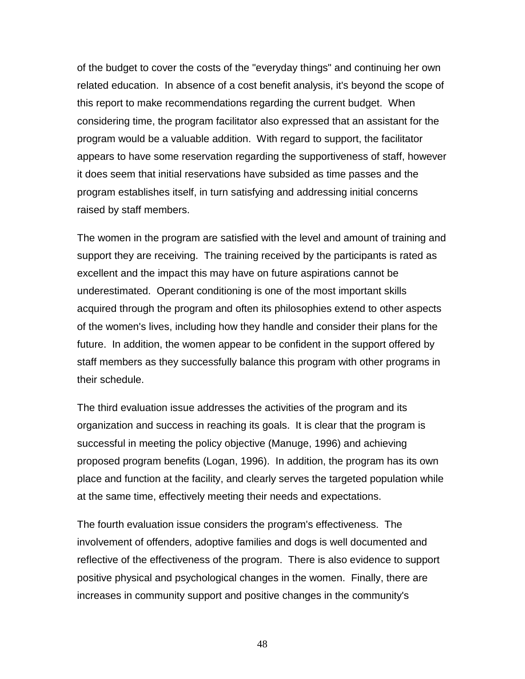of the budget to cover the costs of the "everyday things" and continuing her own related education. In absence of a cost benefit analysis, it's beyond the scope of this report to make recommendations regarding the current budget. When considering time, the program facilitator also expressed that an assistant for the program would be a valuable addition. With regard to support, the facilitator appears to have some reservation regarding the supportiveness of staff, however it does seem that initial reservations have subsided as time passes and the program establishes itself, in turn satisfying and addressing initial concerns raised by staff members.

The women in the program are satisfied with the level and amount of training and support they are receiving. The training received by the participants is rated as excellent and the impact this may have on future aspirations cannot be underestimated. Operant conditioning is one of the most important skills acquired through the program and often its philosophies extend to other aspects of the women's lives, including how they handle and consider their plans for the future. In addition, the women appear to be confident in the support offered by staff members as they successfully balance this program with other programs in their schedule.

The third evaluation issue addresses the activities of the program and its organization and success in reaching its goals. It is clear that the program is successful in meeting the policy objective (Manuge, 1996) and achieving proposed program benefits (Logan, 1996). In addition, the program has its own place and function at the facility, and clearly serves the targeted population while at the same time, effectively meeting their needs and expectations.

The fourth evaluation issue considers the program's effectiveness. The involvement of offenders, adoptive families and dogs is well documented and reflective of the effectiveness of the program. There is also evidence to support positive physical and psychological changes in the women. Finally, there are increases in community support and positive changes in the community's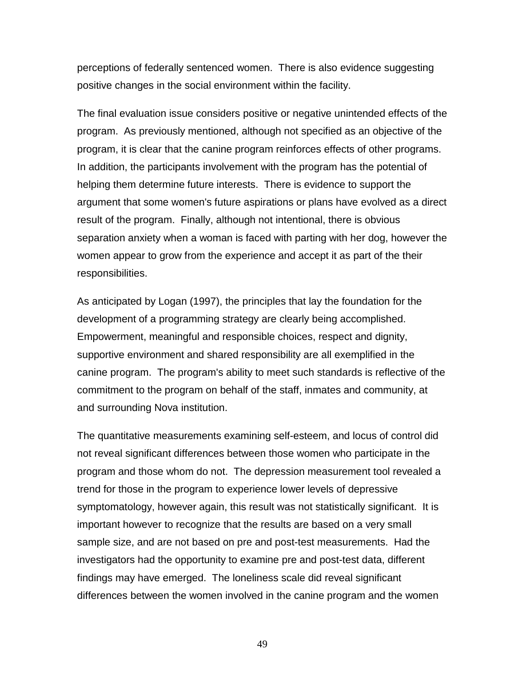perceptions of federally sentenced women. There is also evidence suggesting positive changes in the social environment within the facility.

The final evaluation issue considers positive or negative unintended effects of the program. As previously mentioned, although not specified as an objective of the program, it is clear that the canine program reinforces effects of other programs. In addition, the participants involvement with the program has the potential of helping them determine future interests. There is evidence to support the argument that some women's future aspirations or plans have evolved as a direct result of the program. Finally, although not intentional, there is obvious separation anxiety when a woman is faced with parting with her dog, however the women appear to grow from the experience and accept it as part of the their responsibilities.

As anticipated by Logan (1997), the principles that lay the foundation for the development of a programming strategy are clearly being accomplished. Empowerment, meaningful and responsible choices, respect and dignity, supportive environment and shared responsibility are all exemplified in the canine program. The program's ability to meet such standards is reflective of the commitment to the program on behalf of the staff, inmates and community, at and surrounding Nova institution.

The quantitative measurements examining self-esteem, and locus of control did not reveal significant differences between those women who participate in the program and those whom do not. The depression measurement tool revealed a trend for those in the program to experience lower levels of depressive symptomatology, however again, this result was not statistically significant. It is important however to recognize that the results are based on a very small sample size, and are not based on pre and post-test measurements. Had the investigators had the opportunity to examine pre and post-test data, different findings may have emerged. The loneliness scale did reveal significant differences between the women involved in the canine program and the women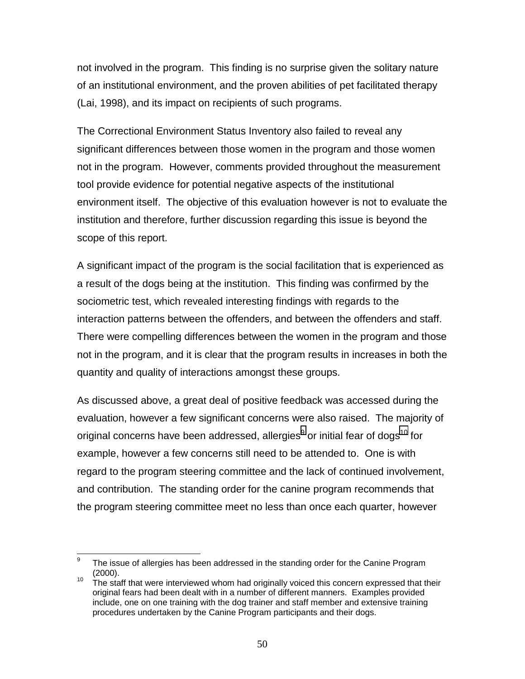not involved in the program. This finding is no surprise given the solitary nature of an institutional environment, and the proven abilities of pet facilitated therapy (Lai, 1998), and its impact on recipients of such programs.

The Correctional Environment Status Inventory also failed to reveal any significant differences between those women in the program and those women not in the program. However, comments provided throughout the measurement tool provide evidence for potential negative aspects of the institutional environment itself. The objective of this evaluation however is not to evaluate the institution and therefore, further discussion regarding this issue is beyond the scope of this report.

A significant impact of the program is the social facilitation that is experienced as a result of the dogs being at the institution. This finding was confirmed by the sociometric test, which revealed interesting findings with regards to the interaction patterns between the offenders, and between the offenders and staff. There were compelling differences between the women in the program and those not in the program, and it is clear that the program results in increases in both the quantity and quality of interactions amongst these groups.

As discussed above, a great deal of positive feedback was accessed during the evaluation, however a few significant concerns were also raised. The majority of original concerns have been addressed, allergies $^9$  or initial fear of dogs $^{\rm 10}$  for example, however a few concerns still need to be attended to. One is with regard to the program steering committee and the lack of continued involvement, and contribution. The standing order for the canine program recommends that the program steering committee meet no less than once each quarter, however

<sup>-&</sup>lt;br>9 The issue of allergies has been addressed in the standing order for the Canine Program

<sup>&</sup>lt;sup>10</sup> The staff that were interviewed whom had originally voiced this concern expressed that their original fears had been dealt with in a number of different manners. Examples provided include, one on one training with the dog trainer and staff member and extensive training procedures undertaken by the Canine Program participants and their dogs.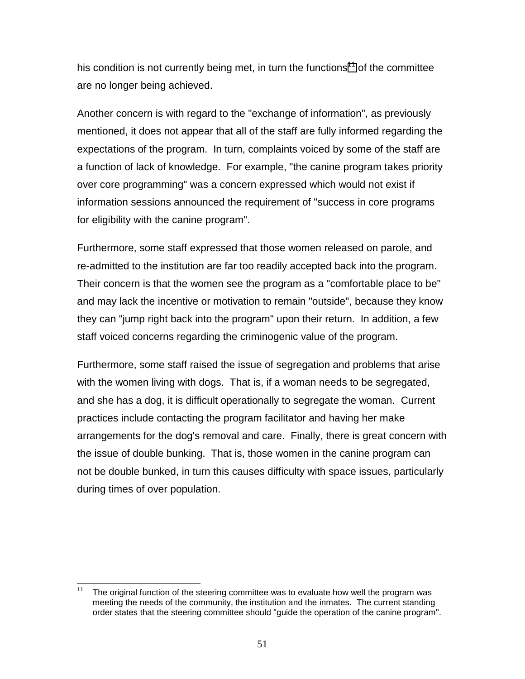his condition is not currently being met, in turn the functions<sup>11</sup> of the committee are no longer being achieved.

Another concern is with regard to the "exchange of information", as previously mentioned, it does not appear that all of the staff are fully informed regarding the expectations of the program. In turn, complaints voiced by some of the staff are a function of lack of knowledge. For example, "the canine program takes priority over core programming" was a concern expressed which would not exist if information sessions announced the requirement of "success in core programs for eligibility with the canine program".

Furthermore, some staff expressed that those women released on parole, and re-admitted to the institution are far too readily accepted back into the program. Their concern is that the women see the program as a "comfortable place to be" and may lack the incentive or motivation to remain "outside", because they know they can "jump right back into the program" upon their return. In addition, a few staff voiced concerns regarding the criminogenic value of the program.

Furthermore, some staff raised the issue of segregation and problems that arise with the women living with dogs. That is, if a woman needs to be segregated, and she has a dog, it is difficult operationally to segregate the woman. Current practices include contacting the program facilitator and having her make arrangements for the dog's removal and care. Finally, there is great concern with the issue of double bunking. That is, those women in the canine program can not be double bunked, in turn this causes difficulty with space issues, particularly during times of over population.

 $11$ The original function of the steering committee was to evaluate how well the program was meeting the needs of the community, the institution and the inmates. The current standing order states that the steering committee should "guide the operation of the canine program".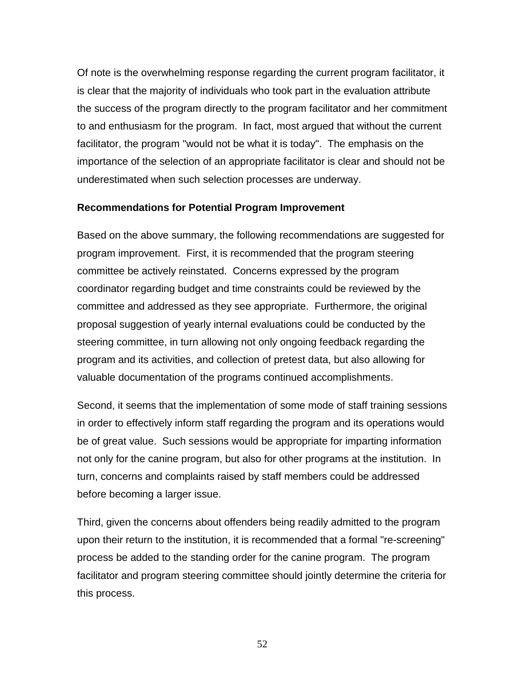Of note is the overwhelming response regarding the current program facilitator, it is clear that the majority of individuals who took part in the evaluation attribute the success of the program directly to the program facilitator and her commitment to and enthusiasm for the program. In fact, most argued that without the current facilitator, the program "would not be what it is today". The emphasis on the importance of the selection of an appropriate facilitator is clear and should not be underestimated when such selection processes are underway.

### **Recommendations for Potential Program Improvement**

Based on the above summary, the following recommendations are suggested for program improvement. First, it is recommended that the program steering committee be actively reinstated. Concerns expressed by the program coordinator regarding budget and time constraints could be reviewed by the committee and addressed as they see appropriate. Furthermore, the original proposal suggestion of yearly internal evaluations could be conducted by the steering committee, in turn allowing not only ongoing feedback regarding the program and its activities, and collection of pretest data, but also allowing for valuable documentation of the programs continued accomplishments.

Second, it seems that the implementation of some mode of staff training sessions in order to effectively inform staff regarding the program and its operations would be of great value. Such sessions would be appropriate for imparting information not only for the canine program, but also for other programs at the institution. In turn, concerns and complaints raised by staff members could be addressed before becoming a larger issue.

Third, given the concerns about offenders being readily admitted to the program upon their return to the institution, it is recommended that a formal "re-screening" process be added to the standing order for the canine program. The program facilitator and program steering committee should jointly determine the criteria for this process.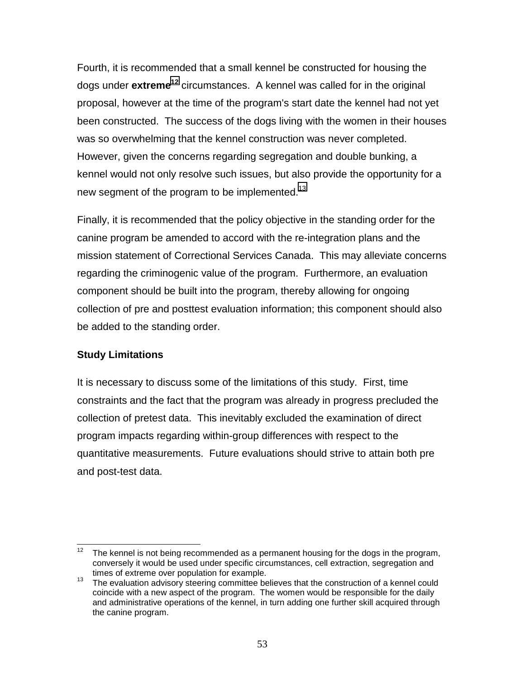Fourth, it is recommended that a small kennel be constructed for housing the dogs under **extreme12** circumstances. A kennel was called for in the original proposal, however at the time of the program's start date the kennel had not yet been constructed. The success of the dogs living with the women in their houses was so overwhelming that the kennel construction was never completed. However, given the concerns regarding segregation and double bunking, a kennel would not only resolve such issues, but also provide the opportunity for a new segment of the program to be implemented.<sup>13</sup>

Finally, it is recommended that the policy objective in the standing order for the canine program be amended to accord with the re-integration plans and the mission statement of Correctional Services Canada. This may alleviate concerns regarding the criminogenic value of the program. Furthermore, an evaluation component should be built into the program, thereby allowing for ongoing collection of pre and posttest evaluation information; this component should also be added to the standing order.

# **Study Limitations**

It is necessary to discuss some of the limitations of this study. First, time constraints and the fact that the program was already in progress precluded the collection of pretest data. This inevitably excluded the examination of direct program impacts regarding within-group differences with respect to the quantitative measurements. Future evaluations should strive to attain both pre and post-test data.

 $12$ The kennel is not being recommended as a permanent housing for the dogs in the program, conversely it would be used under specific circumstances, cell extraction, segregation and

times of extreme over population for example.<br><sup>13</sup> The evaluation advisory steering committee believes that the construction of a kennel could coincide with a new aspect of the program. The women would be responsible for the daily and administrative operations of the kennel, in turn adding one further skill acquired through the canine program.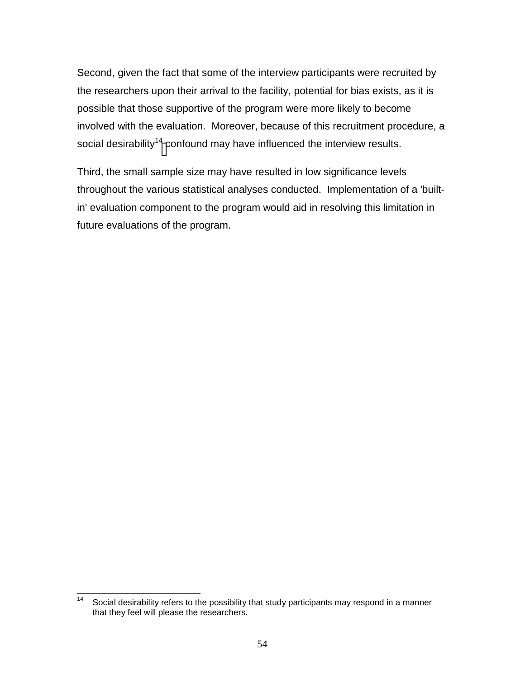Second, given the fact that some of the interview participants were recruited by the researchers upon their arrival to the facility, potential for bias exists, as it is possible that those supportive of the program were more likely to become involved with the evaluation. Moreover, because of this recruitment procedure, a social desirability<sup>14</sup> confound may have influenced the interview results.

Third, the small sample size may have resulted in low significance levels throughout the various statistical analyses conducted. Implementation of a 'builtin' evaluation component to the program would aid in resolving this limitation in future evaluations of the program.

 $14$ Social desirability refers to the possibility that study participants may respond in a manner that they feel will please the researchers.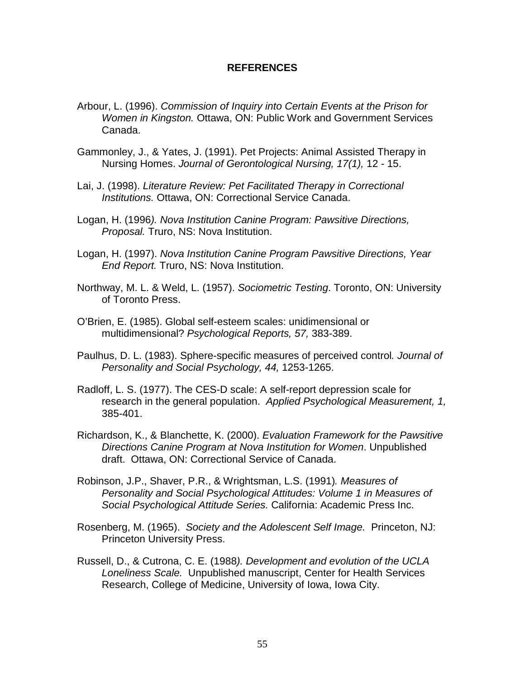#### **REFERENCES**

- Arbour, L. (1996). *Commission of Inquiry into Certain Events at the Prison for Women in Kingston.* Ottawa, ON: Public Work and Government Services Canada.
- Gammonley, J., & Yates, J. (1991). Pet Projects: Animal Assisted Therapy in Nursing Homes. *Journal of Gerontological Nursing, 17(1),* 12 - 15.
- Lai, J. (1998). *Literature Review: Pet Facilitated Therapy in Correctional Institutions.* Ottawa, ON: Correctional Service Canada.
- Logan, H. (1996*). Nova Institution Canine Program: Pawsitive Directions, Proposal.* Truro, NS: Nova Institution.
- Logan, H. (1997). *Nova Institution Canine Program Pawsitive Directions, Year End Report.* Truro, NS: Nova Institution.
- Northway, M. L. & Weld, L. (1957). *Sociometric Testing*. Toronto, ON: University of Toronto Press.
- O'Brien, E. (1985). Global self-esteem scales: unidimensional or multidimensional? *Psychological Reports, 57,* 383-389.
- Paulhus, D. L. (1983). Sphere-specific measures of perceived control*. Journal of Personality and Social Psychology, 44,* 1253-1265.
- Radloff, L. S. (1977). The CES-D scale: A self-report depression scale for research in the general population. *Applied Psychological Measurement, 1,* 385-401.
- Richardson, K., & Blanchette, K. (2000). *Evaluation Framework for the Pawsitive Directions Canine Program at Nova Institution for Women*. Unpublished draft. Ottawa, ON: Correctional Service of Canada.
- Robinson, J.P., Shaver, P.R., & Wrightsman, L.S. (1991)*. Measures of Personality and Social Psychological Attitudes: Volume 1 in Measures of Social Psychological Attitude Series.* California: Academic Press Inc.
- Rosenberg, M. (1965). *Society and the Adolescent Self Image.* Princeton, NJ: Princeton University Press.
- Russell, D., & Cutrona, C. E. (1988*). Development and evolution of the UCLA Loneliness Scale.* Unpublished manuscript, Center for Health Services Research, College of Medicine, University of Iowa, Iowa City.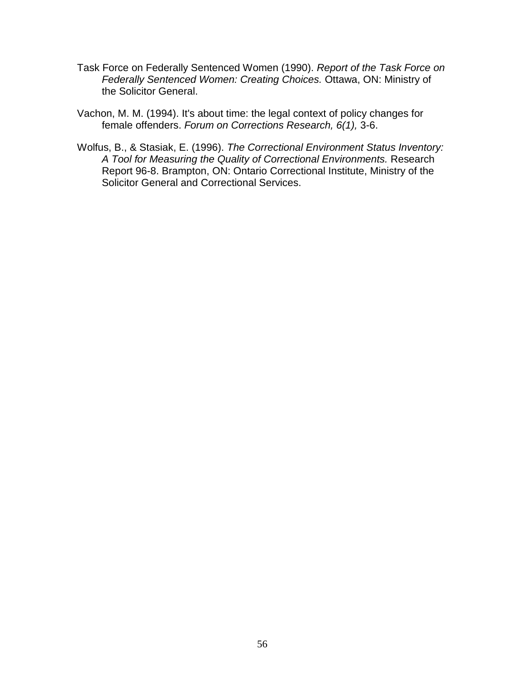- Task Force on Federally Sentenced Women (1990). *Report of the Task Force on Federally Sentenced Women: Creating Choices.* Ottawa, ON: Ministry of the Solicitor General.
- Vachon, M. M. (1994). It's about time: the legal context of policy changes for female offenders. *Forum on Corrections Research, 6(1),* 3-6.
- Wolfus, B., & Stasiak, E. (1996). *The Correctional Environment Status Inventory: A Tool for Measuring the Quality of Correctional Environments.* Research Report 96-8. Brampton, ON: Ontario Correctional Institute, Ministry of the Solicitor General and Correctional Services.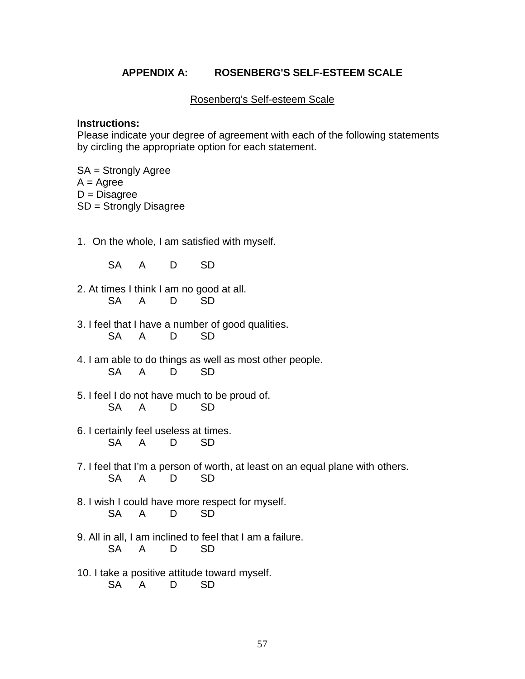### **APPENDIX A: ROSENBERG'S SELF-ESTEEM SCALE**

Rosenberg's Self-esteem Scale

#### **Instructions:**

Please indicate your degree of agreement with each of the following statements by circling the appropriate option for each statement.

SA = Strongly Agree  $A = A$ gree  $D = Disagree$ SD = Strongly Disagree

- 1. On the whole, I am satisfied with myself.
	- SA A D SD
- 2. At times I think I am no good at all. SA A D SD
- 3. I feel that I have a number of good qualities. SA A D SD
- 4. I am able to do things as well as most other people. SA A D SD
- 5. I feel I do not have much to be proud of. SA A D SD
- 6. I certainly feel useless at times. SA A D SD
- 7. I feel that I'm a person of worth, at least on an equal plane with others. SA A D SD
- 8. I wish I could have more respect for myself. SA A D SD
- 9. All in all, I am inclined to feel that I am a failure. SA A D SD
- 10. I take a positive attitude toward myself. SA A D SD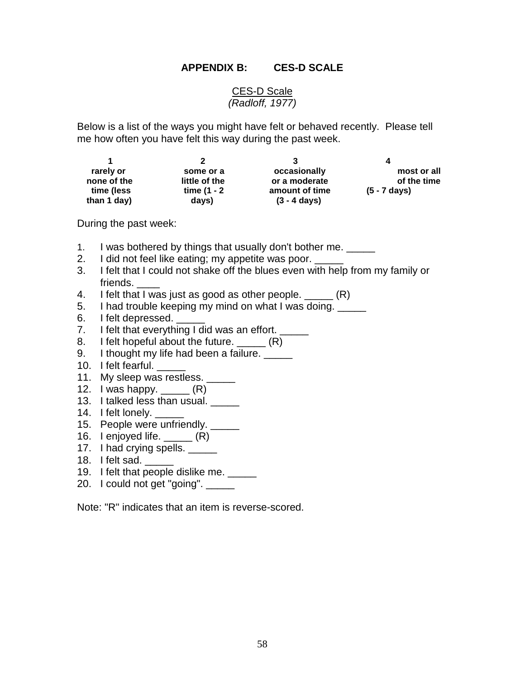#### **APPENDIX B: CES-D SCALE**

#### CES-D Scale *(Radloff, 1977)*

Below is a list of the ways you might have felt or behaved recently. Please tell me how often you have felt this way during the past week.

| rarely or   | some or a     | occasionally           | most or all            |
|-------------|---------------|------------------------|------------------------|
| none of the | little of the | or a moderate          | of the time            |
| time (less  | time (1 - 2   | amount of time         | $(5 - 7 \text{ days})$ |
| than 1 day) | days)         | $(3 - 4 \text{ days})$ |                        |

During the past week:

- 1. I was bothered by things that usually don't bother me.
- 2. I did not feel like eating; my appetite was poor.
- 3. I felt that I could not shake off the blues even with help from my family or friends.
- 4. I felt that I was just as good as other people.  $(R)$
- 5. I had trouble keeping my mind on what I was doing.
- 6. I felt depressed.
- 7. I felt that everything I did was an effort. \_\_\_\_\_
- 8. I felt hopeful about the future. (R)
- 9. I thought my life had been a failure.
- 10. I felt fearful.
- 11. My sleep was restless. \_\_\_\_\_
- 12. I was happy.  $\qquad \qquad$   $(R)$
- 13. I talked less than usual.
- 14. I felt lonely.
- 15. People were unfriendly. \_\_\_\_\_
- 16. I enjoyed life.  $\underline{\hspace{1cm}}$   $(R)$
- 17. I had crying spells.
- 18. I felt sad.
- 19. I felt that people dislike me.
- 20. I could not get "going". \_\_\_\_\_\_

Note: "R" indicates that an item is reverse-scored.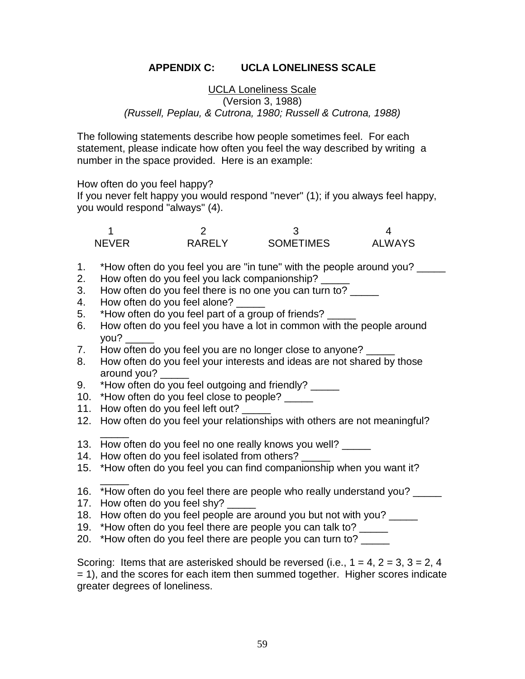# **APPENDIX C: UCLA LONELINESS SCALE**

### UCLA Loneliness Scale (Version 3, 1988) *(Russell, Peplau, & Cutrona, 1980; Russell & Cutrona, 1988)*

The following statements describe how people sometimes feel. For each statement, please indicate how often you feel the way described by writing a number in the space provided. Here is an example:

How often do you feel happy?

If you never felt happy you would respond "never" (1); if you always feel happy, you would respond "always" (4).

| NFVFR | RARFIY | <b>SOMETIMES</b> | AI WAYS |
|-------|--------|------------------|---------|

- 1. \*How often do you feel you are "in tune" with the people around you? \_\_\_\_\_
- 2. How often do you feel you lack companionship?
- 3. How often do you feel there is no one you can turn to?
- 4. How often do you feel alone?
- 5. \*How often do you feel part of a group of friends?
- 6. How often do you feel you have a lot in common with the people around you? \_\_\_\_\_
- 7. How often do you feel you are no longer close to anyone?
- 8. How often do you feel your interests and ideas are not shared by those around you?
- 9. \*How often do you feel outgoing and friendly?
- 10. \*How often do you feel close to people?
- 11. How often do you feel left out?
- 12. How often do you feel your relationships with others are not meaningful?
- $\overline{\phantom{a}}$ 13. How often do you feel no one really knows you well?
- 14. How often do you feel isolated from others?
- 15. \*How often do you feel you can find companionship when you want it?
- 16. \*How often do you feel there are people who really understand you? \_\_\_\_\_
- 17. How often do you feel shy?

 $\overline{\phantom{a}}$ 

- 18. How often do you feel people are around you but not with you? \_\_\_\_\_
- 19. \*How often do you feel there are people you can talk to? \_\_\_\_\_
- 20. \*How often do you feel there are people you can turn to? \_\_\_\_\_

Scoring: Items that are asterisked should be reversed (i.e.,  $1 = 4$ ,  $2 = 3$ ,  $3 = 2$ ,  $4$ = 1), and the scores for each item then summed together. Higher scores indicate greater degrees of loneliness.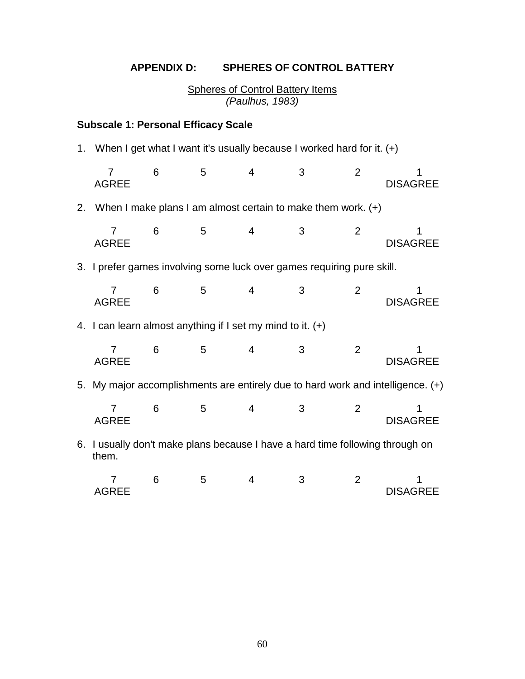# **APPENDIX D: SPHERES OF CONTROL BATTERY**

Spheres of Control Battery Items *(Paulhus, 1983)*

# **Subscale 1: Personal Efficacy Scale**

1. When I get what I want it's usually because I worked hard for it. (+)

|    | 7<br><b>AGREE</b>                                            | 6 | 5 | $\overline{4}$ | 3                                                                             | 2              | <b>DISAGREE</b>                                                                 |
|----|--------------------------------------------------------------|---|---|----------------|-------------------------------------------------------------------------------|----------------|---------------------------------------------------------------------------------|
| 2. |                                                              |   |   |                | When I make plans I am almost certain to make them work. $(+)$                |                |                                                                                 |
|    | <b>AGREE</b>                                                 | 6 | 5 | $\overline{4}$ | 3                                                                             | 2              | <b>DISAGREE</b>                                                                 |
|    |                                                              |   |   |                | 3. I prefer games involving some luck over games requiring pure skill.        |                |                                                                                 |
|    | <b>AGREE</b>                                                 | 6 | 5 | 4              | 3                                                                             | $\overline{2}$ | <b>DISAGREE</b>                                                                 |
|    | 4. I can learn almost anything if I set my mind to it. $(+)$ |   |   |                |                                                                               |                |                                                                                 |
|    | 7<br><b>AGREE</b>                                            | 6 | 5 | 4              | 3                                                                             | $\overline{2}$ | <b>DISAGREE</b>                                                                 |
|    |                                                              |   |   |                |                                                                               |                | 5. My major accomplishments are entirely due to hard work and intelligence. (+) |
|    | 7<br><b>AGREE</b>                                            | 6 | 5 | $\overline{4}$ | 3                                                                             | 2              | <b>DISAGREE</b>                                                                 |
|    | them.                                                        |   |   |                | 6. I usually don't make plans because I have a hard time following through on |                |                                                                                 |
|    | 7                                                            | 6 | 5 | 4              | 3                                                                             | 2              |                                                                                 |

AGREE DISAGREE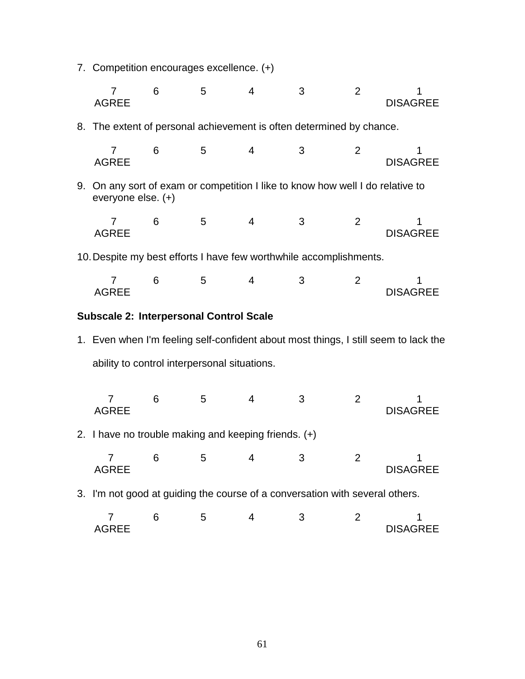7. Competition encourages excellence. (+)

|    | 7<br><b>AGREE</b>                                                                                 | 6 | 5 | 4              | 3 | $\overline{2}$ | <b>DISAGREE</b>                                                                     |
|----|---------------------------------------------------------------------------------------------------|---|---|----------------|---|----------------|-------------------------------------------------------------------------------------|
|    | 8. The extent of personal achievement is often determined by chance.                              |   |   |                |   |                |                                                                                     |
|    | 7<br><b>AGREE</b>                                                                                 | 6 | 5 | 4              | 3 | $\overline{2}$ | <b>DISAGREE</b>                                                                     |
| 9. | On any sort of exam or competition I like to know how well I do relative to<br>everyone else. (+) |   |   |                |   |                |                                                                                     |
|    | 7<br><b>AGREE</b>                                                                                 | 6 | 5 | $\overline{4}$ | 3 | 2              | <b>DISAGREE</b>                                                                     |
|    | 10. Despite my best efforts I have few worthwhile accomplishments.                                |   |   |                |   |                |                                                                                     |
|    | 7<br><b>AGREE</b>                                                                                 | 6 | 5 | 4              | 3 | 2              | <b>DISAGREE</b>                                                                     |
|    | <b>Subscale 2: Interpersonal Control Scale</b>                                                    |   |   |                |   |                |                                                                                     |
|    |                                                                                                   |   |   |                |   |                | 1. Even when I'm feeling self-confident about most things, I still seem to lack the |
|    | ability to control interpersonal situations.                                                      |   |   |                |   |                |                                                                                     |
|    | 7<br><b>AGREE</b>                                                                                 | 6 | 5 | 4              | 3 | $\overline{2}$ | <b>DISAGREE</b>                                                                     |
|    | 2. I have no trouble making and keeping friends. $(+)$                                            |   |   |                |   |                |                                                                                     |
|    | 7<br><b>AGREE</b>                                                                                 | 6 | 5 | 4              | 3 | 2              | 1<br><b>DISAGREE</b>                                                                |
|    | 3. I'm not good at guiding the course of a conversation with several others.                      |   |   |                |   |                |                                                                                     |
|    | 7<br><b>AGREE</b>                                                                                 | 6 | 5 | $\overline{4}$ | 3 | 2              | <b>DISAGREE</b>                                                                     |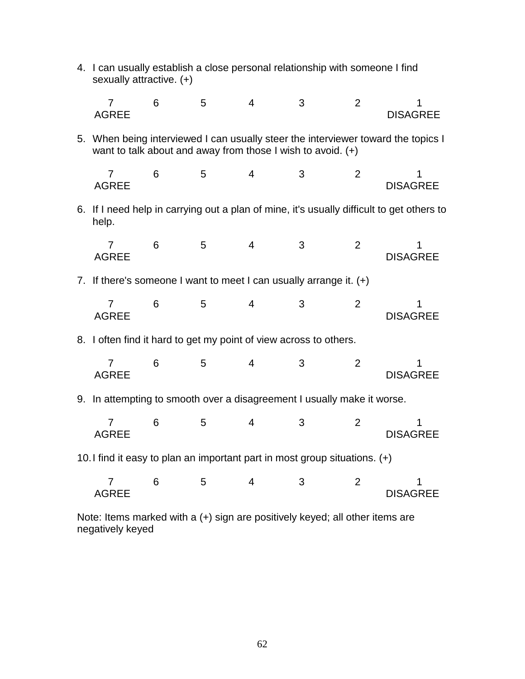|    |                                                                            | 4. I can usually establish a close personal relationship with someone I find<br>sexually attractive. (+) |   |   |                                                             |                |                                                                                           |  |
|----|----------------------------------------------------------------------------|----------------------------------------------------------------------------------------------------------|---|---|-------------------------------------------------------------|----------------|-------------------------------------------------------------------------------------------|--|
|    | 7<br><b>AGREE</b>                                                          | 6                                                                                                        | 5 | 4 | 3                                                           | 2              | <b>DISAGREE</b>                                                                           |  |
|    |                                                                            |                                                                                                          |   |   | want to talk about and away from those I wish to avoid. (+) |                | 5. When being interviewed I can usually steer the interviewer toward the topics I         |  |
|    | 7<br><b>AGREE</b>                                                          | 6                                                                                                        | 5 | 4 | 3                                                           | $\overline{2}$ | <b>DISAGREE</b>                                                                           |  |
|    | help.                                                                      |                                                                                                          |   |   |                                                             |                | 6. If I need help in carrying out a plan of mine, it's usually difficult to get others to |  |
|    | 7<br><b>AGREE</b>                                                          | 6                                                                                                        | 5 | 4 | 3                                                           | $\overline{2}$ | <b>DISAGREE</b>                                                                           |  |
| 7. | If there's someone I want to meet I can usually arrange it. $(+)$          |                                                                                                          |   |   |                                                             |                |                                                                                           |  |
|    | 7<br><b>AGREE</b>                                                          | 6                                                                                                        | 5 | 4 | 3                                                           | $\overline{2}$ | 1<br><b>DISAGREE</b>                                                                      |  |
| 8. | I often find it hard to get my point of view across to others.             |                                                                                                          |   |   |                                                             |                |                                                                                           |  |
|    | 7<br><b>AGREE</b>                                                          | 6                                                                                                        | 5 | 4 | 3                                                           | $\overline{2}$ | 1<br><b>DISAGREE</b>                                                                      |  |
| 9. | In attempting to smooth over a disagreement I usually make it worse.       |                                                                                                          |   |   |                                                             |                |                                                                                           |  |
|    | 7<br><b>AGREE</b>                                                          | 6                                                                                                        | 5 | 4 | 3                                                           | $\overline{2}$ | <b>DISAGREE</b>                                                                           |  |
|    | 10. I find it easy to plan an important part in most group situations. (+) |                                                                                                          |   |   |                                                             |                |                                                                                           |  |
|    | 7<br><b>AGREE</b>                                                          | 6                                                                                                        | 5 | 4 | 3                                                           | $\overline{2}$ | <b>DISAGREE</b>                                                                           |  |

Note: Items marked with a (+) sign are positively keyed; all other items are negatively keyed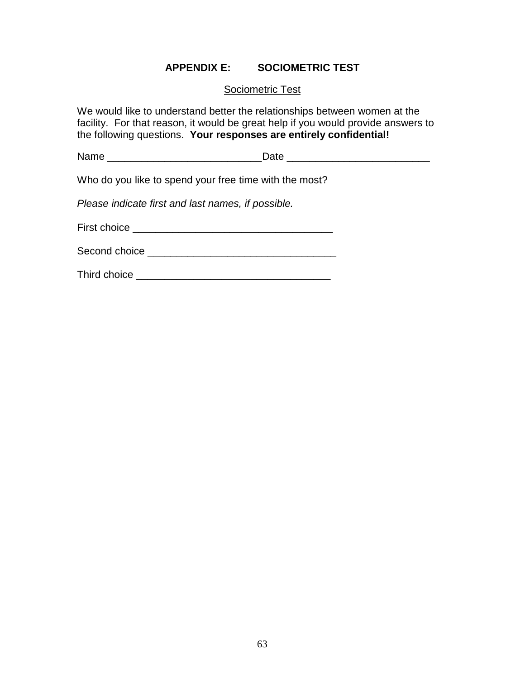## **APPENDIX E: SOCIOMETRIC TEST**

#### Sociometric Test

We would like to understand better the relationships between women at the facility. For that reason, it would be great help if you would provide answers to the following questions. **Your responses are entirely confidential!**

| Name | --- |
|------|-----|
|      |     |

Who do you like to spend your free time with the most?

*Please indicate first and last names, if possible.*

First choice \_\_\_\_\_\_\_\_\_\_\_\_\_\_\_\_\_\_\_\_\_\_\_\_\_\_\_\_\_\_\_\_\_\_\_

Second choice \_\_\_\_\_\_\_\_\_\_\_\_\_\_\_\_\_\_\_\_\_\_\_\_\_\_\_\_\_\_\_\_\_

Third choice \_\_\_\_\_\_\_\_\_\_\_\_\_\_\_\_\_\_\_\_\_\_\_\_\_\_\_\_\_\_\_\_\_\_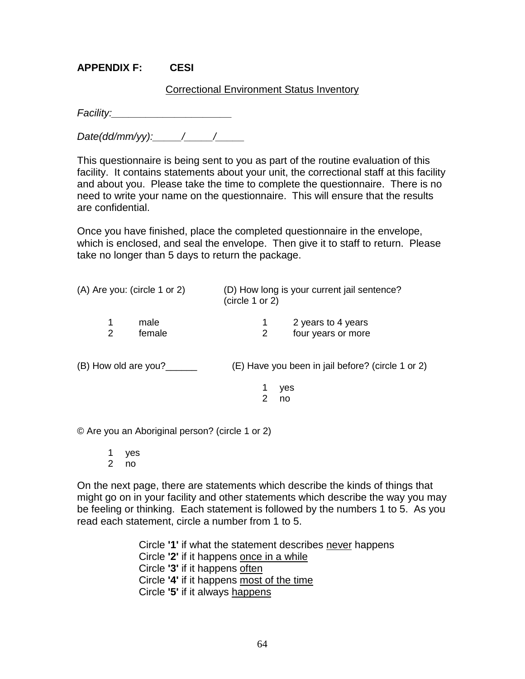### **APPENDIX F: CESI**

#### Correctional Environment Status Inventory

*Facility:\_\_\_\_\_\_\_\_\_\_\_\_\_\_\_\_\_\_\_\_\_*

*Date(dd/mm/yy):\_\_\_\_\_/\_\_\_\_\_/\_\_\_\_\_*

This questionnaire is being sent to you as part of the routine evaluation of this facility. It contains statements about your unit, the correctional staff at this facility and about you. Please take the time to complete the questionnaire. There is no need to write your name on the questionnaire. This will ensure that the results are confidential.

Once you have finished, place the completed questionnaire in the envelope, which is enclosed, and seal the envelope. Then give it to staff to return. Please take no longer than 5 days to return the package.

| $(A)$ Are you: (circle 1 or 2) | (D) How long is your current jail sentence?<br>(circle 1 or 2) |  |  |  |
|--------------------------------|----------------------------------------------------------------|--|--|--|
| male<br>female                 | 2 years to 4 years<br>four years or more                       |  |  |  |
| (B) How old are you?           | (E) Have you been in jail before? (circle 1 or 2)              |  |  |  |

1 yes 2 no

© Are you an Aboriginal person? (circle 1 or 2)

1 yes 2 no

On the next page, there are statements which describe the kinds of things that might go on in your facility and other statements which describe the way you may be feeling or thinking. Each statement is followed by the numbers 1 to 5. As you read each statement, circle a number from 1 to 5.

> Circle **'1'** if what the statement describes never happens Circle **'2'** if it happens once in a while Circle **'3'** if it happens often Circle **'4'** if it happens most of the time Circle **'5'** if it always happens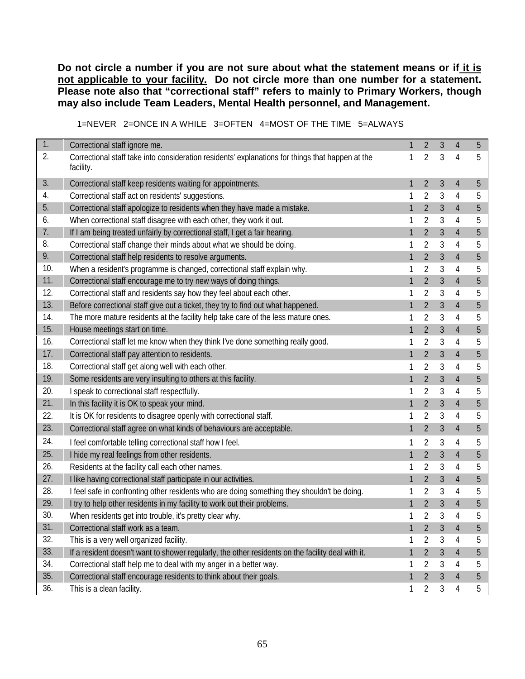**Do not circle a number if you are not sure about what the statement means or if it is not applicable to your facility. Do not circle more than one number for a statement. Please note also that "correctional staff" refers to mainly to Primary Workers, though may also include Team Leaders, Mental Health personnel, and Management.**

|  | 1=NEVER 2=ONCE IN A WHILE 3=OFTEN 4=MOST OF THE TIME 5=ALWAYS |  |
|--|---------------------------------------------------------------|--|
|  |                                                               |  |

| 1.  | Correctional staff ignore me.                                                                                 | $\mathbf{1}$ | $\overline{2}$ | 3              | $\overline{4}$ | 5 |
|-----|---------------------------------------------------------------------------------------------------------------|--------------|----------------|----------------|----------------|---|
| 2.  | Correctional staff take into consideration residents' explanations for things that happen at the<br>facility. | 1            | 2              | 3              | 4              | 5 |
| 3.  | Correctional staff keep residents waiting for appointments.                                                   |              | 2              | 3              | 4              | 5 |
| 4.  | Correctional staff act on residents' suggestions.                                                             |              | 2              | 3              | 4              | 5 |
| 5.  | Correctional staff apologize to residents when they have made a mistake.                                      | $\mathbf{1}$ | $\overline{2}$ | $\mathfrak{Z}$ | 4              | 5 |
| 6.  | When correctional staff disagree with each other, they work it out.                                           | 1            | $\overline{2}$ | 3              | 4              | 5 |
| 7.  | If I am being treated unfairly by correctional staff, I get a fair hearing.                                   |              | 2              | 3              | 4              | 5 |
| 8.  | Correctional staff change their minds about what we should be doing.                                          |              | $\overline{2}$ | 3              | 4              | 5 |
| 9.  | Correctional staff help residents to resolve arguments.                                                       | $\mathbf{1}$ | $\overline{2}$ | 3              | $\overline{4}$ | 5 |
| 10. | When a resident's programme is changed, correctional staff explain why.                                       | 1            | 2              | 3              | 4              | 5 |
| 11. | Correctional staff encourage me to try new ways of doing things.                                              | $\mathbf{1}$ | $\overline{2}$ | 3              | $\overline{4}$ | 5 |
| 12. | Correctional staff and residents say how they feel about each other.                                          |              | $\overline{2}$ | 3              | 4              | 5 |
| 13. | Before correctional staff give out a ticket, they try to find out what happened.                              | 1            | $\overline{2}$ | 3              | 4              | 5 |
| 14. | The more mature residents at the facility help take care of the less mature ones.                             | 1            | $\overline{2}$ | 3              | 4              | 5 |
| 15. | House meetings start on time.                                                                                 | 1            | 2              | 3              | $\overline{4}$ | 5 |
| 16. | Correctional staff let me know when they think I've done something really good.                               | 1            | $\overline{2}$ | 3              | 4              | 5 |
| 17. | Correctional staff pay attention to residents.                                                                | 1            | $\overline{2}$ | 3              | $\overline{4}$ | 5 |
| 18. | Correctional staff get along well with each other.                                                            |              | $\overline{2}$ | 3              | 4              | 5 |
| 19. | Some residents are very insulting to others at this facility.                                                 | 1            | $\overline{2}$ | 3              | $\overline{4}$ | 5 |
| 20. | I speak to correctional staff respectfully.                                                                   | 1            | 2              | 3              | 4              | 5 |
| 21. | In this facility it is OK to speak your mind.                                                                 | 1            | $\overline{2}$ | $\overline{3}$ | $\overline{4}$ | 5 |
| 22. | It is OK for residents to disagree openly with correctional staff.                                            | 1            | $\overline{2}$ | 3              | 4              | 5 |
| 23. | Correctional staff agree on what kinds of behaviours are acceptable.                                          | 1            | $\overline{2}$ | 3              | 4              | 5 |
| 24. | I feel comfortable telling correctional staff how I feel.                                                     |              | 2              | 3              | 4              | 5 |
| 25. | I hide my real feelings from other residents.                                                                 | 1            | $\overline{2}$ | 3              | $\overline{4}$ | 5 |
| 26. | Residents at the facility call each other names.                                                              | 1            | $\overline{2}$ | 3              | 4              | 5 |
| 27. | I like having correctional staff participate in our activities.                                               |              | 2              | 3              | 4              | 5 |
| 28. | I feel safe in confronting other residents who are doing something they shouldn't be doing.                   |              | 2              | 3              | 4              | 5 |
| 29. | I try to help other residents in my facility to work out their problems.                                      | 1            | $\overline{2}$ | 3              | $\overline{4}$ | 5 |
| 30. | When residents get into trouble, it's pretty clear why.                                                       | 1            | $\overline{2}$ | 3              | 4              | 5 |
| 31. | Correctional staff work as a team.                                                                            |              | $\overline{2}$ | 3              | $\overline{4}$ | 5 |
| 32. | This is a very well organized facility.                                                                       |              | 2              | 3              | 4              | 5 |
| 33. | If a resident doesn't want to shower regularly, the other residents on the facility deal with it.             | $\mathbf{1}$ | $\overline{2}$ | $\mathfrak{Z}$ | 4              | 5 |
| 34. | Correctional staff help me to deal with my anger in a better way.                                             | 1            | 2              | 3              | 4              | 5 |
| 35. | Correctional staff encourage residents to think about their goals.                                            | 1            | $\overline{2}$ | $\mathfrak{Z}$ | 4              | 5 |
| 36. | This is a clean facility.                                                                                     | 1            | $\overline{2}$ | 3              | 4              | 5 |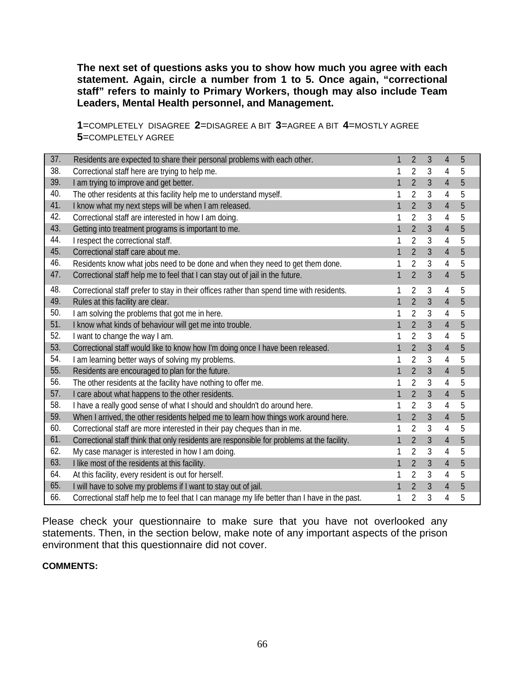**The next set of questions asks you to show how much you agree with each statement. Again, circle a number from 1 to 5. Once again, "correctional staff" refers to mainly to Primary Workers, though may also include Team Leaders, Mental Health personnel, and Management.**

**1**=COMPLETELY DISAGREE **2**=DISAGREE A BIT **3**=AGREE A BIT **4**=MOSTLY AGREE **5**=COMPLETELY AGREE

| 37. | Residents are expected to share their personal problems with each other.                     | 1            | $\overline{2}$ | 3 | 4              | 5 |
|-----|----------------------------------------------------------------------------------------------|--------------|----------------|---|----------------|---|
| 38. | Correctional staff here are trying to help me.                                               | 1            | 2              | 3 | 4              | 5 |
| 39. | I am trying to improve and get better.                                                       | 1            | $\overline{2}$ | 3 | $\overline{4}$ | 5 |
| 40. | The other residents at this facility help me to understand myself.                           |              | $\overline{2}$ | 3 | 4              | 5 |
| 41. | I know what my next steps will be when I am released.                                        | 1            | $\overline{2}$ | 3 | 4              | 5 |
| 42. | Correctional staff are interested in how I am doing.                                         |              | $\overline{2}$ | 3 | 4              | 5 |
| 43. | Getting into treatment programs is important to me.                                          | $\mathbf{1}$ | $\overline{2}$ | 3 | 4              | 5 |
| 44. | I respect the correctional staff.                                                            |              | 2              | 3 | 4              | 5 |
| 45. | Correctional staff care about me.                                                            | 1            | $\overline{2}$ | 3 | 4              | 5 |
| 46. | Residents know what jobs need to be done and when they need to get them done.                |              | $\overline{2}$ | 3 | 4              | 5 |
| 47. | Correctional staff help me to feel that I can stay out of jail in the future.                | 1            | $\overline{2}$ | 3 | $\overline{4}$ | 5 |
| 48. | Correctional staff prefer to stay in their offices rather than spend time with residents.    |              | $\overline{2}$ | 3 | 4              | 5 |
| 49. | Rules at this facility are clear.                                                            | 1            | $\overline{2}$ | 3 | $\overline{4}$ | 5 |
| 50. | I am solving the problems that got me in here.                                               |              | $\overline{2}$ | 3 | 4              | 5 |
| 51. | I know what kinds of behaviour will get me into trouble.                                     | 1            | $\overline{2}$ | 3 | 4              | 5 |
| 52. | I want to change the way I am.                                                               |              | 2              | 3 | 4              | 5 |
| 53. | Correctional staff would like to know how I'm doing once I have been released.               | $\mathbf{1}$ | $\overline{2}$ | 3 | $\overline{4}$ | 5 |
| 54. | I am learning better ways of solving my problems.                                            |              | $\overline{2}$ | 3 | 4              | 5 |
| 55. | Residents are encouraged to plan for the future.                                             | $\mathbf{1}$ | $\overline{2}$ | 3 | 4              | 5 |
| 56. | The other residents at the facility have nothing to offer me.                                |              | 2              | 3 | 4              | 5 |
| 57. | I care about what happens to the other residents.                                            | 1            | $\overline{2}$ | 3 | 4              | 5 |
| 58. | I have a really good sense of what I should and shouldn't do around here.                    |              | $\overline{2}$ | 3 | 4              | 5 |
| 59. | When I arrived, the other residents helped me to learn how things work around here.          | 1            | $\overline{2}$ | 3 | $\overline{4}$ | 5 |
| 60. | Correctional staff are more interested in their pay cheques than in me.                      | 1            | $\overline{2}$ | 3 | 4              | 5 |
| 61. | Correctional staff think that only residents are responsible for problems at the facility.   | 1            | $\overline{2}$ | 3 | 4              | 5 |
| 62. | My case manager is interested in how I am doing.                                             | 1            | $\overline{2}$ | 3 | 4              | 5 |
| 63. | I like most of the residents at this facility.                                               | 1            | $\overline{2}$ | 3 | $\overline{4}$ | 5 |
| 64. | At this facility, every resident is out for herself.                                         | 1            | 2              | 3 | 4              | 5 |
| 65. | I will have to solve my problems if I want to stay out of jail.                              |              | $\overline{2}$ | 3 | 4              | 5 |
| 66. | Correctional staff help me to feel that I can manage my life better than I have in the past. |              | $\overline{2}$ | 3 | 4              | 5 |

Please check your questionnaire to make sure that you have not overlooked any statements. Then, in the section below, make note of any important aspects of the prison environment that this questionnaire did not cover.

#### **COMMENTS:**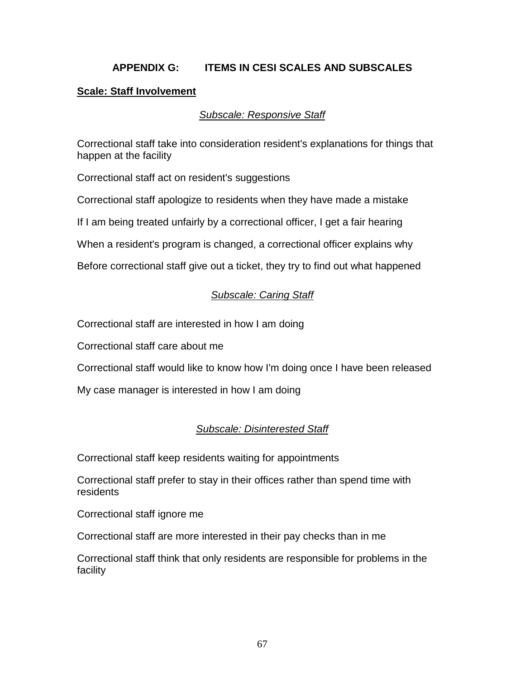# **APPENDIX G: ITEMS IN CESI SCALES AND SUBSCALES**

## **Scale: Staff Involvement**

#### *Subscale: Responsive Staff*

Correctional staff take into consideration resident's explanations for things that happen at the facility

Correctional staff act on resident's suggestions

Correctional staff apologize to residents when they have made a mistake

If I am being treated unfairly by a correctional officer, I get a fair hearing

When a resident's program is changed, a correctional officer explains why

Before correctional staff give out a ticket, they try to find out what happened

# *Subscale: Caring Staff*

Correctional staff are interested in how I am doing

Correctional staff care about me

Correctional staff would like to know how I'm doing once I have been released

My case manager is interested in how I am doing

# *Subscale: Disinterested Staff*

Correctional staff keep residents waiting for appointments

Correctional staff prefer to stay in their offices rather than spend time with residents

Correctional staff ignore me

Correctional staff are more interested in their pay checks than in me

Correctional staff think that only residents are responsible for problems in the facility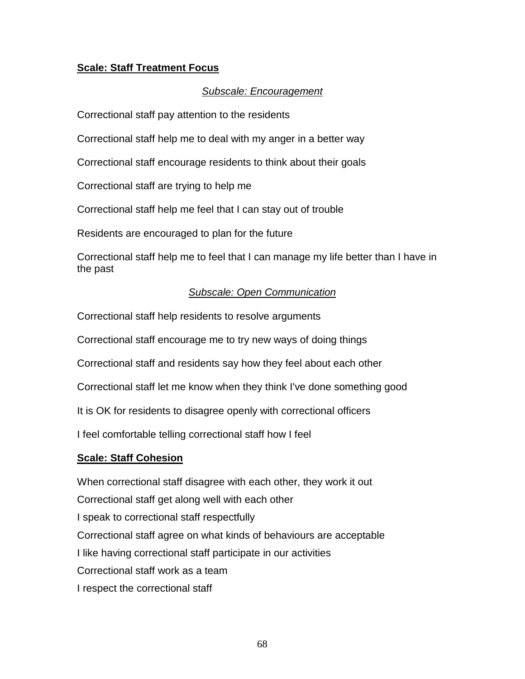# **Scale: Staff Treatment Focus**

#### *Subscale: Encouragement*

Correctional staff pay attention to the residents

Correctional staff help me to deal with my anger in a better way

Correctional staff encourage residents to think about their goals

Correctional staff are trying to help me

Correctional staff help me feel that I can stay out of trouble

Residents are encouraged to plan for the future

Correctional staff help me to feel that I can manage my life better than I have in the past

## *Subscale: Open Communication*

Correctional staff help residents to resolve arguments

Correctional staff encourage me to try new ways of doing things

Correctional staff and residents say how they feel about each other

Correctional staff let me know when they think I've done something good

It is OK for residents to disagree openly with correctional officers

I feel comfortable telling correctional staff how I feel

#### **Scale: Staff Cohesion**

When correctional staff disagree with each other, they work it out Correctional staff get along well with each other I speak to correctional staff respectfully Correctional staff agree on what kinds of behaviours are acceptable I like having correctional staff participate in our activities Correctional staff work as a team I respect the correctional staff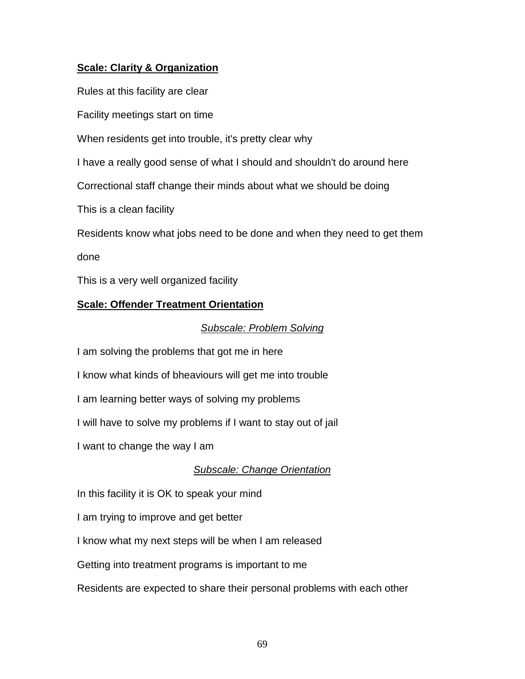# **Scale: Clarity & Organization**

Rules at this facility are clear

Facility meetings start on time

When residents get into trouble, it's pretty clear why

I have a really good sense of what I should and shouldn't do around here

Correctional staff change their minds about what we should be doing

This is a clean facility

Residents know what jobs need to be done and when they need to get them

done

This is a very well organized facility

## **Scale: Offender Treatment Orientation**

#### *Subscale: Problem Solving*

I am solving the problems that got me in here

I know what kinds of bheaviours will get me into trouble

I am learning better ways of solving my problems

I will have to solve my problems if I want to stay out of jail

I want to change the way I am

## *Subscale: Change Orientation*

In this facility it is OK to speak your mind

I am trying to improve and get better

I know what my next steps will be when I am released

Getting into treatment programs is important to me

Residents are expected to share their personal problems with each other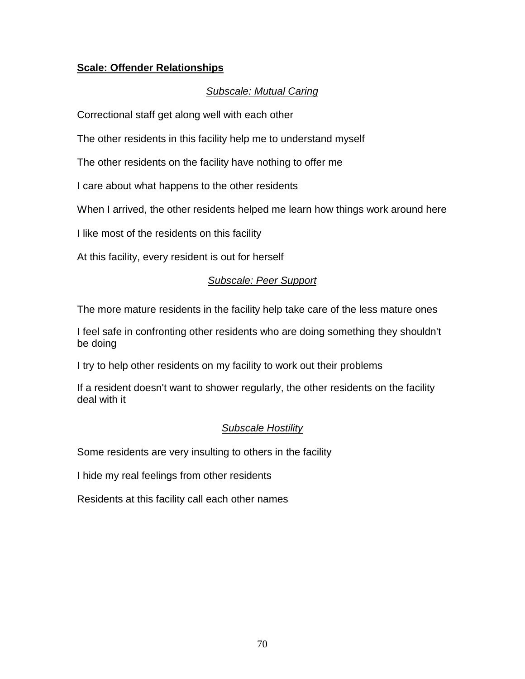# **Scale: Offender Relationships**

# *Subscale: Mutual Caring*

Correctional staff get along well with each other

The other residents in this facility help me to understand myself

The other residents on the facility have nothing to offer me

I care about what happens to the other residents

When I arrived, the other residents helped me learn how things work around here

I like most of the residents on this facility

At this facility, every resident is out for herself

# *Subscale: Peer Support*

The more mature residents in the facility help take care of the less mature ones

I feel safe in confronting other residents who are doing something they shouldn't be doing

I try to help other residents on my facility to work out their problems

If a resident doesn't want to shower regularly, the other residents on the facility deal with it

# *Subscale Hostility*

Some residents are very insulting to others in the facility

I hide my real feelings from other residents

Residents at this facility call each other names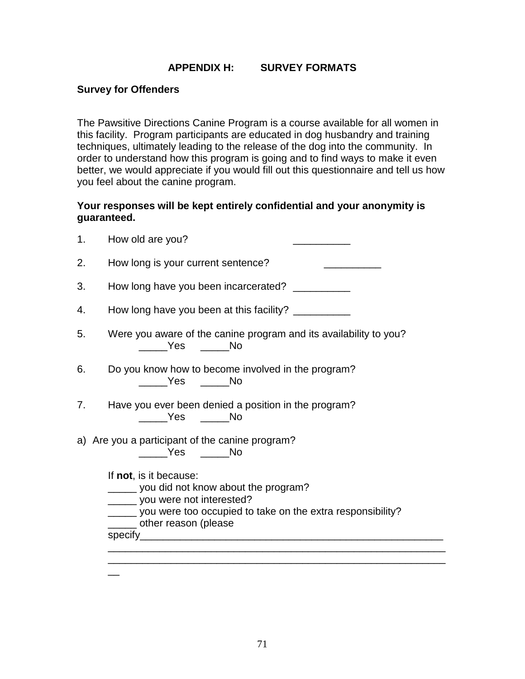# **APPENDIX H: SURVEY FORMATS**

#### **Survey for Offenders**

 $\overline{a}$ 

The Pawsitive Directions Canine Program is a course available for all women in this facility. Program participants are educated in dog husbandry and training techniques, ultimately leading to the release of the dog into the community. In order to understand how this program is going and to find ways to make it even better, we would appreciate if you would fill out this questionnaire and tell us how you feel about the canine program.

## **Your responses will be kept entirely confidential and your anonymity is guaranteed.**

| 1. | How old are you?                                                                                                                                                                                    |  |  |  |  |  |  |  |  |
|----|-----------------------------------------------------------------------------------------------------------------------------------------------------------------------------------------------------|--|--|--|--|--|--|--|--|
| 2. | How long is your current sentence?                                                                                                                                                                  |  |  |  |  |  |  |  |  |
| 3. | How long have you been incarcerated? __________                                                                                                                                                     |  |  |  |  |  |  |  |  |
| 4. | How long have you been at this facility? __________                                                                                                                                                 |  |  |  |  |  |  |  |  |
| 5. | Were you aware of the canine program and its availability to you?                                                                                                                                   |  |  |  |  |  |  |  |  |
| 6. | Do you know how to become involved in the program?<br>No Tres No                                                                                                                                    |  |  |  |  |  |  |  |  |
| 7. | Have you ever been denied a position in the program?<br>______Yes ______No                                                                                                                          |  |  |  |  |  |  |  |  |
|    | a) Are you a participant of the canine program?<br>_____Yes _____No                                                                                                                                 |  |  |  |  |  |  |  |  |
|    | If not, is it because:<br>______ you did not know about the program?<br>______ you were not interested?<br>_____ you were too occupied to take on the extra responsibility?<br>other reason (please |  |  |  |  |  |  |  |  |
|    |                                                                                                                                                                                                     |  |  |  |  |  |  |  |  |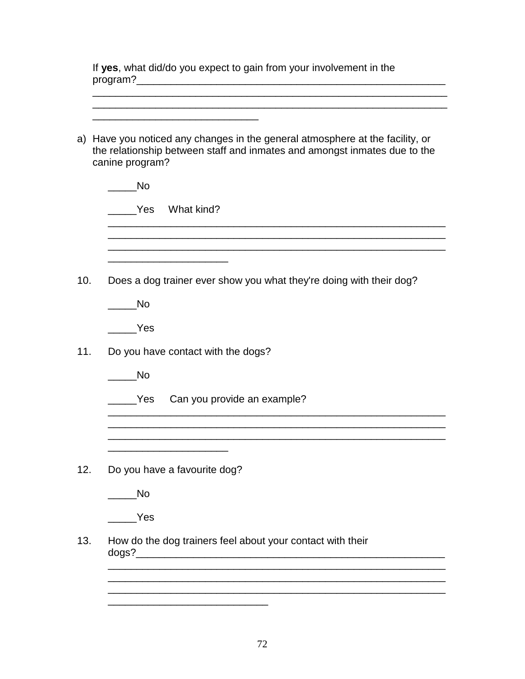If **yes**, what did/do you expect to gain from your involvement in the program?\_\_\_\_\_\_\_\_\_\_\_\_\_\_\_\_\_\_\_\_\_\_\_\_\_\_\_\_\_\_\_\_\_\_\_\_\_\_\_\_\_\_\_\_\_\_\_\_\_\_\_\_\_\_

\_\_\_\_\_\_\_\_\_\_\_\_\_\_\_\_\_\_\_\_\_\_\_\_\_\_\_\_\_\_\_\_\_\_\_\_\_\_\_\_\_\_\_\_\_\_\_\_\_\_\_\_\_\_\_\_\_\_\_\_\_\_

| a) Have you noticed any changes in the general atmosphere at the facility, or<br>the relationship between staff and inmates and amongst inmates due to the |
|------------------------------------------------------------------------------------------------------------------------------------------------------------|
| canine program?                                                                                                                                            |
| <b>No</b>                                                                                                                                                  |
| Yes What kind?                                                                                                                                             |
|                                                                                                                                                            |
| Does a dog trainer ever show you what they're doing with their dog?                                                                                        |
| <b>No</b>                                                                                                                                                  |
| Yes                                                                                                                                                        |
| Do you have contact with the dogs?                                                                                                                         |
| <b>No</b>                                                                                                                                                  |
| Can you provide an example?<br><b>Parage Yes</b>                                                                                                           |
|                                                                                                                                                            |
| Do you have a favourite dog?                                                                                                                               |
| <b>No</b>                                                                                                                                                  |
| Yes                                                                                                                                                        |
| How do the dog trainers feel about your contact with their<br>dogs?_                                                                                       |
|                                                                                                                                                            |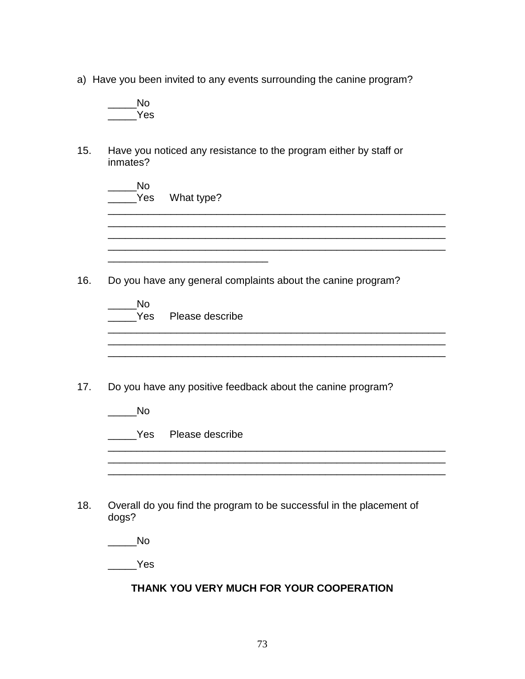a) Have you been invited to any events surrounding the canine program?

\_\_\_\_\_No \_\_\_\_\_Yes

15. Have you noticed any resistance to the program either by staff or inmates?

| <b>No</b><br>Yes | What type?                                                                         |
|------------------|------------------------------------------------------------------------------------|
|                  | Do you have any general complaints about the canine program?                       |
| No               | Yes Please describe                                                                |
| <b>No</b>        | Do you have any positive feedback about the canine program?<br>Yes Please describe |
|                  |                                                                                    |
| dogs?            | Overall do you find the program to be successful in the placement of               |
| <b>No</b>        |                                                                                    |
|                  |                                                                                    |

# **THANK YOU VERY MUCH FOR YOUR COOPERATION**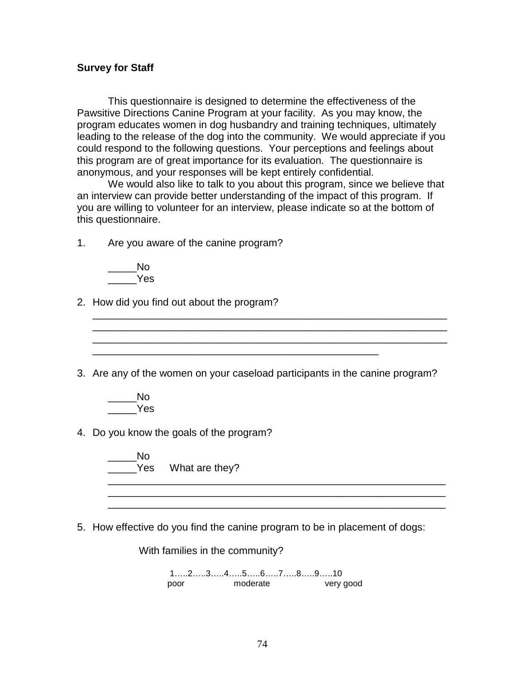#### **Survey for Staff**

This questionnaire is designed to determine the effectiveness of the Pawsitive Directions Canine Program at your facility. As you may know, the program educates women in dog husbandry and training techniques, ultimately leading to the release of the dog into the community. We would appreciate if you could respond to the following questions. Your perceptions and feelings about this program are of great importance for its evaluation. The questionnaire is anonymous, and your responses will be kept entirely confidential.

We would also like to talk to you about this program, since we believe that an interview can provide better understanding of the impact of this program. If you are willing to volunteer for an interview, please indicate so at the bottom of this questionnaire.

1. Are you aware of the canine program?

 $\_\_\_\$ No \_\_\_\_\_Yes

- 2. How did you find out about the program?
- 3. Are any of the women on your caseload participants in the canine program?

\_\_\_\_\_\_\_\_\_\_\_\_\_\_\_\_\_\_\_\_\_\_\_\_\_\_\_\_\_\_\_\_\_\_\_\_\_\_\_\_\_\_\_\_\_\_\_\_\_\_

\_\_\_\_\_\_\_\_\_\_\_\_\_\_\_\_\_\_\_\_\_\_\_\_\_\_\_\_\_\_\_\_\_\_\_\_\_\_\_\_\_\_\_\_\_\_\_\_\_\_\_\_\_\_\_\_\_\_\_\_\_\_

\_\_\_\_\_\_\_\_\_\_\_\_\_\_\_\_\_\_\_\_\_\_\_\_\_\_\_\_\_\_\_\_\_\_\_\_\_\_\_\_\_\_\_\_\_\_\_\_\_\_\_\_\_\_\_\_\_\_\_\_\_\_

- $\blacksquare$  No \_\_\_\_\_Yes
- 4. Do you know the goals of the program?

 $\blacksquare$  No Yes What are they? \_\_\_\_\_\_\_\_\_\_\_\_\_\_\_\_\_\_\_\_\_\_\_\_\_\_\_\_\_\_\_\_\_\_\_\_\_\_\_\_\_\_\_\_\_\_\_\_\_\_\_\_\_\_\_\_\_\_\_

5. How effective do you find the canine program to be in placement of dogs:

With families in the community? 1…..2…..3…..4…..5…..6…..7…..8…..9…..10

 $\frac{1}{\sqrt{2}}$  ,  $\frac{1}{\sqrt{2}}$  ,  $\frac{1}{\sqrt{2}}$  ,  $\frac{1}{\sqrt{2}}$  ,  $\frac{1}{\sqrt{2}}$  ,  $\frac{1}{\sqrt{2}}$  ,  $\frac{1}{\sqrt{2}}$  ,  $\frac{1}{\sqrt{2}}$  ,  $\frac{1}{\sqrt{2}}$  ,  $\frac{1}{\sqrt{2}}$  ,  $\frac{1}{\sqrt{2}}$  ,  $\frac{1}{\sqrt{2}}$  ,  $\frac{1}{\sqrt{2}}$  ,  $\frac{1}{\sqrt{2}}$  ,  $\frac{1}{\sqrt{2}}$ 

\_\_\_\_\_\_\_\_\_\_\_\_\_\_\_\_\_\_\_\_\_\_\_\_\_\_\_\_\_\_\_\_\_\_\_\_\_\_\_\_\_\_\_\_\_\_\_\_\_\_\_\_\_\_\_\_\_\_\_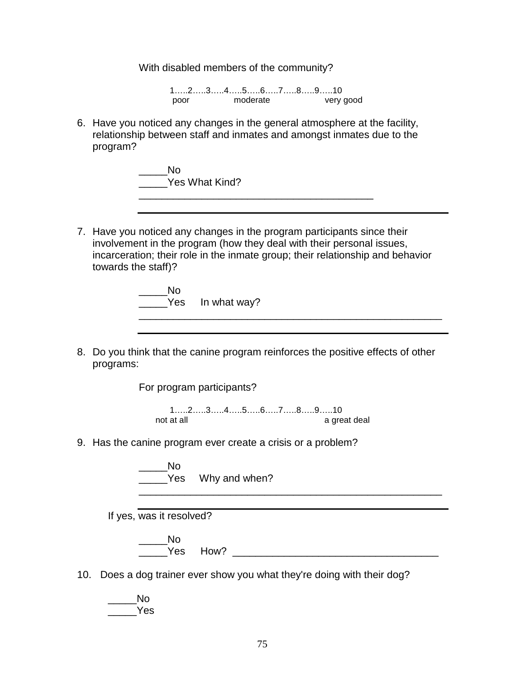With disabled members of the community?

1…..2…..3…..4…..5…..6…..7…..8…..9…..10 poor moderate very good

6. Have you noticed any changes in the general atmosphere at the facility, relationship between staff and inmates and amongst inmates due to the program?

> $\_\_$  No \_\_\_\_\_Yes What Kind?

- 7. Have you noticed any changes in the program participants since their involvement in the program (how they deal with their personal issues, incarceration; their role in the inmate group; their relationship and behavior towards the staff)?
	- $\overline{\phantom{a}}$  No The Yes In what way? \_\_\_\_\_\_\_\_\_\_\_\_\_\_\_\_\_\_\_\_\_\_\_\_\_\_\_\_\_\_\_\_\_\_\_\_\_\_\_\_\_\_\_\_\_\_\_\_\_\_\_\_\_
- 8. Do you think that the canine program reinforces the positive effects of other programs:

For program participants?

1…..2…..3…..4…..5…..6…..7…..8…..9…..10 not at all a great deal a great deal

9. Has the canine program ever create a crisis or a problem?

 $\rule{1em}{0.15mm}$  No Yes Why and when? \_\_\_\_\_\_\_\_\_\_\_\_\_\_\_\_\_\_\_\_\_\_\_\_\_\_\_\_\_\_\_\_\_\_\_\_\_\_\_\_\_\_\_\_\_\_\_\_\_\_\_\_\_

If yes, was it resolved?

\_\_\_\_\_No \_\_\_\_\_Yes How? \_\_\_\_\_\_\_\_\_\_\_\_\_\_\_\_\_\_\_\_\_\_\_\_\_\_\_\_\_\_\_\_\_\_\_\_

- 10. Does a dog trainer ever show you what they're doing with their dog?
	- \_\_\_\_\_No \_\_\_\_\_Yes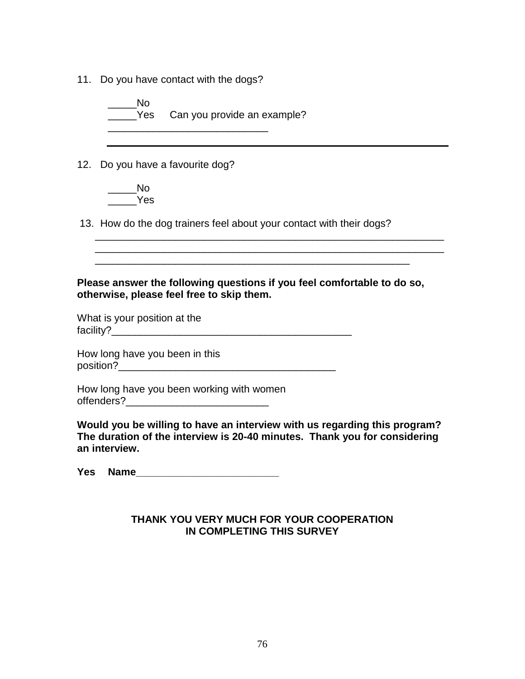11. Do you have contact with the dogs?

 $\rule{1em}{0.15mm}$ No Yes Can you provide an example? \_\_\_\_\_\_\_\_\_\_\_\_\_\_\_\_\_\_\_\_\_\_\_\_\_\_\_\_

12. Do you have a favourite dog?

 $\_\_$  No \_\_\_\_\_Yes

13. How do the dog trainers feel about your contact with their dogs?

#### **Please answer the following questions if you feel comfortable to do so, otherwise, please feel free to skip them.**

\_\_\_\_\_\_\_\_\_\_\_\_\_\_\_\_\_\_\_\_\_\_\_\_\_\_\_\_\_\_\_\_\_\_\_\_\_\_\_\_\_\_\_\_\_\_\_\_\_\_\_\_\_\_\_

 $\mathcal{L}_\mathcal{L} = \{ \mathcal{L}_\mathcal{L} = \{ \mathcal{L}_\mathcal{L} = \{ \mathcal{L}_\mathcal{L} = \{ \mathcal{L}_\mathcal{L} = \{ \mathcal{L}_\mathcal{L} = \{ \mathcal{L}_\mathcal{L} = \{ \mathcal{L}_\mathcal{L} = \{ \mathcal{L}_\mathcal{L} = \{ \mathcal{L}_\mathcal{L} = \{ \mathcal{L}_\mathcal{L} = \{ \mathcal{L}_\mathcal{L} = \{ \mathcal{L}_\mathcal{L} = \{ \mathcal{L}_\mathcal{L} = \{ \mathcal{L}_\mathcal{$ 

What is your position at the facility?\_\_\_\_\_\_\_\_\_\_\_\_\_\_\_\_\_\_\_\_\_\_\_\_\_\_\_\_\_\_\_\_\_\_\_\_\_\_\_\_\_\_

How long have you been in this position?\_\_\_\_\_\_\_\_\_\_\_\_\_\_\_\_\_\_\_\_\_\_\_\_\_\_\_\_\_\_\_\_\_\_\_\_\_\_

How long have you been working with women offenders?\_\_\_\_\_\_\_\_\_\_\_\_\_\_\_\_\_\_\_\_\_\_\_\_\_

**Would you be willing to have an interview with us regarding this program? The duration of the interview is 20-40 minutes. Thank you for considering an interview.**

**Yes Name\_\_\_\_\_\_\_\_\_\_\_\_\_\_\_\_\_\_\_\_\_\_\_\_\_**

# **THANK YOU VERY MUCH FOR YOUR COOPERATION IN COMPLETING THIS SURVEY**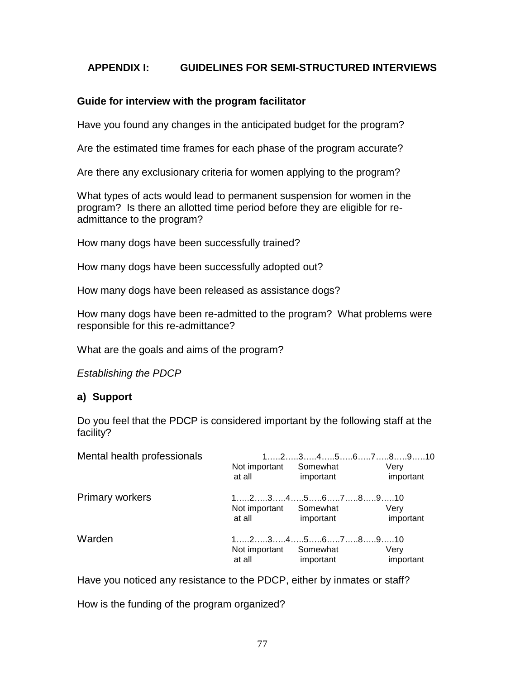# **APPENDIX I: GUIDELINES FOR SEMI-STRUCTURED INTERVIEWS**

## **Guide for interview with the program facilitator**

Have you found any changes in the anticipated budget for the program?

Are the estimated time frames for each phase of the program accurate?

Are there any exclusionary criteria for women applying to the program?

What types of acts would lead to permanent suspension for women in the program? Is there an allotted time period before they are eligible for readmittance to the program?

How many dogs have been successfully trained?

How many dogs have been successfully adopted out?

How many dogs have been released as assistance dogs?

How many dogs have been re-admitted to the program? What problems were responsible for this re-admittance?

What are the goals and aims of the program?

*Establishing the PDCP*

## **a) Support**

Do you feel that the PDCP is considered important by the following staff at the facility?

| Mental health professionals | Not important<br>at all | $123456789910$<br>Somewhat<br>important                                                                                          | Verv<br>important |  |
|-----------------------------|-------------------------|----------------------------------------------------------------------------------------------------------------------------------|-------------------|--|
| <b>Primary workers</b>      | Not important<br>at all | $12345678910$<br>Somewhat<br>important                                                                                           | Verv<br>important |  |
| Warden                      | Not important<br>at all | $1, \ldots, 2, \ldots, 3, \ldots, 4, \ldots, 5, \ldots, 6, \ldots, 7, \ldots, 8, \ldots, 9, \ldots, 10$<br>Somewhat<br>important | Very<br>important |  |

Have you noticed any resistance to the PDCP, either by inmates or staff?

How is the funding of the program organized?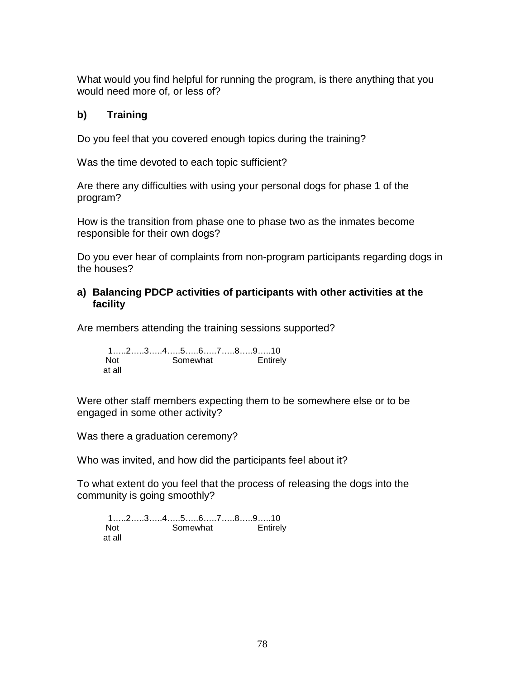What would you find helpful for running the program, is there anything that you would need more of, or less of?

# **b) Training**

Do you feel that you covered enough topics during the training?

Was the time devoted to each topic sufficient?

Are there any difficulties with using your personal dogs for phase 1 of the program?

How is the transition from phase one to phase two as the inmates become responsible for their own dogs?

Do you ever hear of complaints from non-program participants regarding dogs in the houses?

# **a) Balancing PDCP activities of participants with other activities at the facility**

Are members attending the training sessions supported?

1…..2…..3…..4…..5…..6…..7…..8…..9…..10 Not Somewhat Entirely at all

Were other staff members expecting them to be somewhere else or to be engaged in some other activity?

Was there a graduation ceremony?

Who was invited, and how did the participants feel about it?

To what extent do you feel that the process of releasing the dogs into the community is going smoothly?

1…..2…..3…..4…..5…..6…..7…..8…..9…..10 Not Somewhat Entirely at all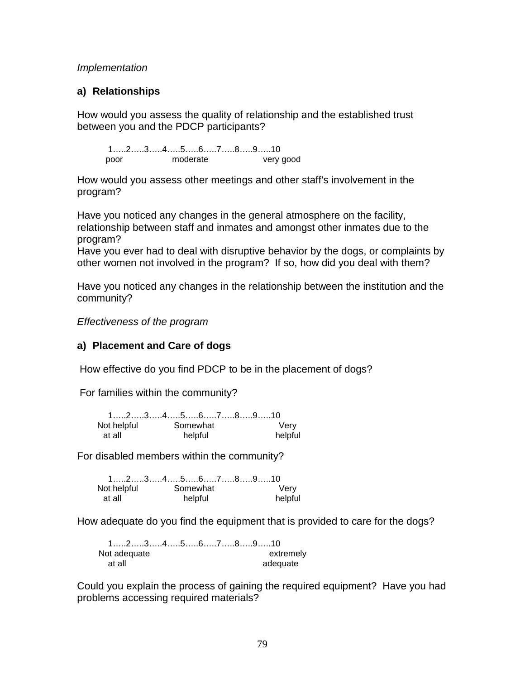#### *Implementation*

## **a) Relationships**

How would you assess the quality of relationship and the established trust between you and the PDCP participants?

1…..2…..3…..4…..5…..6…..7…..8…..9…..10 poor moderate very good

How would you assess other meetings and other staff's involvement in the program?

Have you noticed any changes in the general atmosphere on the facility, relationship between staff and inmates and amongst other inmates due to the program?

Have you ever had to deal with disruptive behavior by the dogs, or complaints by other women not involved in the program? If so, how did you deal with them?

Have you noticed any changes in the relationship between the institution and the community?

*Effectiveness of the program*

## **a) Placement and Care of dogs**

How effective do you find PDCP to be in the placement of dogs?

For families within the community?

| $1, \ldots, 2, \ldots, 3, \ldots, 4, \ldots, 5, \ldots, 6, \ldots, 7, \ldots, 8, \ldots, 9, \ldots, 10$ |  |          |  |         |
|---------------------------------------------------------------------------------------------------------|--|----------|--|---------|
| Not helpful                                                                                             |  | Somewhat |  | Verv    |
| at all                                                                                                  |  | helpful  |  | helpful |

For disabled members within the community?

|             | $1, \ldots, 2, \ldots, 3, \ldots, 4, \ldots, 5, \ldots, 6, \ldots, 7, \ldots, 8, \ldots, 9, \ldots, 10$ |         |
|-------------|---------------------------------------------------------------------------------------------------------|---------|
| Not helpful | Somewhat                                                                                                | Verv    |
| at all      | helpful                                                                                                 | helpful |

How adequate do you find the equipment that is provided to care for the dogs?

1…..2…..3…..4…..5…..6…..7…..8…..9…..10 Not adequate extremely at all and adequate and adequate

Could you explain the process of gaining the required equipment? Have you had problems accessing required materials?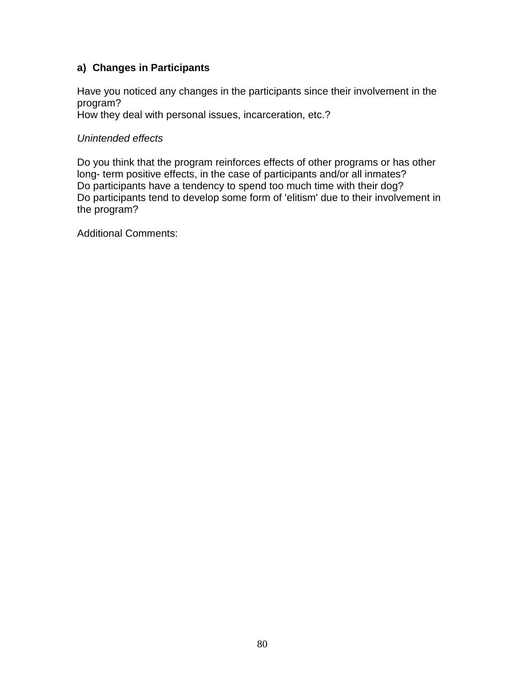# **a) Changes in Participants**

Have you noticed any changes in the participants since their involvement in the program?

How they deal with personal issues, incarceration, etc.?

## *Unintended effects*

Do you think that the program reinforces effects of other programs or has other long- term positive effects, in the case of participants and/or all inmates? Do participants have a tendency to spend too much time with their dog? Do participants tend to develop some form of 'elitism' due to their involvement in the program?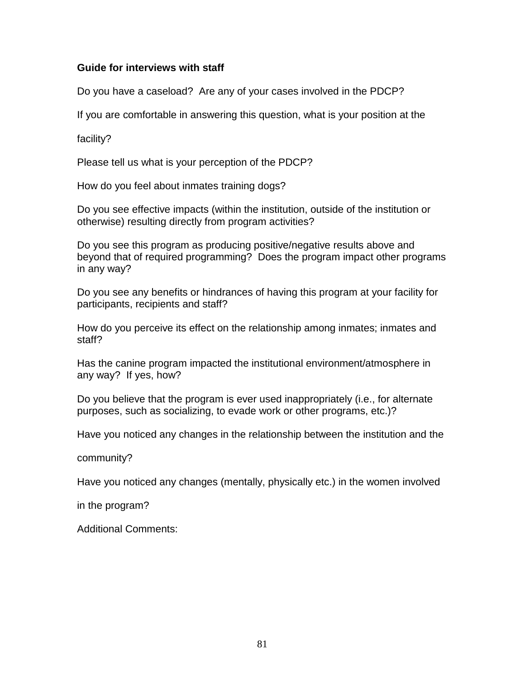## **Guide for interviews with staff**

Do you have a caseload? Are any of your cases involved in the PDCP?

If you are comfortable in answering this question, what is your position at the

facility?

Please tell us what is your perception of the PDCP?

How do you feel about inmates training dogs?

Do you see effective impacts (within the institution, outside of the institution or otherwise) resulting directly from program activities?

Do you see this program as producing positive/negative results above and beyond that of required programming? Does the program impact other programs in any way?

Do you see any benefits or hindrances of having this program at your facility for participants, recipients and staff?

How do you perceive its effect on the relationship among inmates; inmates and staff?

Has the canine program impacted the institutional environment/atmosphere in any way? If yes, how?

Do you believe that the program is ever used inappropriately (i.e., for alternate purposes, such as socializing, to evade work or other programs, etc.)?

Have you noticed any changes in the relationship between the institution and the

community?

Have you noticed any changes (mentally, physically etc.) in the women involved

in the program?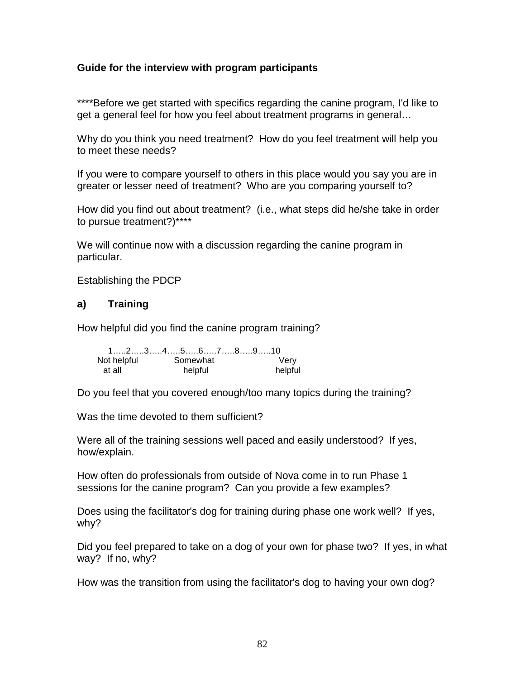## **Guide for the interview with program participants**

\*\*\*\*Before we get started with specifics regarding the canine program, I'd like to get a general feel for how you feel about treatment programs in general…

Why do you think you need treatment? How do you feel treatment will help you to meet these needs?

If you were to compare yourself to others in this place would you say you are in greater or lesser need of treatment? Who are you comparing yourself to?

How did you find out about treatment? (i.e., what steps did he/she take in order to pursue treatment?)\*\*\*\*

We will continue now with a discussion regarding the canine program in particular.

Establishing the PDCP

# **a) Training**

How helpful did you find the canine program training?

|             | $1, \ldots, 2, \ldots, 3, \ldots, 4, \ldots, 5, \ldots, 6, \ldots, 7, \ldots, 8, \ldots, 9, \ldots, 10$ |         |
|-------------|---------------------------------------------------------------------------------------------------------|---------|
| Not helpful | Somewhat                                                                                                | Verv    |
| at all      | helpful                                                                                                 | helpful |

Do you feel that you covered enough/too many topics during the training?

Was the time devoted to them sufficient?

Were all of the training sessions well paced and easily understood? If yes, how/explain.

How often do professionals from outside of Nova come in to run Phase 1 sessions for the canine program? Can you provide a few examples?

Does using the facilitator's dog for training during phase one work well? If yes, why?

Did you feel prepared to take on a dog of your own for phase two? If yes, in what way? If no, why?

How was the transition from using the facilitator's dog to having your own dog?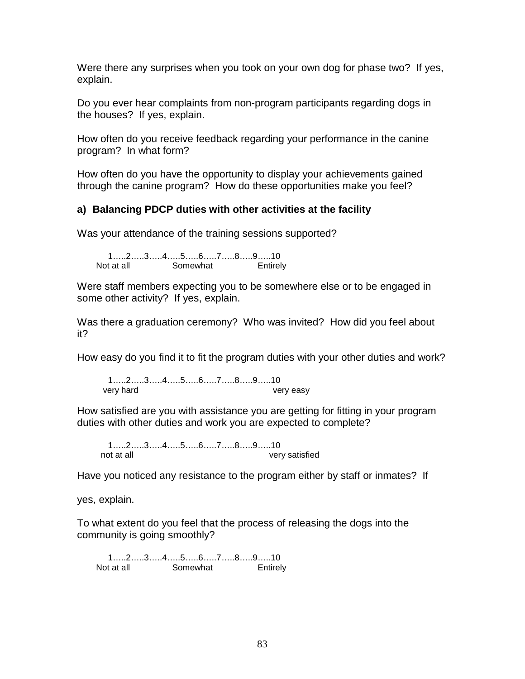Were there any surprises when you took on your own dog for phase two? If yes, explain.

Do you ever hear complaints from non-program participants regarding dogs in the houses? If yes, explain.

How often do you receive feedback regarding your performance in the canine program? In what form?

How often do you have the opportunity to display your achievements gained through the canine program? How do these opportunities make you feel?

## **a) Balancing PDCP duties with other activities at the facility**

Was your attendance of the training sessions supported?

1…..2…..3…..4…..5…..6…..7…..8…..9…..10 Not at all Somewhat Entirely

Were staff members expecting you to be somewhere else or to be engaged in some other activity? If yes, explain.

Was there a graduation ceremony? Who was invited? How did you feel about it?

How easy do you find it to fit the program duties with your other duties and work?

1…..2…..3…..4…..5…..6…..7…..8…..9…..10 very hard very easy

How satisfied are you with assistance you are getting for fitting in your program duties with other duties and work you are expected to complete?

1…..2…..3…..4…..5…..6…..7…..8…..9…..10 not at all very satisfied

Have you noticed any resistance to the program either by staff or inmates? If

yes, explain.

To what extent do you feel that the process of releasing the dogs into the community is going smoothly?

1…..2…..3…..4…..5…..6…..7…..8…..9…..10 Not at all Somewhat **Entirely**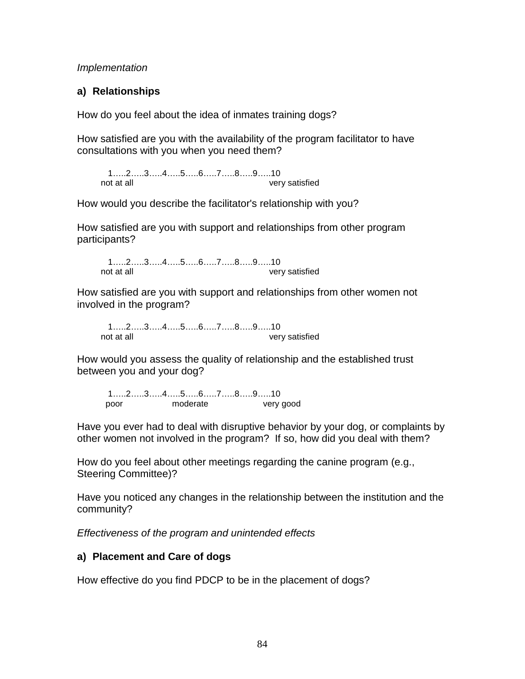*Implementation*

# **a) Relationships**

How do you feel about the idea of inmates training dogs?

How satisfied are you with the availability of the program facilitator to have consultations with you when you need them?

1…..2…..3…..4…..5…..6…..7…..8…..9…..10 not at all very satisfied

How would you describe the facilitator's relationship with you?

How satisfied are you with support and relationships from other program participants?

1…..2…..3…..4…..5…..6…..7…..8…..9…..10 not at all very satisfied

How satisfied are you with support and relationships from other women not involved in the program?

1…..2…..3…..4…..5…..6…..7…..8…..9…..10 not at all very satisfied

How would you assess the quality of relationship and the established trust between you and your dog?

1…..2…..3…..4…..5…..6…..7…..8…..9…..10 poor moderate very good

Have you ever had to deal with disruptive behavior by your dog, or complaints by other women not involved in the program? If so, how did you deal with them?

How do you feel about other meetings regarding the canine program (e.g., Steering Committee)?

Have you noticed any changes in the relationship between the institution and the community?

*Effectiveness of the program and unintended effects*

# **a) Placement and Care of dogs**

How effective do you find PDCP to be in the placement of dogs?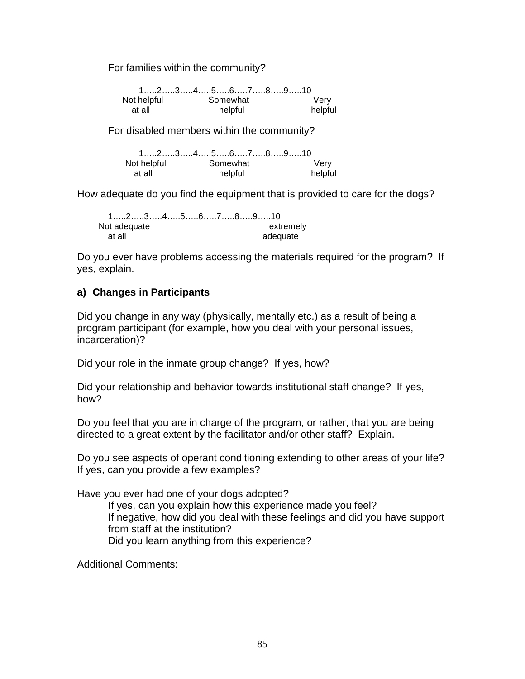For families within the community?

1…..2…..3…..4…..5…..6…..7…..8…..9…..10 Not helpful Somewhat at all helpful helpful

For disabled members within the community?

1…..2…..3…..4…..5…..6…..7…..8…..9…..10 Not helpful Somewhat Very at all helpful helpful

How adequate do you find the equipment that is provided to care for the dogs?

|              |  |  |  |  | $1, \ldots, 2, \ldots, 3, \ldots, 4, \ldots, 5, \ldots, 6, \ldots, 7, \ldots, 8, \ldots, 9, \ldots, 10$ |  |
|--------------|--|--|--|--|---------------------------------------------------------------------------------------------------------|--|
| Not adequate |  |  |  |  | extremely                                                                                               |  |
| at all       |  |  |  |  | adequate                                                                                                |  |

Do you ever have problems accessing the materials required for the program? If yes, explain.

## **a) Changes in Participants**

Did you change in any way (physically, mentally etc.) as a result of being a program participant (for example, how you deal with your personal issues, incarceration)?

Did your role in the inmate group change? If yes, how?

Did your relationship and behavior towards institutional staff change? If yes, how?

Do you feel that you are in charge of the program, or rather, that you are being directed to a great extent by the facilitator and/or other staff? Explain.

Do you see aspects of operant conditioning extending to other areas of your life? If yes, can you provide a few examples?

Have you ever had one of your dogs adopted?

If yes, can you explain how this experience made you feel? If negative, how did you deal with these feelings and did you have support from staff at the institution? Did you learn anything from this experience?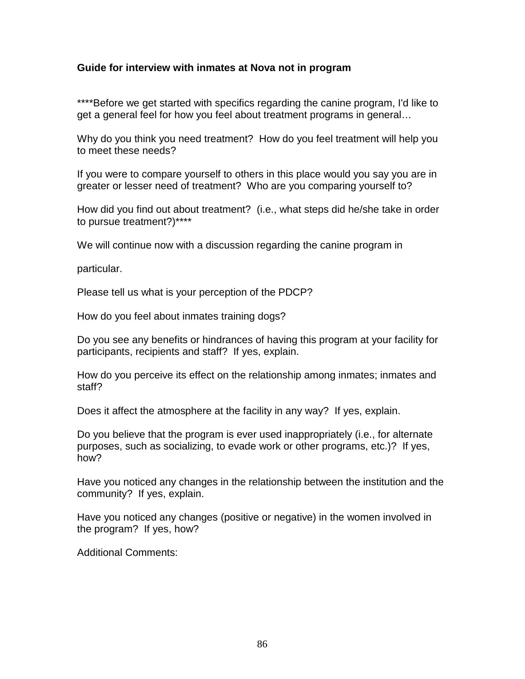## **Guide for interview with inmates at Nova not in program**

\*\*\*\*Before we get started with specifics regarding the canine program, I'd like to get a general feel for how you feel about treatment programs in general…

Why do you think you need treatment? How do you feel treatment will help you to meet these needs?

If you were to compare yourself to others in this place would you say you are in greater or lesser need of treatment? Who are you comparing yourself to?

How did you find out about treatment? (i.e., what steps did he/she take in order to pursue treatment?)\*\*\*\*

We will continue now with a discussion regarding the canine program in

particular.

Please tell us what is your perception of the PDCP?

How do you feel about inmates training dogs?

Do you see any benefits or hindrances of having this program at your facility for participants, recipients and staff? If yes, explain.

How do you perceive its effect on the relationship among inmates; inmates and staff?

Does it affect the atmosphere at the facility in any way? If yes, explain.

Do you believe that the program is ever used inappropriately (i.e., for alternate purposes, such as socializing, to evade work or other programs, etc.)? If yes, how?

Have you noticed any changes in the relationship between the institution and the community? If yes, explain.

Have you noticed any changes (positive or negative) in the women involved in the program? If yes, how?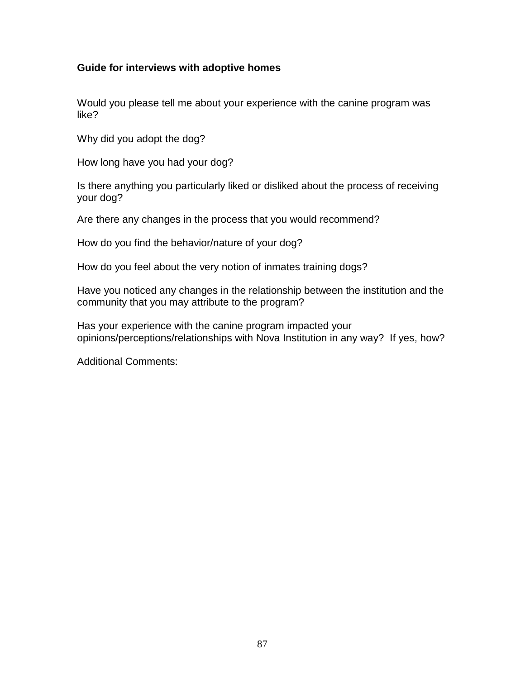## **Guide for interviews with adoptive homes**

Would you please tell me about your experience with the canine program was like?

Why did you adopt the dog?

How long have you had your dog?

Is there anything you particularly liked or disliked about the process of receiving your dog?

Are there any changes in the process that you would recommend?

How do you find the behavior/nature of your dog?

How do you feel about the very notion of inmates training dogs?

Have you noticed any changes in the relationship between the institution and the community that you may attribute to the program?

Has your experience with the canine program impacted your opinions/perceptions/relationships with Nova Institution in any way? If yes, how?